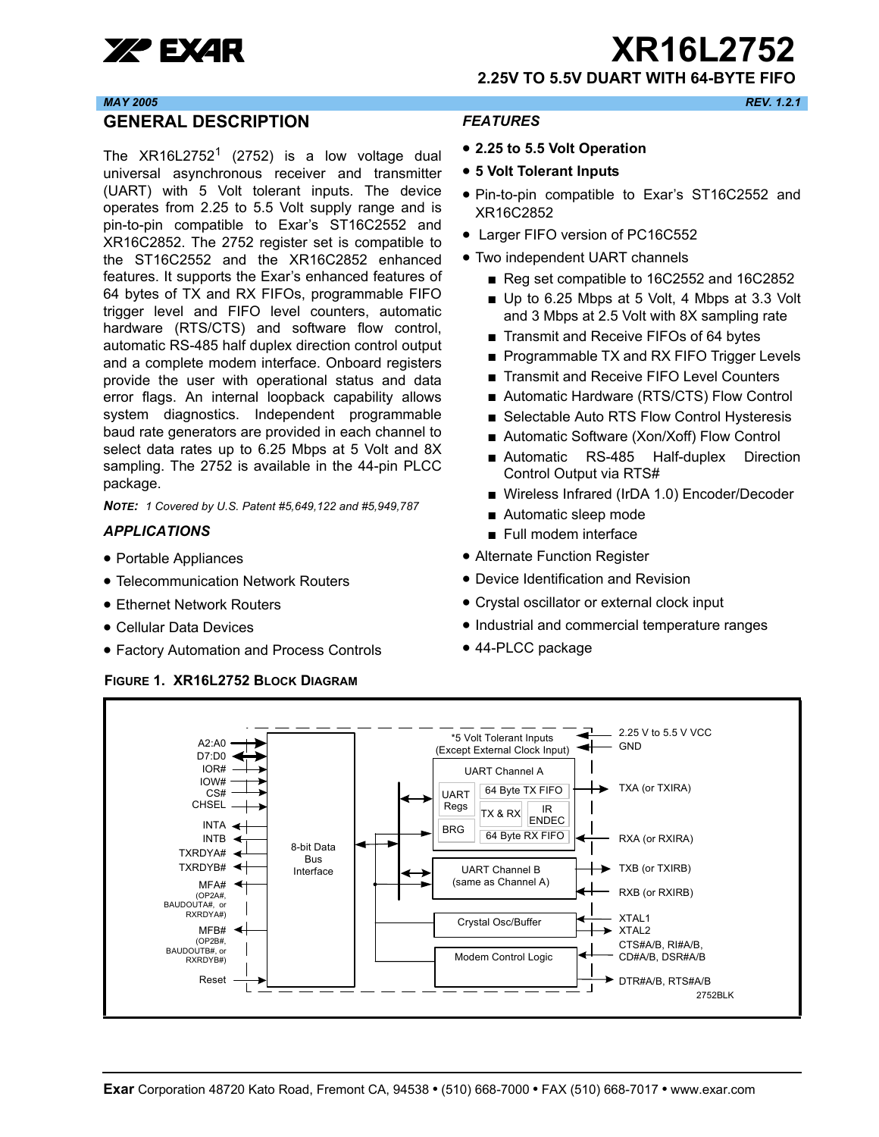

xr **XR16L2752**

**2.25V TO 5.5V DUART WITH 64-BYTE FIFO**

#### *MAY 2005 REV. 1.2.1*

#### <span id="page-0-0"></span>**GENERAL DESCRIPTION**

The  $XR16L2752<sup>1</sup>$  (2752) is a low voltage dual universal asynchronous receiver and transmitter (UART) with 5 Volt tolerant inputs. The device operates from 2.25 to 5.5 Volt supply range and is pin-to-pin compatible to Exar's ST16C2552 and XR16C2852. The 2752 register set is compatible to the ST16C2552 and the XR16C2852 enhanced features. It supports the Exar's enhanced features of 64 bytes of TX and RX FIFOs, programmable FIFO trigger level and FIFO level counters, automatic hardware (RTS/CTS) and software flow control, automatic RS-485 half duplex direction control output and a complete modem interface. Onboard registers provide the user with operational status and data error flags. An internal loopback capability allows system diagnostics. Independent programmable baud rate generators are provided in each channel to select data rates up to 6.25 Mbps at 5 Volt and 8X sampling. The 2752 is available in the 44-pin PLCC package.

*NOTE: 1 Covered by U.S. Patent #5,649,122 and #5,949,787* 

#### <span id="page-0-1"></span>*APPLICATIONS*

- Portable Appliances
- Telecommunication Network Routers
- Ethernet Network Routers
- Cellular Data Devices
- Factory Automation and Process Controls

<span id="page-0-3"></span>**FIGURE 1. XR16L2752 BLOCK DIAGRAM**

## <span id="page-0-2"></span>*FEATURES*

- **2.25 to 5.5 Volt Operation**
- **5 Volt Tolerant Inputs**
- Pin-to-pin compatible to Exar's ST16C2552 and XR16C2852
- Larger FIFO version of PC16C552
- Two independent UART channels
	- Reg set compatible to 16C2552 and 16C2852
	- Up to 6.25 Mbps at 5 Volt, 4 Mbps at 3.3 Volt and 3 Mbps at 2.5 Volt with 8X sampling rate
	- Transmit and Receive FIFOs of 64 bytes
	- Programmable TX and RX FIFO Trigger Levels
	- Transmit and Receive FIFO Level Counters
	- Automatic Hardware (RTS/CTS) Flow Control
	- Selectable Auto RTS Flow Control Hysteresis
	- Automatic Software (Xon/Xoff) Flow Control
	- Automatic RS-485 Half-duplex Direction Control Output via RTS#
	- Wireless Infrared (IrDA 1.0) Encoder/Decoder
	- Automatic sleep mode
	- Full modem interface
- Alternate Function Register
- Device Identification and Revision
- Crystal oscillator or external clock input
- Industrial and commercial temperature ranges
- 44-PLCC package

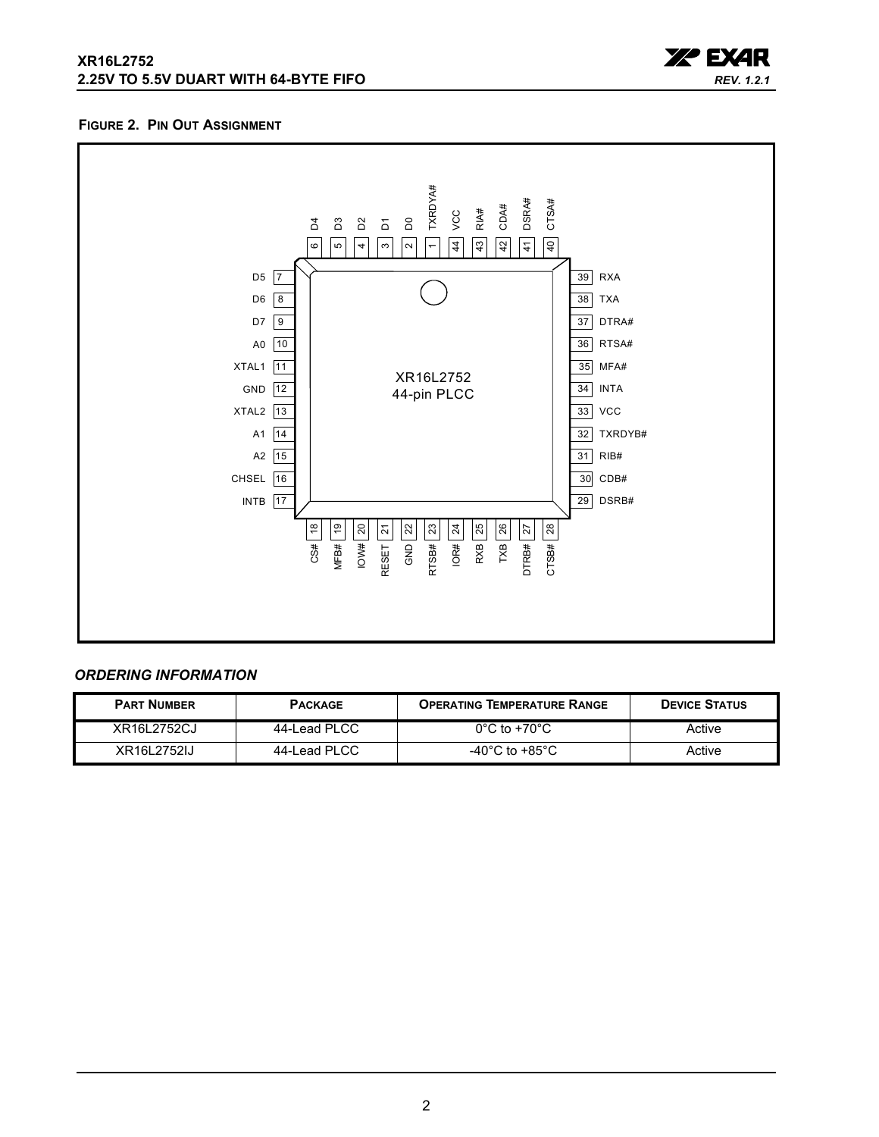## **XR16L2752 2.25V TO 5.5V DUART WITH 64-BYTE FIFO**



#### <span id="page-1-0"></span>**FIGURE 2. PIN OUT ASSIGNMENT**



## <span id="page-1-1"></span>*ORDERING INFORMATION*

| <b>PART NUMBER</b> | <b>PACKAGE</b> | <b>OPERATING TEMPERATURE RANGE</b> | <b>DEVICE STATUS</b> |
|--------------------|----------------|------------------------------------|----------------------|
| XR16L2752CJ        | 44-Lead PLCC   | $0^{\circ}$ C to +70 $^{\circ}$ C  | Active               |
| XR16L2752IJ        | 44-Lead PLCC   | -40°C to +85°C                     | Active               |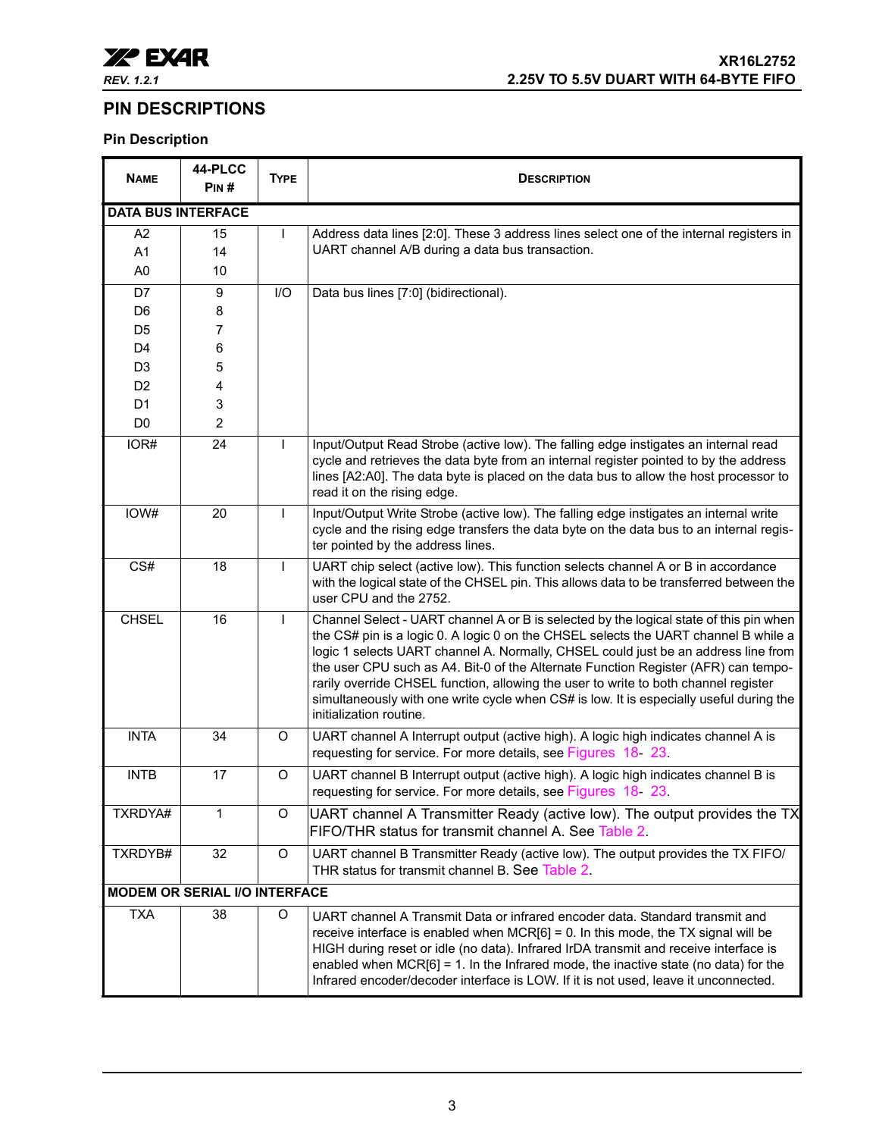

## <span id="page-2-0"></span>**PIN DESCRIPTIONS**

## **Pin Description**

| <b>NAME</b>    | 44-PLCC<br>PIN#                      | <b>TYPE</b>  | <b>DESCRIPTION</b>                                                                                                                                                                                                                                                                                                                                                                                                                                                                                                                                                     |  |  |  |  |  |
|----------------|--------------------------------------|--------------|------------------------------------------------------------------------------------------------------------------------------------------------------------------------------------------------------------------------------------------------------------------------------------------------------------------------------------------------------------------------------------------------------------------------------------------------------------------------------------------------------------------------------------------------------------------------|--|--|--|--|--|
|                | <b>DATA BUS INTERFACE</b>            |              |                                                                                                                                                                                                                                                                                                                                                                                                                                                                                                                                                                        |  |  |  |  |  |
| A2             | 15                                   | $\mathsf{L}$ | Address data lines [2:0]. These 3 address lines select one of the internal registers in                                                                                                                                                                                                                                                                                                                                                                                                                                                                                |  |  |  |  |  |
| A <sub>1</sub> | 14                                   |              | UART channel A/B during a data bus transaction.                                                                                                                                                                                                                                                                                                                                                                                                                                                                                                                        |  |  |  |  |  |
| A <sub>0</sub> | 10                                   |              |                                                                                                                                                                                                                                                                                                                                                                                                                                                                                                                                                                        |  |  |  |  |  |
| D7             | 9                                    | I/O          | Data bus lines [7:0] (bidirectional).                                                                                                                                                                                                                                                                                                                                                                                                                                                                                                                                  |  |  |  |  |  |
| D <sub>6</sub> | 8                                    |              |                                                                                                                                                                                                                                                                                                                                                                                                                                                                                                                                                                        |  |  |  |  |  |
| D <sub>5</sub> | 7                                    |              |                                                                                                                                                                                                                                                                                                                                                                                                                                                                                                                                                                        |  |  |  |  |  |
| D <sub>4</sub> | 6                                    |              |                                                                                                                                                                                                                                                                                                                                                                                                                                                                                                                                                                        |  |  |  |  |  |
| D <sub>3</sub> | 5                                    |              |                                                                                                                                                                                                                                                                                                                                                                                                                                                                                                                                                                        |  |  |  |  |  |
| D <sub>2</sub> | 4                                    |              |                                                                                                                                                                                                                                                                                                                                                                                                                                                                                                                                                                        |  |  |  |  |  |
| D <sub>1</sub> | 3                                    |              |                                                                                                                                                                                                                                                                                                                                                                                                                                                                                                                                                                        |  |  |  |  |  |
| D <sub>0</sub> | $\overline{2}$                       |              |                                                                                                                                                                                                                                                                                                                                                                                                                                                                                                                                                                        |  |  |  |  |  |
| IOR#           | 24                                   | $\mathsf{I}$ | Input/Output Read Strobe (active low). The falling edge instigates an internal read<br>cycle and retrieves the data byte from an internal register pointed to by the address<br>lines [A2:A0]. The data byte is placed on the data bus to allow the host processor to<br>read it on the rising edge.                                                                                                                                                                                                                                                                   |  |  |  |  |  |
| IOW#           | 20                                   | $\mathsf{L}$ | Input/Output Write Strobe (active low). The falling edge instigates an internal write<br>cycle and the rising edge transfers the data byte on the data bus to an internal regis-<br>ter pointed by the address lines.                                                                                                                                                                                                                                                                                                                                                  |  |  |  |  |  |
| CS#            | 18                                   | $\mathsf{I}$ | UART chip select (active low). This function selects channel A or B in accordance<br>with the logical state of the CHSEL pin. This allows data to be transferred between the<br>user CPU and the 2752.                                                                                                                                                                                                                                                                                                                                                                 |  |  |  |  |  |
| <b>CHSEL</b>   | 16                                   | $\mathbf{I}$ | Channel Select - UART channel A or B is selected by the logical state of this pin when<br>the CS# pin is a logic 0. A logic 0 on the CHSEL selects the UART channel B while a<br>logic 1 selects UART channel A. Normally, CHSEL could just be an address line from<br>the user CPU such as A4. Bit-0 of the Alternate Function Register (AFR) can tempo-<br>rarily override CHSEL function, allowing the user to write to both channel register<br>simultaneously with one write cycle when CS# is low. It is especially useful during the<br>initialization routine. |  |  |  |  |  |
| <b>INTA</b>    | 34                                   | O            | UART channel A Interrupt output (active high). A logic high indicates channel A is<br>requesting for service. For more details, see Figures 18 23.                                                                                                                                                                                                                                                                                                                                                                                                                     |  |  |  |  |  |
| <b>INTB</b>    | 17                                   | O            | UART channel B Interrupt output (active high). A logic high indicates channel B is<br>requesting for service. For more details, see Figures 18 23                                                                                                                                                                                                                                                                                                                                                                                                                      |  |  |  |  |  |
| TXRDYA#        | 1                                    | O            | UART channel A Transmitter Ready (active low). The output provides the TX<br>FIFO/THR status for transmit channel A. See Table 2.                                                                                                                                                                                                                                                                                                                                                                                                                                      |  |  |  |  |  |
| TXRDYB#        | 32                                   | O            | UART channel B Transmitter Ready (active low). The output provides the TX FIFO/<br>THR status for transmit channel B. See Table 2.                                                                                                                                                                                                                                                                                                                                                                                                                                     |  |  |  |  |  |
|                | <b>MODEM OR SERIAL I/O INTERFACE</b> |              |                                                                                                                                                                                                                                                                                                                                                                                                                                                                                                                                                                        |  |  |  |  |  |
| <b>TXA</b>     | 38                                   | O            | UART channel A Transmit Data or infrared encoder data. Standard transmit and<br>receive interface is enabled when $MCR[6] = 0$ . In this mode, the TX signal will be<br>HIGH during reset or idle (no data). Infrared IrDA transmit and receive interface is<br>enabled when $MCR[6] = 1$ . In the Infrared mode, the inactive state (no data) for the<br>Infrared encoder/decoder interface is LOW. If it is not used, leave it unconnected.                                                                                                                          |  |  |  |  |  |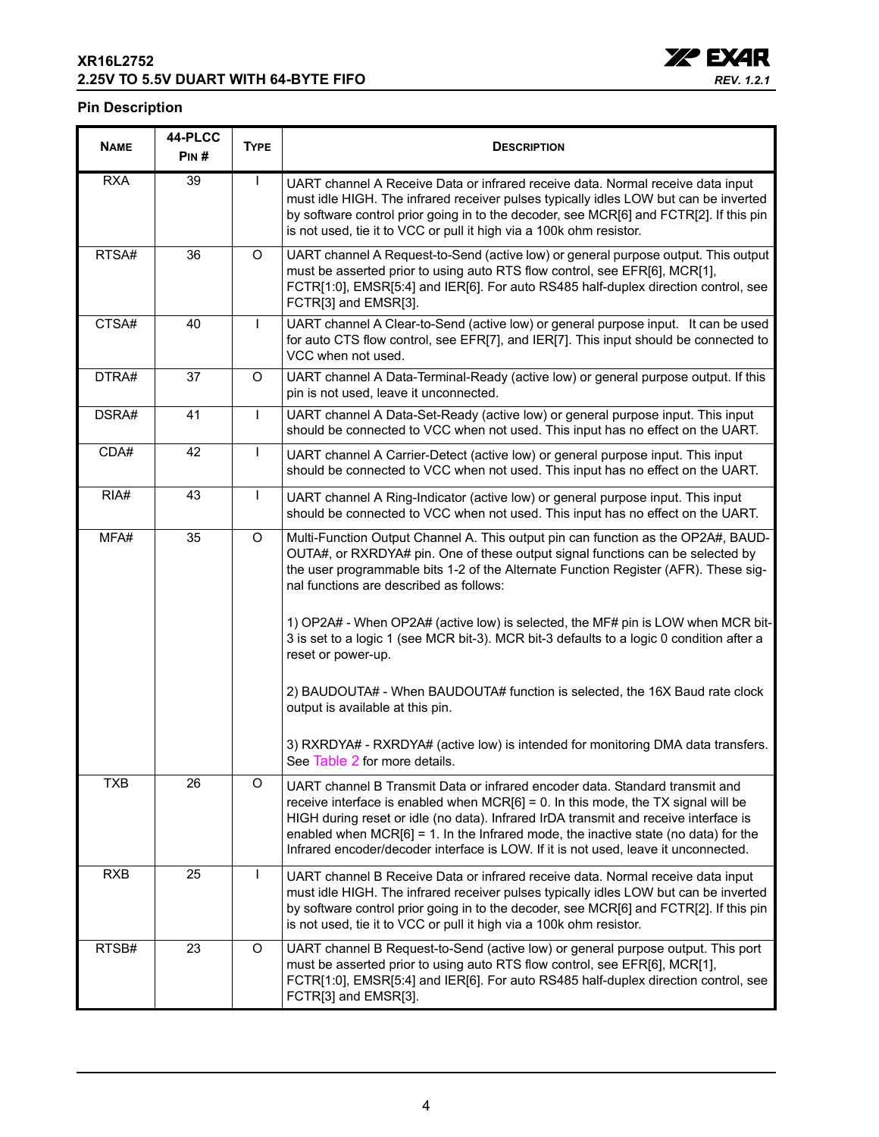## **XR16L2752 2.25V TO 5.5V DUART WITH 64-BYTE FIFO**



#### **Pin Description**

| <b>NAME</b> | 44-PLCC<br>$P$ IN# | <b>TYPE</b>  | <b>DESCRIPTION</b>                                                                                                                                                                                                                                                                                                                                                                                                                            |  |
|-------------|--------------------|--------------|-----------------------------------------------------------------------------------------------------------------------------------------------------------------------------------------------------------------------------------------------------------------------------------------------------------------------------------------------------------------------------------------------------------------------------------------------|--|
| <b>RXA</b>  | 39                 | $\mathbf{I}$ | UART channel A Receive Data or infrared receive data. Normal receive data input<br>must idle HIGH. The infrared receiver pulses typically idles LOW but can be inverted<br>by software control prior going in to the decoder, see MCR[6] and FCTR[2]. If this pin<br>is not used, tie it to VCC or pull it high via a 100k ohm resistor.                                                                                                      |  |
| RTSA#       | 36                 | O            | UART channel A Request-to-Send (active low) or general purpose output. This output<br>must be asserted prior to using auto RTS flow control, see EFR[6], MCR[1],<br>FCTR[1:0], EMSR[5:4] and IER[6]. For auto RS485 half-duplex direction control, see<br>FCTR[3] and EMSR[3].                                                                                                                                                                |  |
| CTSA#       | 40                 | $\mathbf{I}$ | UART channel A Clear-to-Send (active low) or general purpose input. It can be used<br>for auto CTS flow control, see EFR[7], and IER[7]. This input should be connected to<br>VCC when not used.                                                                                                                                                                                                                                              |  |
| DTRA#       | 37                 | O            | UART channel A Data-Terminal-Ready (active low) or general purpose output. If this<br>pin is not used, leave it unconnected.                                                                                                                                                                                                                                                                                                                  |  |
| DSRA#       | 41                 |              | UART channel A Data-Set-Ready (active low) or general purpose input. This input<br>should be connected to VCC when not used. This input has no effect on the UART.                                                                                                                                                                                                                                                                            |  |
| CDA#        | 42                 | $\mathbf{I}$ | UART channel A Carrier-Detect (active low) or general purpose input. This input<br>should be connected to VCC when not used. This input has no effect on the UART.                                                                                                                                                                                                                                                                            |  |
| RIA#        | 43                 | $\mathsf{I}$ | UART channel A Ring-Indicator (active low) or general purpose input. This input<br>should be connected to VCC when not used. This input has no effect on the UART.                                                                                                                                                                                                                                                                            |  |
| MFA#        | 35                 | O            | Multi-Function Output Channel A. This output pin can function as the OP2A#, BAUD-<br>OUTA#, or RXRDYA# pin. One of these output signal functions can be selected by<br>the user programmable bits 1-2 of the Alternate Function Register (AFR). These sig-<br>nal functions are described as follows:<br>1) OP2A# - When OP2A# (active low) is selected, the MF# pin is LOW when MCR bit-                                                     |  |
|             |                    |              | 3 is set to a logic 1 (see MCR bit-3). MCR bit-3 defaults to a logic 0 condition after a<br>reset or power-up.                                                                                                                                                                                                                                                                                                                                |  |
|             |                    |              | 2) BAUDOUTA# - When BAUDOUTA# function is selected, the 16X Baud rate clock<br>output is available at this pin.                                                                                                                                                                                                                                                                                                                               |  |
|             |                    |              | 3) RXRDYA# - RXRDYA# (active low) is intended for monitoring DMA data transfers.<br>See Table 2 for more details.                                                                                                                                                                                                                                                                                                                             |  |
| <b>TXB</b>  | 26                 | O            | UART channel B Transmit Data or infrared encoder data. Standard transmit and<br>receive interface is enabled when $MCR[6] = 0$ . In this mode, the TX signal will be<br>HIGH during reset or idle (no data). Infrared IrDA transmit and receive interface is<br>enabled when $MCR[6] = 1$ . In the Infrared mode, the inactive state (no data) for the<br>Infrared encoder/decoder interface is LOW. If it is not used, leave it unconnected. |  |
| <b>RXB</b>  | 25                 |              | UART channel B Receive Data or infrared receive data. Normal receive data input<br>must idle HIGH. The infrared receiver pulses typically idles LOW but can be inverted<br>by software control prior going in to the decoder, see MCR[6] and FCTR[2]. If this pin<br>is not used, tie it to VCC or pull it high via a 100k ohm resistor.                                                                                                      |  |
| RTSB#       | 23                 | O            | UART channel B Request-to-Send (active low) or general purpose output. This port<br>must be asserted prior to using auto RTS flow control, see EFR[6], MCR[1],<br>FCTR[1:0], EMSR[5:4] and IER[6]. For auto RS485 half-duplex direction control, see<br>FCTR[3] and EMSR[3].                                                                                                                                                                  |  |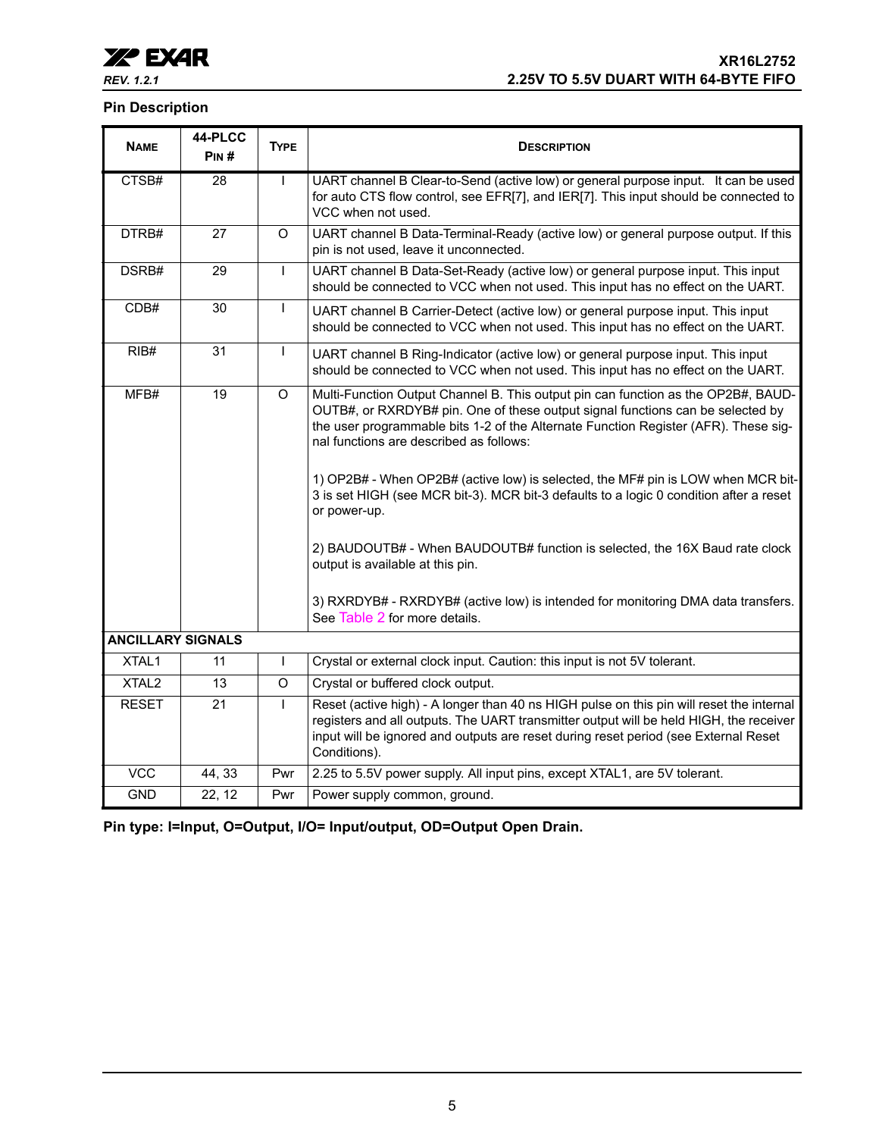## **Pin Description**

| <b>NAME</b>              | 44-PLCC<br>PIN# | <b>TYPE</b>  | <b>DESCRIPTION</b>                                                                                                                                                                                                                                                                                                                                                                                                                                                                                                                                                                                                                                                                                                                          |  |  |
|--------------------------|-----------------|--------------|---------------------------------------------------------------------------------------------------------------------------------------------------------------------------------------------------------------------------------------------------------------------------------------------------------------------------------------------------------------------------------------------------------------------------------------------------------------------------------------------------------------------------------------------------------------------------------------------------------------------------------------------------------------------------------------------------------------------------------------------|--|--|
| CTSB#                    | $\overline{28}$ | $\mathsf{I}$ | UART channel B Clear-to-Send (active low) or general purpose input. It can be used<br>for auto CTS flow control, see EFR[7], and IER[7]. This input should be connected to<br>VCC when not used.                                                                                                                                                                                                                                                                                                                                                                                                                                                                                                                                            |  |  |
| DTRB#                    | 27              | O            | UART channel B Data-Terminal-Ready (active low) or general purpose output. If this<br>pin is not used, leave it unconnected.                                                                                                                                                                                                                                                                                                                                                                                                                                                                                                                                                                                                                |  |  |
| DSRB#                    | 29              | $\mathbf{I}$ | UART channel B Data-Set-Ready (active low) or general purpose input. This input<br>should be connected to VCC when not used. This input has no effect on the UART.                                                                                                                                                                                                                                                                                                                                                                                                                                                                                                                                                                          |  |  |
| CDB#                     | 30              | $\mathbf{I}$ | UART channel B Carrier-Detect (active low) or general purpose input. This input<br>should be connected to VCC when not used. This input has no effect on the UART.                                                                                                                                                                                                                                                                                                                                                                                                                                                                                                                                                                          |  |  |
| RIB#                     | 31              | $\mathsf{I}$ | UART channel B Ring-Indicator (active low) or general purpose input. This input<br>should be connected to VCC when not used. This input has no effect on the UART.                                                                                                                                                                                                                                                                                                                                                                                                                                                                                                                                                                          |  |  |
| MFB#                     | 19              | O            | Multi-Function Output Channel B. This output pin can function as the OP2B#, BAUD-<br>OUTB#, or RXRDYB# pin. One of these output signal functions can be selected by<br>the user programmable bits 1-2 of the Alternate Function Register (AFR). These sig-<br>nal functions are described as follows:<br>1) OP2B# - When OP2B# (active low) is selected, the MF# pin is LOW when MCR bit-<br>3 is set HIGH (see MCR bit-3). MCR bit-3 defaults to a logic 0 condition after a reset<br>or power-up.<br>2) BAUDOUTB# - When BAUDOUTB# function is selected, the 16X Baud rate clock<br>output is available at this pin.<br>3) RXRDYB# - RXRDYB# (active low) is intended for monitoring DMA data transfers.<br>See Table 2 for more details. |  |  |
| <b>ANCILLARY SIGNALS</b> |                 |              |                                                                                                                                                                                                                                                                                                                                                                                                                                                                                                                                                                                                                                                                                                                                             |  |  |
| XTAL1                    | 11              | $\mathbf{I}$ | Crystal or external clock input. Caution: this input is not 5V tolerant.                                                                                                                                                                                                                                                                                                                                                                                                                                                                                                                                                                                                                                                                    |  |  |
| XTAL <sub>2</sub>        | 13              | O            | Crystal or buffered clock output.                                                                                                                                                                                                                                                                                                                                                                                                                                                                                                                                                                                                                                                                                                           |  |  |
| <b>RESET</b>             | 21              | $\mathsf{I}$ | Reset (active high) - A longer than 40 ns HIGH pulse on this pin will reset the internal<br>registers and all outputs. The UART transmitter output will be held HIGH, the receiver<br>input will be ignored and outputs are reset during reset period (see External Reset<br>Conditions).                                                                                                                                                                                                                                                                                                                                                                                                                                                   |  |  |
| <b>VCC</b>               | 44, 33          | Pwr          | 2.25 to 5.5V power supply. All input pins, except XTAL1, are 5V tolerant.                                                                                                                                                                                                                                                                                                                                                                                                                                                                                                                                                                                                                                                                   |  |  |
| <b>GND</b>               | 22, 12          | Pwr          | Power supply common, ground.                                                                                                                                                                                                                                                                                                                                                                                                                                                                                                                                                                                                                                                                                                                |  |  |

**Pin type: I=Input, O=Output, I/O= Input/output, OD=Output Open Drain.**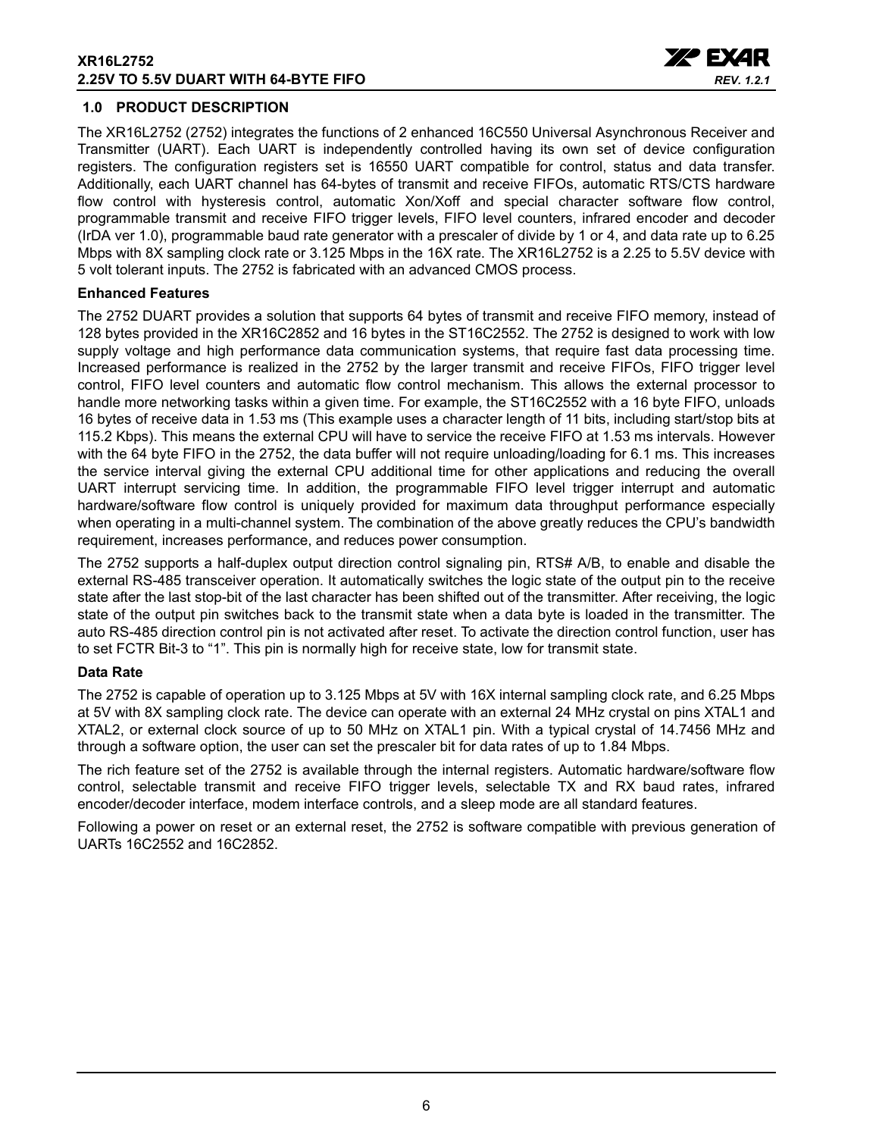#### **XR16L2752 2.25V TO 5.5V DUART WITH 64-BYTE FIFO**



## <span id="page-5-0"></span>**1.0 PRODUCT DESCRIPTION**

The XR16L2752 (2752) integrates the functions of 2 enhanced 16C550 Universal Asynchronous Receiver and Transmitter (UART). Each UART is independently controlled having its own set of device configuration registers. The configuration registers set is 16550 UART compatible for control, status and data transfer. Additionally, each UART channel has 64-bytes of transmit and receive FIFOs, automatic RTS/CTS hardware flow control with hysteresis control, automatic Xon/Xoff and special character software flow control, programmable transmit and receive FIFO trigger levels, FIFO level counters, infrared encoder and decoder (IrDA ver 1.0), programmable baud rate generator with a prescaler of divide by 1 or 4, and data rate up to 6.25 Mbps with 8X sampling clock rate or 3.125 Mbps in the 16X rate. The XR16L2752 is a 2.25 to 5.5V device with 5 volt tolerant inputs. The 2752 is fabricated with an advanced CMOS process.

#### **Enhanced Features**

The 2752 DUART provides a solution that supports 64 bytes of transmit and receive FIFO memory, instead of 128 bytes provided in the XR16C2852 and 16 bytes in the ST16C2552. The 2752 is designed to work with low supply voltage and high performance data communication systems, that require fast data processing time. Increased performance is realized in the 2752 by the larger transmit and receive FIFOs, FIFO trigger level control, FIFO level counters and automatic flow control mechanism. This allows the external processor to handle more networking tasks within a given time. For example, the ST16C2552 with a 16 byte FIFO, unloads 16 bytes of receive data in 1.53 ms (This example uses a character length of 11 bits, including start/stop bits at 115.2 Kbps). This means the external CPU will have to service the receive FIFO at 1.53 ms intervals. However with the 64 byte FIFO in the 2752, the data buffer will not require unloading/loading for 6.1 ms. This increases the service interval giving the external CPU additional time for other applications and reducing the overall UART interrupt servicing time. In addition, the programmable FIFO level trigger interrupt and automatic hardware/software flow control is uniquely provided for maximum data throughput performance especially when operating in a multi-channel system. The combination of the above greatly reduces the CPU's bandwidth requirement, increases performance, and reduces power consumption.

The 2752 supports a half-duplex output direction control signaling pin, RTS# A/B, to enable and disable the external RS-485 transceiver operation. It automatically switches the logic state of the output pin to the receive state after the last stop-bit of the last character has been shifted out of the transmitter. After receiving, the logic state of the output pin switches back to the transmit state when a data byte is loaded in the transmitter. The auto RS-485 direction control pin is not activated after reset. To activate the direction control function, user has to set FCTR Bit-3 to "1". This pin is normally high for receive state, low for transmit state.

## **Data Rate**

The 2752 is capable of operation up to 3.125 Mbps at 5V with 16X internal sampling clock rate, and 6.25 Mbps at 5V with 8X sampling clock rate. The device can operate with an external 24 MHz crystal on pins XTAL1 and XTAL2, or external clock source of up to 50 MHz on XTAL1 pin. With a typical crystal of 14.7456 MHz and through a software option, the user can set the prescaler bit for data rates of up to 1.84 Mbps.

The rich feature set of the 2752 is available through the internal registers. Automatic hardware/software flow control, selectable transmit and receive FIFO trigger levels, selectable TX and RX baud rates, infrared encoder/decoder interface, modem interface controls, and a sleep mode are all standard features.

Following a power on reset or an external reset, the 2752 is software compatible with previous generation of UARTs 16C2552 and 16C2852.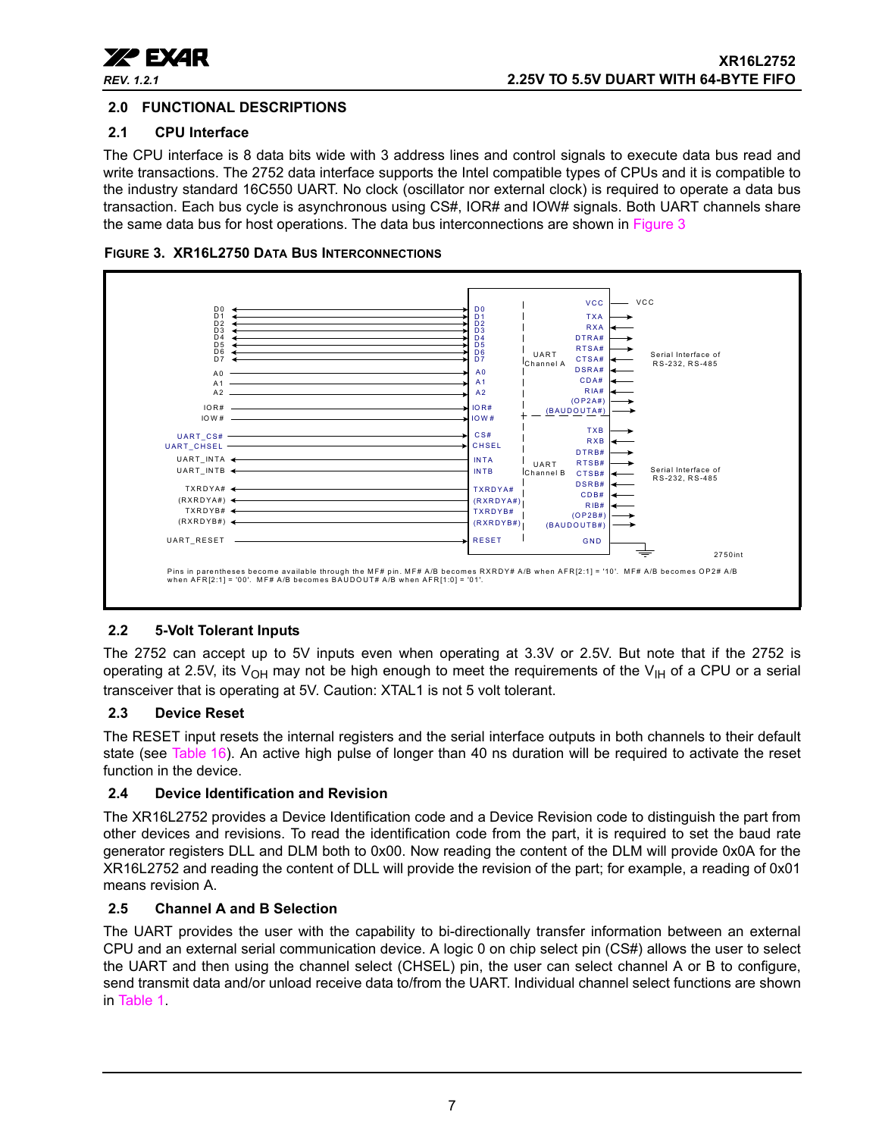

## <span id="page-6-1"></span>**2.0 FUNCTIONAL DESCRIPTIONS**

## <span id="page-6-2"></span>**2.1 CPU Interface**

The CPU interface is 8 data bits wide with 3 address lines and control signals to execute data bus read and write transactions. The 2752 data interface supports the Intel compatible types of CPUs and it is compatible to the industry standard 16C550 UART. No clock (oscillator nor external clock) is required to operate a data bus transaction. Each bus cycle is asynchronous using CS#, IOR# and IOW# signals. Both UART channels share the same data bus for host operations. The data bus interconnections are shown in [Figure](#page-6-0) 3

<span id="page-6-0"></span>



## <span id="page-6-3"></span>**2.2 5-Volt Tolerant Inputs**

The 2752 can accept up to 5V inputs even when operating at 3.3V or 2.5V. But note that if the 2752 is operating at 2.5V, its V<sub>OH</sub> may not be high enough to meet the requirements of the V<sub>IH</sub> of a CPU or a serial transceiver that is operating at 5V. Caution: XTAL1 is not 5 volt tolerant.

## <span id="page-6-4"></span>**2.3 Device Reset**

The RESET input resets the internal registers and the serial interface outputs in both channels to their default state (see [Table](#page-37-0) 16). An active high pulse of longer than 40 ns duration will be required to activate the reset function in the device.

## <span id="page-6-5"></span>**2.4 Device Identification and Revision**

The XR16L2752 provides a Device Identification code and a Device Revision code to distinguish the part from other devices and revisions. To read the identification code from the part, it is required to set the baud rate generator registers DLL and DLM both to 0x00. Now reading the content of the DLM will provide 0x0A for the XR16L2752 and reading the content of DLL will provide the revision of the part; for example, a reading of 0x01 means revision A.

## <span id="page-6-6"></span>**2.5 Channel A and B Selection**

The UART provides the user with the capability to bi-directionally transfer information between an external CPU and an external serial communication device. A logic 0 on chip select pin (CS#) allows the user to select the UART and then using the channel select (CHSEL) pin, the user can select channel A or B to configure, send transmit data and/or unload receive data to/from the UART. Individual channel select functions are shown in [Table](#page-7-1) 1.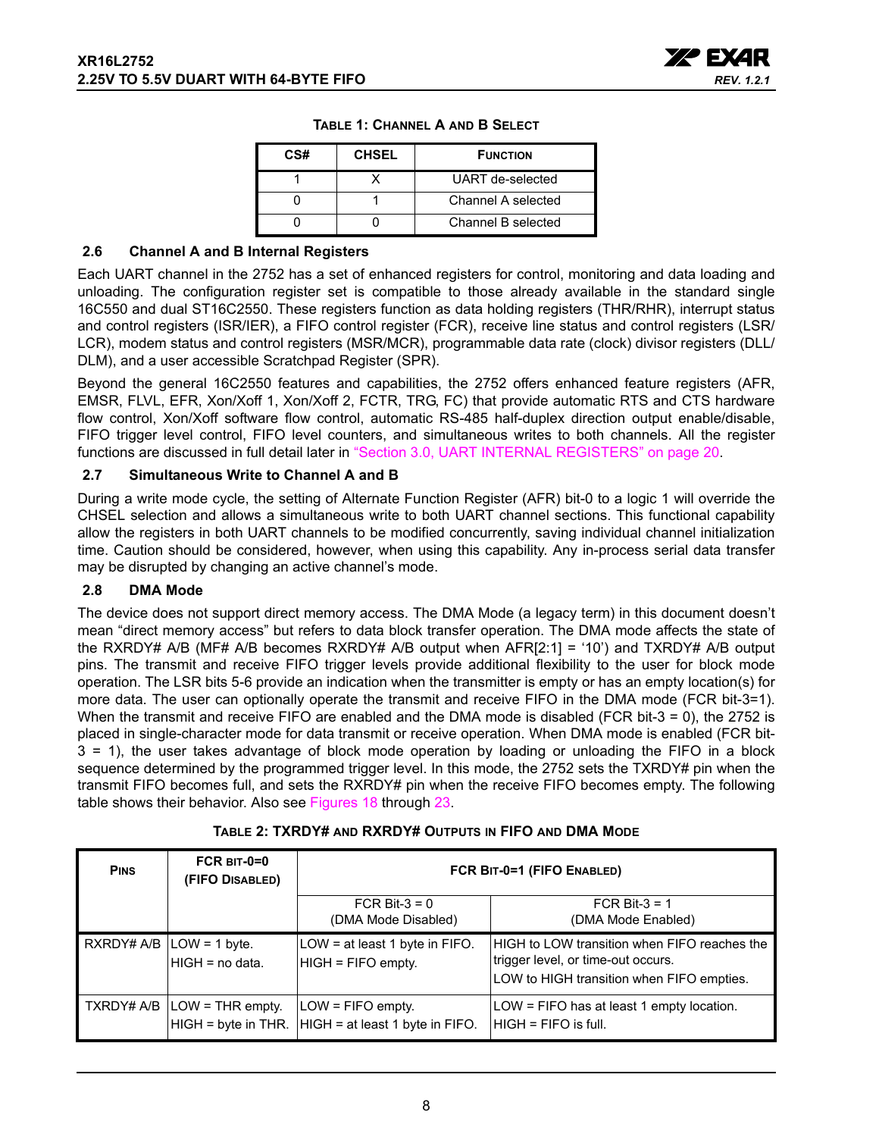

| CS# | <b>CHSEL</b> | <b>FUNCTION</b>    |
|-----|--------------|--------------------|
|     |              | UART de-selected   |
|     |              | Channel A selected |
|     |              | Channel B selected |

|  | TABLE 1: CHANNEL A AND B SELECT |  |  |  |
|--|---------------------------------|--|--|--|
|--|---------------------------------|--|--|--|

#### <span id="page-7-2"></span><span id="page-7-1"></span>**2.6 Channel A and B Internal Registers**

Each UART channel in the 2752 has a set of enhanced registers for control, monitoring and data loading and unloading. The configuration register set is compatible to those already available in the standard single 16C550 and dual ST16C2550. These registers function as data holding registers (THR/RHR), interrupt status and control registers (ISR/IER), a FIFO control register (FCR), receive line status and control registers (LSR/ LCR), modem status and control registers (MSR/MCR), programmable data rate (clock) divisor registers (DLL/ DLM), and a user accessible Scratchpad Register (SPR).

Beyond the general 16C2550 features and capabilities, the 2752 offers enhanced feature registers (AFR, EMSR, FLVL, EFR, Xon/Xoff 1, Xon/Xoff 2, FCTR, TRG, FC) that provide automatic RTS and CTS hardware flow control, Xon/Xoff software flow control, automatic RS-485 half-duplex direction output enable/disable, FIFO trigger level control, FIFO level counters, and simultaneous writes to both channels. All the register functions are discussed in full detail later in ["Section 3.0, UART INTERNAL REGISTERS" on page](#page-19-0) 20.

#### <span id="page-7-3"></span>**2.7 Simultaneous Write to Channel A and B**

During a write mode cycle, the setting of Alternate Function Register (AFR) bit-0 to a logic 1 will override the CHSEL selection and allows a simultaneous write to both UART channel sections. This functional capability allow the registers in both UART channels to be modified concurrently, saving individual channel initialization time. Caution should be considered, however, when using this capability. Any in-process serial data transfer may be disrupted by changing an active channel's mode.

#### <span id="page-7-4"></span>**2.8 DMA Mode**

The device does not support direct memory access. The DMA Mode (a legacy term) in this document doesn't mean "direct memory access" but refers to data block transfer operation. The DMA mode affects the state of the RXRDY# A/B (MF# A/B becomes RXRDY# A/B output when AFR[2:1] = '10') and TXRDY# A/B output pins. The transmit and receive FIFO trigger levels provide additional flexibility to the user for block mode operation. The LSR bits 5-6 provide an indication when the transmitter is empty or has an empty location(s) for more data. The user can optionally operate the transmit and receive FIFO in the DMA mode (FCR bit-3=1). When the transmit and receive FIFO are enabled and the DMA mode is disabled (FCR bit-3 = 0), the 2752 is placed in single-character mode for data transmit or receive operation. When DMA mode is enabled (FCR bit-3 = 1), the user takes advantage of block mode operation by loading or unloading the FIFO in a block sequence determined by the programmed trigger level. In this mode, the 2752 sets the TXRDY# pin when the transmit FIFO becomes full, and sets the RXRDY# pin when the receive FIFO becomes empty. The following table shows their behavior. Also see Figures [18](#page-42-0) through [23.](#page-44-0)

<span id="page-7-0"></span>

| <b>PINS</b> | $FCR$ BIT-0=0<br>(FIFO DISABLED)                  | FCR BIT-0=1 (FIFO ENABLED)                                                     |                                                                                                                                 |  |  |
|-------------|---------------------------------------------------|--------------------------------------------------------------------------------|---------------------------------------------------------------------------------------------------------------------------------|--|--|
|             |                                                   | FCR Bit- $3 = 0$<br>(DMA Mode Disabled)                                        | FCR Bit-3 = $1$<br>(DMA Mode Enabled)                                                                                           |  |  |
|             | RXRDY# $A/B$   LOW = 1 byte.<br>$HIGH = no data.$ | LOW = at least 1 byte in FIFO.<br>HIGH = FIFO empty.                           | HIGH to LOW transition when FIFO reaches the<br>trigger level, or time-out occurs.<br>LOW to HIGH transition when FIFO empties. |  |  |
|             | $TXRDY# A/B  LOW = THR empty.$                    | $LOW = FIFO$ empty.<br>$HIGH = byte in THE.$ $HIGH = at least 1 byte in FIFO.$ | $LOW = FIFO$ has at least 1 empty location.<br>IHIGH = FIFO is full.                                                            |  |  |

## **TABLE 2: TXRDY# AND RXRDY# OUTPUTS IN FIFO AND DMA MODE**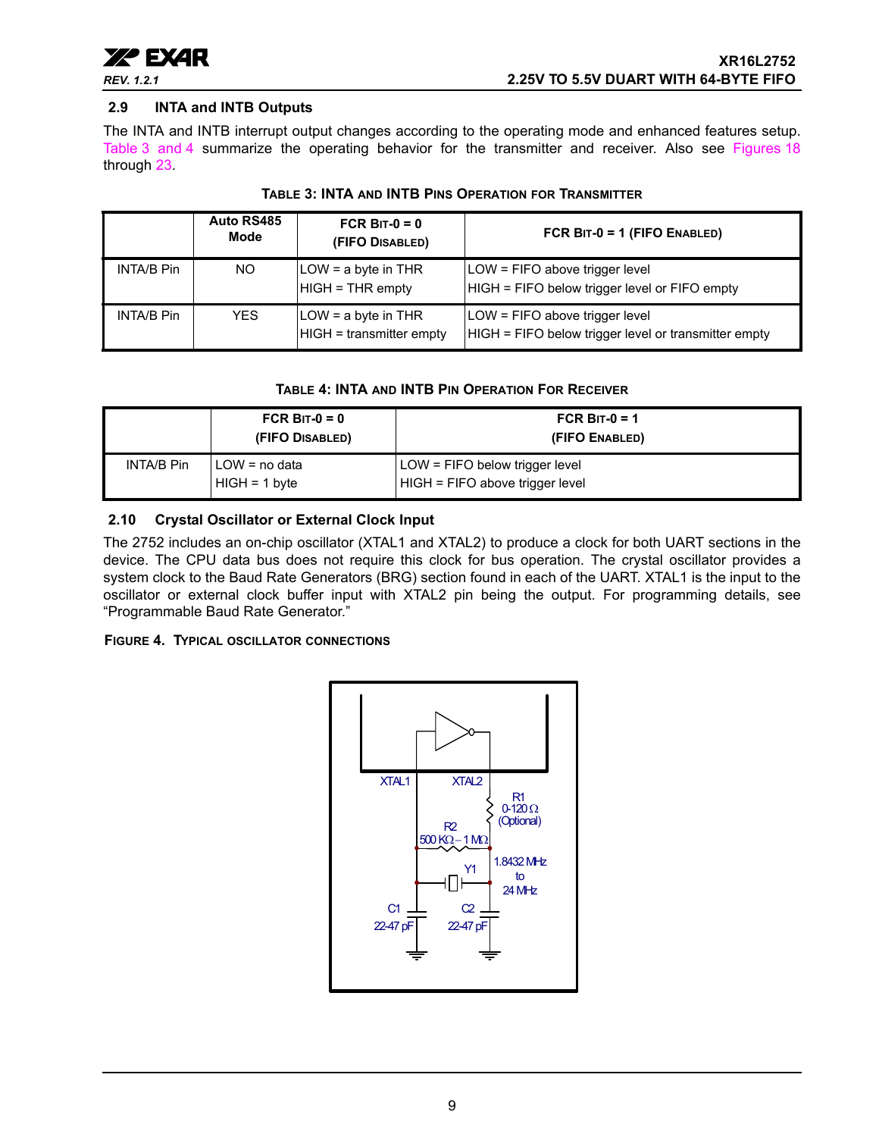

## <span id="page-8-3"></span>**2.9 INTA and INTB Outputs**

The INTA and INTB interrupt output changes according to the operating mode and enhanced features setup. [Table](#page-8-0) 3 [and](#page-8-1) 4 summarize the operating behavior for the transmitter and receiver. Also see Figures [18](#page-42-0) through [23.](#page-44-0)

<span id="page-8-0"></span>

|                   | Auto RS485<br>Mode | FCR BIT- $0 = 0$<br>(FIFO DISABLED)             | FCR $BIT-0 = 1$ (FIFO ENABLED)                                                         |
|-------------------|--------------------|-------------------------------------------------|----------------------------------------------------------------------------------------|
| <b>INTA/B Pin</b> | NO.                | $LOW = a$ byte in THR<br>$HIGH = THR$ empty     | LOW = FIFO above trigger level<br>HIGH = FIFO below trigger level or FIFO empty        |
| <b>INTA/B Pin</b> | <b>YES</b>         | LOW = a byte in THR<br>HIGH = transmitter empty | LOW = FIFO above trigger level<br>HIGH = FIFO below trigger level or transmitter empty |

#### **TABLE 3: INTA AND INTB PINS OPERATION FOR TRANSMITTER**

#### **TABLE 4: INTA AND INTB PIN OPERATION FOR RECEIVER**

<span id="page-8-1"></span>

|            | FCR BIT- $0 = 0$<br>(FIFO DISABLED) | FCR BIT-0 = 1<br>(FIFO ENABLED)                                   |
|------------|-------------------------------------|-------------------------------------------------------------------|
| INTA/B Pin | LOW = no data<br>$HIGH = 1 byte$    | LOW = FIFO below trigger level<br>HIGH = FIFO above trigger level |

## <span id="page-8-4"></span>**2.10 Crystal Oscillator or External Clock Input**

The 2752 includes an on-chip oscillator (XTAL1 and XTAL2) to produce a clock for both UART sections in the device. The CPU data bus does not require this clock for bus operation. The crystal oscillator provides a system clock to the Baud Rate Generators (BRG) section found in each of the UART. XTAL1 is the input to the oscillator or external clock buffer input with XTAL2 pin being the output. For programming details, see "Programmable Baud Rate Generator."

#### <span id="page-8-2"></span>**FIGURE 4. TYPICAL OSCILLATOR CONNECTIONS**

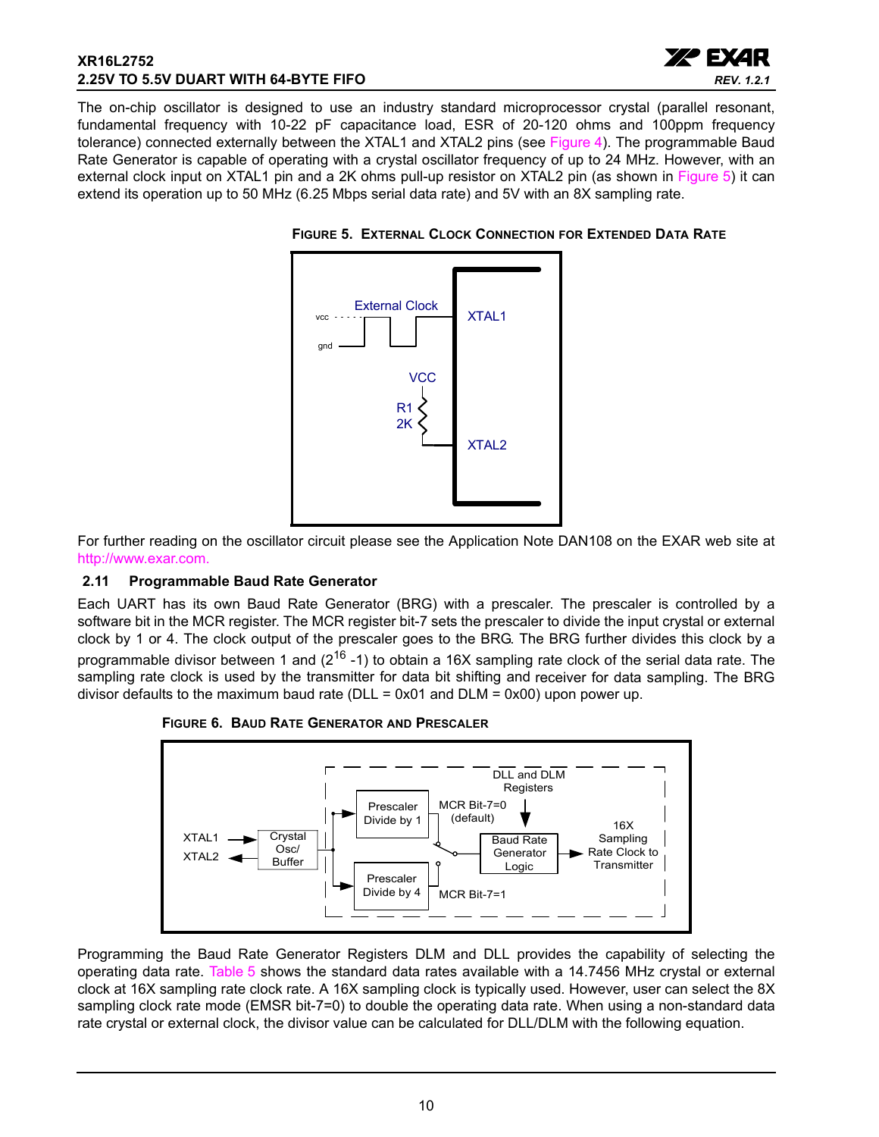## **XR16L2752 2.25V TO 5.5V DUART WITH 64-BYTE FIFO**



The on-chip oscillator is designed to use an industry standard microprocessor crystal (parallel resonant, fundamental frequency with 10-22 pF capacitance load, ESR of 20-120 ohms and 100ppm frequency tolerance) connected externally between the XTAL1 and XTAL2 pins (see [Figure](#page-8-2) 4). The programmable Baud Rate Generator is capable of operating with a crystal oscillator frequency of up to 24 MHz. However, with an external clock input on XTAL1 pin and a 2K ohms pull-up resistor on XTAL2 pin (as shown in [Figure](#page-9-0) 5) it can extend its operation up to 50 MHz (6.25 Mbps serial data rate) and 5V with an 8X sampling rate.



<span id="page-9-0"></span>**FIGURE 5. EXTERNAL CLOCK CONNECTION FOR EXTENDED DATA RATE**

For further reading on the oscillator circuit please see the Application Note DAN108 on the EXAR web site at [http://www.exar.com.](http://exar.com)

## <span id="page-9-1"></span>**2.11 Programmable Baud Rate Generator**

Each UART has its own Baud Rate Generator (BRG) with a prescaler. The prescaler is controlled by a software bit in the MCR register. The MCR register bit-7 sets the prescaler to divide the input crystal or external clock by 1 or 4. The clock output of the prescaler goes to the BRG. The BRG further divides this clock by a programmable divisor between 1 and  $(2^{16} - 1)$  to obtain a 16X sampling rate clock of the serial data rate. The sampling rate clock is used by the transmitter for data bit shifting and receiver for data sampling. The BRG divisor defaults to the maximum baud rate ( $DLL = 0x01$  and  $DLM = 0x00$ ) upon power up.



#### <span id="page-9-2"></span>**FIGURE 6. BAUD RATE GENERATOR AND PRESCALER**

Programming the Baud Rate Generator Registers DLM and DLL provides the capability of selecting the operating data rate. [Table](#page-10-0) 5 shows the standard data rates available with a 14.7456 MHz crystal or external clock at 16X sampling rate clock rate. A 16X sampling clock is typically used. However, user can select the 8X sampling clock rate mode (EMSR bit-7=0) to double the operating data rate. When using a non-standard data rate crystal or external clock, the divisor value can be calculated for DLL/DLM with the following equation.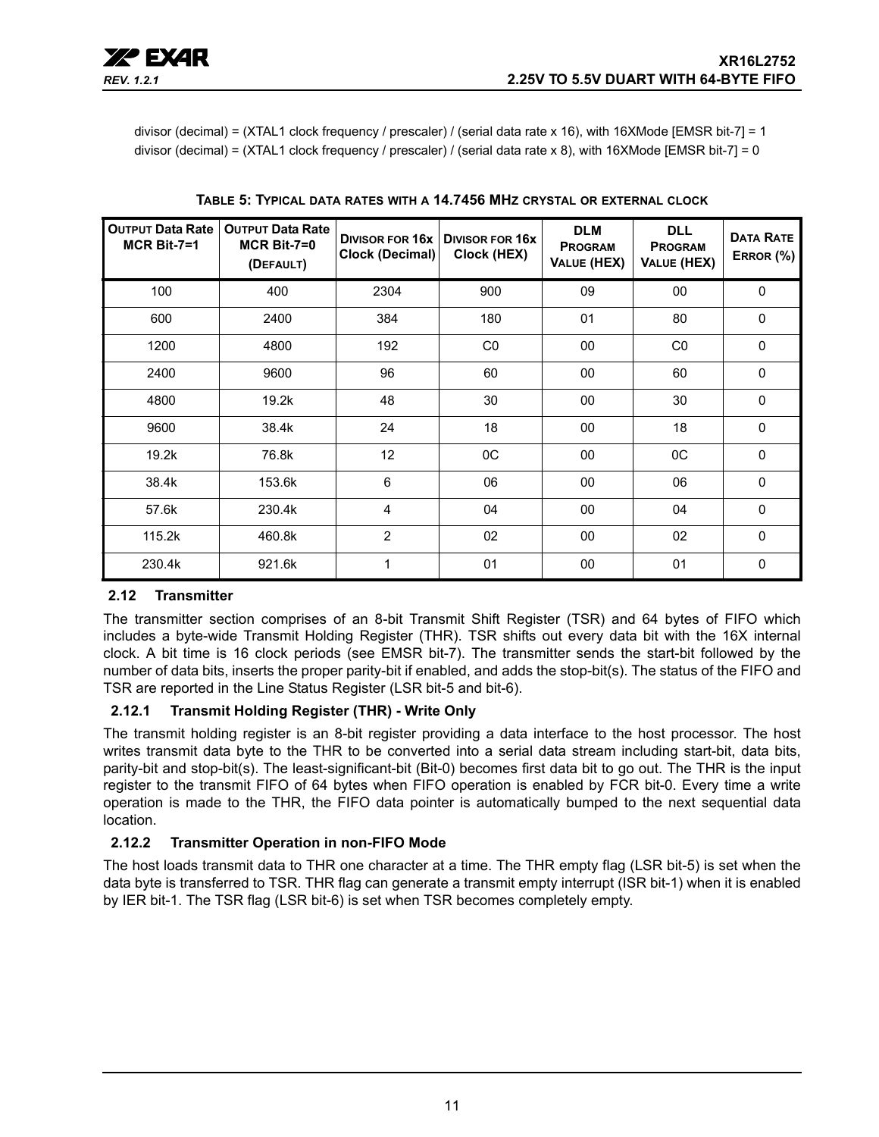divisor (decimal) = (XTAL1 clock frequency / prescaler) / (serial data rate x 16), with 16XMode [EMSR bit-7] = 1 divisor (decimal) = (XTAL1 clock frequency / prescaler) / (serial data rate x 8), with 16XMode [EMSR bit-7] = 0

<span id="page-10-0"></span>

| <b>OUTPUT Data Rate</b><br>$MCR$ Bit-7=1 | <b>OUTPUT Data Rate</b><br><b>MCR Bit-7=0</b><br>(DEFAULT) | <b>Clock (Decimal)</b> | DIVISOR FOR 16x   DIVISOR FOR 16x<br>Clock (HEX) | <b>DLM</b><br><b>PROGRAM</b><br>VALUE (HEX) | <b>DLL</b><br><b>PROGRAM</b><br>VALUE (HEX) | <b>DATA RATE</b><br>ERROR (%) |
|------------------------------------------|------------------------------------------------------------|------------------------|--------------------------------------------------|---------------------------------------------|---------------------------------------------|-------------------------------|
| 100                                      | 400                                                        | 2304                   | 900                                              | 09                                          | 00                                          | $\mathbf 0$                   |
| 600                                      | 2400                                                       | 384                    | 180                                              | 01                                          | 80                                          | $\mathbf 0$                   |
| 1200                                     | 4800                                                       | 192                    | CO                                               | 00                                          | CO                                          | $\mathbf 0$                   |
| 2400                                     | 9600                                                       | 96                     | 60                                               | 00                                          | 60                                          | $\Omega$                      |
| 4800                                     | 19.2k                                                      | 48                     | 30                                               | 00                                          | 30                                          | $\mathbf 0$                   |
| 9600                                     | 38.4k                                                      | 24                     | 18                                               | 00                                          | 18                                          | $\mathbf{0}$                  |
| 19.2k                                    | 76.8k                                                      | 12                     | 0C                                               | 00                                          | OC                                          | $\mathbf 0$                   |
| 38.4k                                    | 153.6k                                                     | 6                      | 06                                               | 00                                          | 06                                          | $\mathbf{0}$                  |
| 57.6k                                    | 230.4k                                                     | 4                      | 04                                               | 00                                          | 04                                          | $\mathbf 0$                   |
| 115.2k                                   | 460.8k                                                     | $\overline{2}$         | 02                                               | 00                                          | 02                                          | $\mathbf 0$                   |
| 230.4k                                   | 921.6k                                                     | 1                      | 01                                               | 00                                          | 01                                          | $\mathbf 0$                   |

**TABLE 5: TYPICAL DATA RATES WITH A 14.7456 MHZ CRYSTAL OR EXTERNAL CLOCK**

## <span id="page-10-1"></span>**2.12 Transmitter**

The transmitter section comprises of an 8-bit Transmit Shift Register (TSR) and 64 bytes of FIFO which includes a byte-wide Transmit Holding Register (THR). TSR shifts out every data bit with the 16X internal clock. A bit time is 16 clock periods (see EMSR bit-7). The transmitter sends the start-bit followed by the number of data bits, inserts the proper parity-bit if enabled, and adds the stop-bit(s). The status of the FIFO and TSR are reported in the Line Status Register (LSR bit-5 and bit-6).

## <span id="page-10-2"></span>**2.12.1 Transmit Holding Register (THR) - Write Only**

The transmit holding register is an 8-bit register providing a data interface to the host processor. The host writes transmit data byte to the THR to be converted into a serial data stream including start-bit, data bits, parity-bit and stop-bit(s). The least-significant-bit (Bit-0) becomes first data bit to go out. The THR is the input register to the transmit FIFO of 64 bytes when FIFO operation is enabled by FCR bit-0. Every time a write operation is made to the THR, the FIFO data pointer is automatically bumped to the next sequential data location.

## <span id="page-10-3"></span>**2.12.2 Transmitter Operation in non-FIFO Mode**

The host loads transmit data to THR one character at a time. The THR empty flag (LSR bit-5) is set when the data byte is transferred to TSR. THR flag can generate a transmit empty interrupt (ISR bit-1) when it is enabled by IER bit-1. The TSR flag (LSR bit-6) is set when TSR becomes completely empty.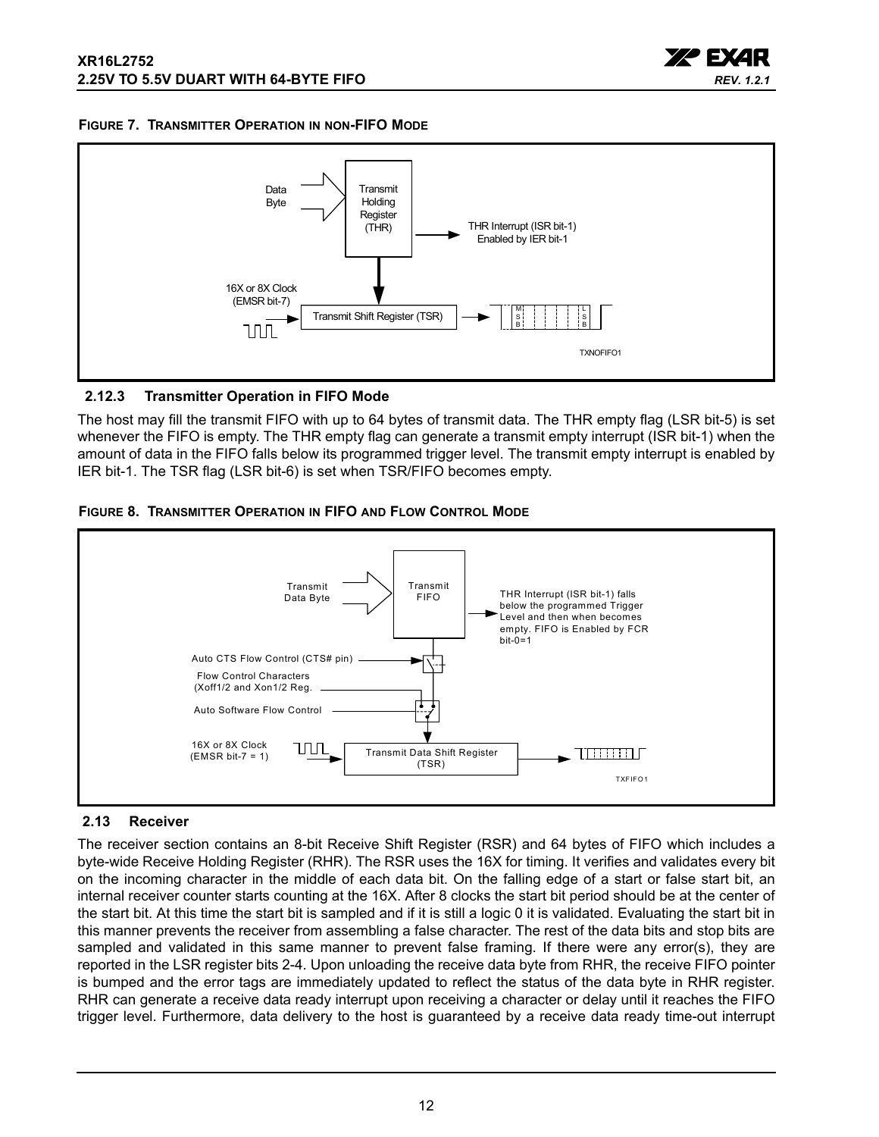

<span id="page-11-1"></span>



#### <span id="page-11-2"></span>**2.12.3 Transmitter Operation in FIFO Mode**

The host may fill the transmit FIFO with up to 64 bytes of transmit data. The THR empty flag (LSR bit-5) is set whenever the FIFO is empty. The THR empty flag can generate a transmit empty interrupt (ISR bit-1) when the amount of data in the FIFO falls below its programmed trigger level. The transmit empty interrupt is enabled by IER bit-1. The TSR flag (LSR bit-6) is set when TSR/FIFO becomes empty.

<span id="page-11-3"></span>



## <span id="page-11-0"></span>**2.13 Receiver**

The receiver section contains an 8-bit Receive Shift Register (RSR) and 64 bytes of FIFO which includes a byte-wide Receive Holding Register (RHR). The RSR uses the 16X for timing. It verifies and validates every bit on the incoming character in the middle of each data bit. On the falling edge of a start or false start bit, an internal receiver counter starts counting at the 16X. After 8 clocks the start bit period should be at the center of the start bit. At this time the start bit is sampled and if it is still a logic 0 it is validated. Evaluating the start bit in this manner prevents the receiver from assembling a false character. The rest of the data bits and stop bits are sampled and validated in this same manner to prevent false framing. If there were any error(s), they are reported in the LSR register bits 2-4. Upon unloading the receive data byte from RHR, the receive FIFO pointer is bumped and the error tags are immediately updated to reflect the status of the data byte in RHR register. RHR can generate a receive data ready interrupt upon receiving a character or delay until it reaches the FIFO trigger level. Furthermore, data delivery to the host is guaranteed by a receive data ready time-out interrupt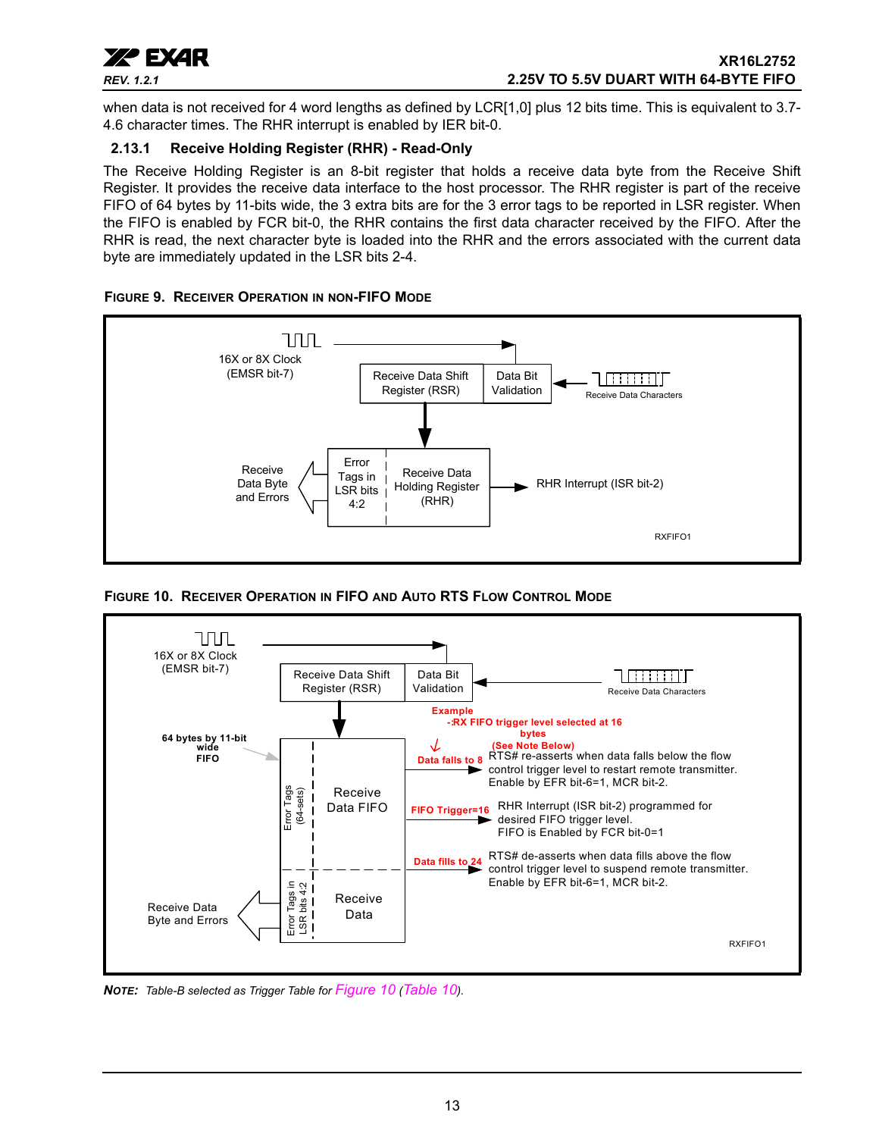

when data is not received for 4 word lengths as defined by LCR[1,0] plus 12 bits time. This is equivalent to 3.7-4.6 character times. The RHR interrupt is enabled by IER bit-0.

## <span id="page-12-1"></span>**2.13.1 Receive Holding Register (RHR) - Read-Only**

The Receive Holding Register is an 8-bit register that holds a receive data byte from the Receive Shift Register. It provides the receive data interface to the host processor. The RHR register is part of the receive FIFO of 64 bytes by 11-bits wide, the 3 extra bits are for the 3 error tags to be reported in LSR register. When the FIFO is enabled by FCR bit-0, the RHR contains the first data character received by the FIFO. After the RHR is read, the next character byte is loaded into the RHR and the errors associated with the current data byte are immediately updated in the LSR bits 2-4.

<span id="page-12-2"></span>



<span id="page-12-0"></span>**FIGURE 10. RECEIVER OPERATION IN FIFO AND AUTO RTS FLOW CONTROL MODE**



*NOTE: Table-B selected as Trigger Table for [Figure](#page-12-0) 10 [\(Table](#page-26-0) 10).*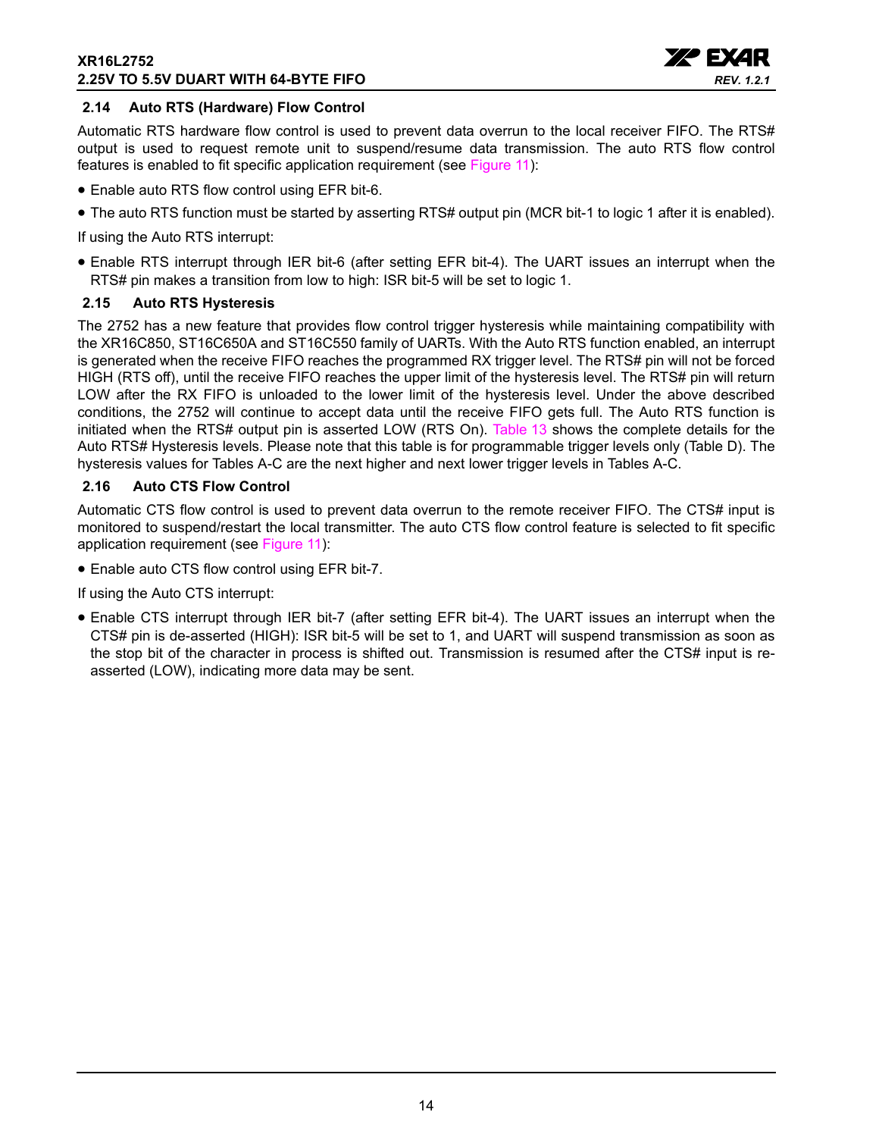

## <span id="page-13-0"></span>**2.14 Auto RTS (Hardware) Flow Control**

Automatic RTS hardware flow control is used to prevent data overrun to the local receiver FIFO. The RTS# output is used to request remote unit to suspend/resume data transmission. The auto RTS flow control features is enabled to fit specific application requirement (see [Figure](#page-14-0) 11):

- Enable auto RTS flow control using EFR bit-6.
- The auto RTS function must be started by asserting RTS# output pin (MCR bit-1 to logic 1 after it is enabled).

If using the Auto RTS interrupt:

• Enable RTS interrupt through IER bit-6 (after setting EFR bit-4). The UART issues an interrupt when the RTS# pin makes a transition from low to high: ISR bit-5 will be set to logic 1.

## <span id="page-13-1"></span>**2.15 Auto RTS Hysteresis**

The 2752 has a new feature that provides flow control trigger hysteresis while maintaining compatibility with the XR16C850, ST16C650A and ST16C550 family of UARTs. With the Auto RTS function enabled, an interrupt is generated when the receive FIFO reaches the programmed RX trigger level. The RTS# pin will not be forced HIGH (RTS off), until the receive FIFO reaches the upper limit of the hysteresis level. The RTS# pin will return LOW after the RX FIFO is unloaded to the lower limit of the hysteresis level. Under the above described conditions, the 2752 will continue to accept data until the receive FIFO gets full. The Auto RTS function is initiated when the RTS# output pin is asserted LOW (RTS On). [Table](#page-32-0) 13 shows the complete details for the Auto RTS# Hysteresis levels. Please note that this table is for programmable trigger levels only (Table D). The hysteresis values for Tables A-C are the next higher and next lower trigger levels in Tables A-C.

## <span id="page-13-2"></span>**2.16 Auto CTS Flow Control**

Automatic CTS flow control is used to prevent data overrun to the remote receiver FIFO. The CTS# input is monitored to suspend/restart the local transmitter. The auto CTS flow control feature is selected to fit specific application requirement (see [Figure](#page-14-0) 11):

• Enable auto CTS flow control using EFR bit-7.

If using the Auto CTS interrupt:

• Enable CTS interrupt through IER bit-7 (after setting EFR bit-4). The UART issues an interrupt when the CTS# pin is de-asserted (HIGH): ISR bit-5 will be set to 1, and UART will suspend transmission as soon as the stop bit of the character in process is shifted out. Transmission is resumed after the CTS# input is reasserted (LOW), indicating more data may be sent.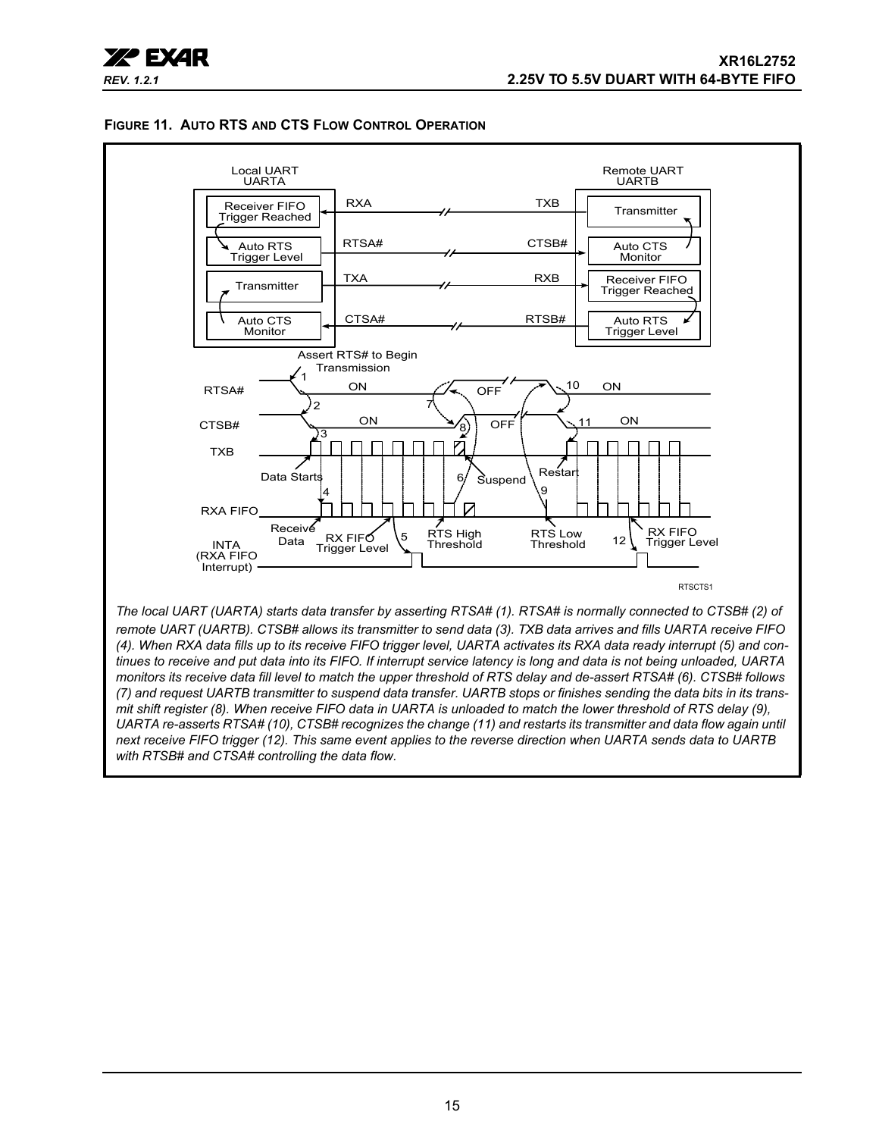

#### <span id="page-14-0"></span>**FIGURE 11. AUTO RTS AND CTS FLOW CONTROL OPERATION**

*(4). When RXA data fills up to its receive FIFO trigger level, UARTA activates its RXA data ready interrupt (5) and continues to receive and put data into its FIFO. If interrupt service latency is long and data is not being unloaded, UARTA monitors its receive data fill level to match the upper threshold of RTS delay and de-assert RTSA# (6). CTSB# follows (7) and request UARTB transmitter to suspend data transfer. UARTB stops or finishes sending the data bits in its transmit shift register (8). When receive FIFO data in UARTA is unloaded to match the lower threshold of RTS delay (9), UARTA re-asserts RTSA# (10), CTSB# recognizes the change (11) and restarts its transmitter and data flow again until next receive FIFO trigger (12). This same event applies to the reverse direction when UARTA sends data to UARTB with RTSB# and CTSA# controlling the data flow.*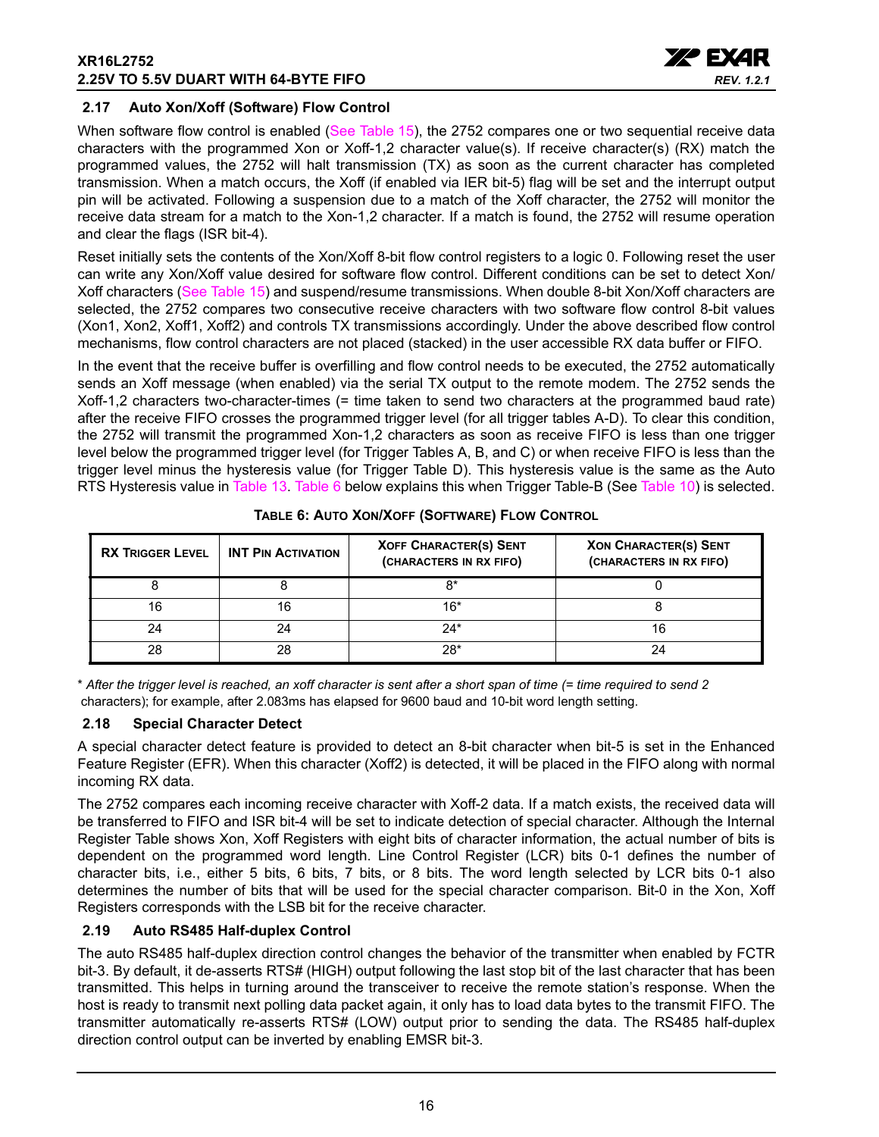

## <span id="page-15-1"></span>**2.17 Auto Xon/Xoff (Software) Flow Control**

When software flow control is enabled ([See Table](#page-35-0) 15), the 2752 compares one or two sequential receive data characters with the programmed Xon or Xoff-1,2 character value(s). If receive character(s) (RX) match the programmed values, the 2752 will halt transmission (TX) as soon as the current character has completed transmission. When a match occurs, the Xoff (if enabled via IER bit-5) flag will be set and the interrupt output pin will be activated. Following a suspension due to a match of the Xoff character, the 2752 will monitor the receive data stream for a match to the Xon-1,2 character. If a match is found, the 2752 will resume operation and clear the flags (ISR bit-4).

Reset initially sets the contents of the Xon/Xoff 8-bit flow control registers to a logic 0. Following reset the user can write any Xon/Xoff value desired for software flow control. Different conditions can be set to detect Xon/ Xoff characters ([See Table](#page-35-0) 15) and suspend/resume transmissions. When double 8-bit Xon/Xoff characters are selected, the 2752 compares two consecutive receive characters with two software flow control 8-bit values (Xon1, Xon2, Xoff1, Xoff2) and controls TX transmissions accordingly. Under the above described flow control mechanisms, flow control characters are not placed (stacked) in the user accessible RX data buffer or FIFO.

In the event that the receive buffer is overfilling and flow control needs to be executed, the 2752 automatically sends an Xoff message (when enabled) via the serial TX output to the remote modem. The 2752 sends the Xoff-1,2 characters two-character-times (= time taken to send two characters at the programmed baud rate) after the receive FIFO crosses the programmed trigger level (for all trigger tables A-D). To clear this condition, the 2752 will transmit the programmed Xon-1,2 characters as soon as receive FIFO is less than one trigger level below the programmed trigger level (for Trigger Tables A, B, and C) or when receive FIFO is less than the trigger level minus the hysteresis value (for Trigger Table D). This hysteresis value is the same as the Auto RTS Hysteresis value in [Table](#page-32-0) 13. [Table](#page-15-0) 6 below explains this when Trigger Table-B (See [Table](#page-26-0) 10) is selected.

<span id="page-15-0"></span>

| <b>RX TRIGGER LEVEL</b> | <b>INT PIN ACTIVATION</b> | <b>XOFF CHARACTER(S) SENT</b><br>(CHARACTERS IN RX FIFO) | <b>XON CHARACTER(S) SENT</b><br>(CHARACTERS IN RX FIFO) |
|-------------------------|---------------------------|----------------------------------------------------------|---------------------------------------------------------|
|                         |                           | R*                                                       |                                                         |
| 16                      | 16                        | 16*                                                      |                                                         |
| 24                      |                           | 24*                                                      |                                                         |
| 28                      | 28                        | 28*                                                      |                                                         |

**TABLE 6: AUTO XON/XOFF (SOFTWARE) FLOW CONTROL**

\* *After the trigger level is reached, an xoff character is sent after a short span of time (= time required to send 2* characters); for example, after 2.083ms has elapsed for 9600 baud and 10-bit word length setting.

#### <span id="page-15-2"></span>**2.18 Special Character Detect**

A special character detect feature is provided to detect an 8-bit character when bit-5 is set in the Enhanced Feature Register (EFR). When this character (Xoff2) is detected, it will be placed in the FIFO along with normal incoming RX data.

The 2752 compares each incoming receive character with Xoff-2 data. If a match exists, the received data will be transferred to FIFO and ISR bit-4 will be set to indicate detection of special character. Although the Internal Register Table shows Xon, Xoff Registers with eight bits of character information, the actual number of bits is dependent on the programmed word length. Line Control Register (LCR) bits 0-1 defines the number of character bits, i.e., either 5 bits, 6 bits, 7 bits, or 8 bits. The word length selected by LCR bits 0-1 also determines the number of bits that will be used for the special character comparison. Bit-0 in the Xon, Xoff Registers corresponds with the LSB bit for the receive character.

## <span id="page-15-3"></span>**2.19 Auto RS485 Half-duplex Control**

The auto RS485 half-duplex direction control changes the behavior of the transmitter when enabled by FCTR bit-3. By default, it de-asserts RTS# (HIGH) output following the last stop bit of the last character that has been transmitted. This helps in turning around the transceiver to receive the remote station's response. When the host is ready to transmit next polling data packet again, it only has to load data bytes to the transmit FIFO. The transmitter automatically re-asserts RTS# (LOW) output prior to sending the data. The RS485 half-duplex direction control output can be inverted by enabling EMSR bit-3.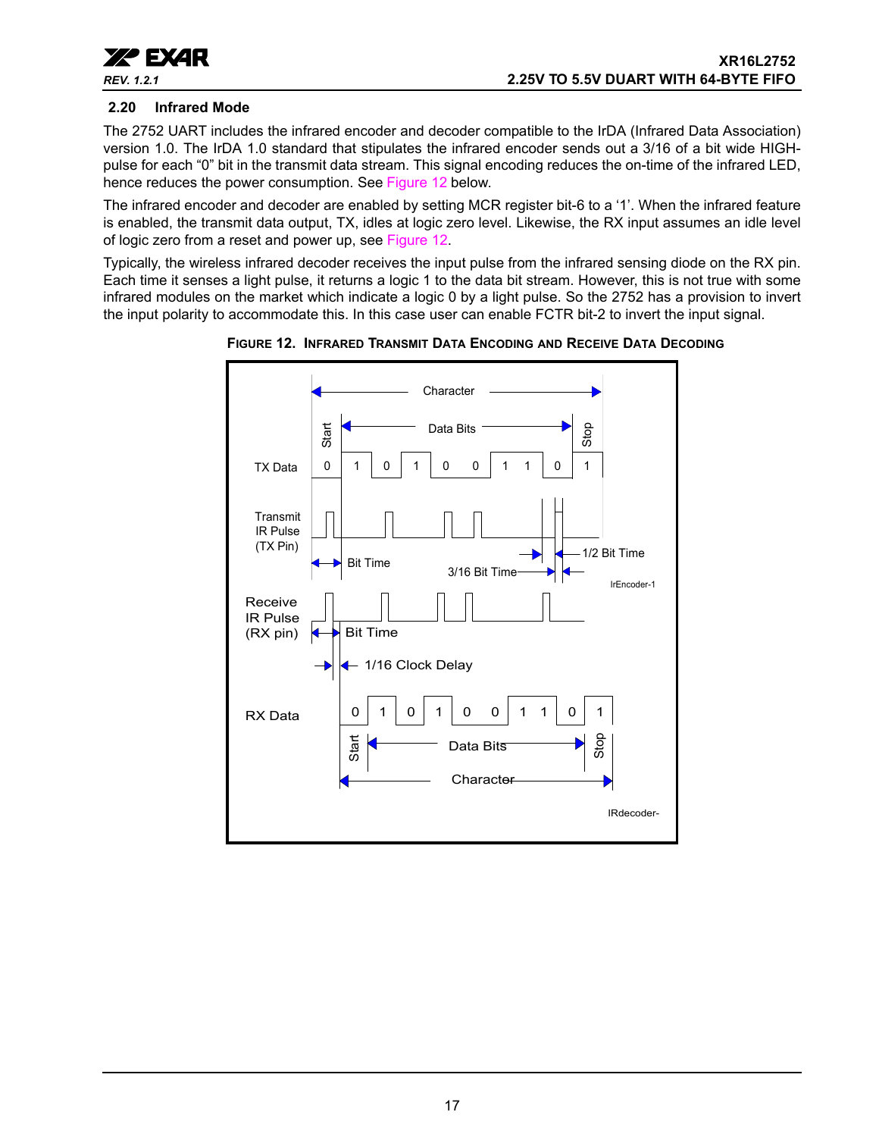

### <span id="page-16-1"></span>**2.20 Infrared Mode**

The 2752 UART includes the infrared encoder and decoder compatible to the IrDA (Infrared Data Association) version 1.0. The IrDA 1.0 standard that stipulates the infrared encoder sends out a 3/16 of a bit wide HIGHpulse for each "0" bit in the transmit data stream. This signal encoding reduces the on-time of the infrared LED, hence reduces the power consumption. See [Figure](#page-16-0) 12 below.

The infrared encoder and decoder are enabled by setting MCR register bit-6 to a '1'. When the infrared feature is enabled, the transmit data output, TX, idles at logic zero level. Likewise, the RX input assumes an idle level of logic zero from a reset and power up, see [Figure](#page-16-0) 12.

Typically, the wireless infrared decoder receives the input pulse from the infrared sensing diode on the RX pin. Each time it senses a light pulse, it returns a logic 1 to the data bit stream. However, this is not true with some infrared modules on the market which indicate a logic 0 by a light pulse. So the 2752 has a provision to invert the input polarity to accommodate this. In this case user can enable FCTR bit-2 to invert the input signal.



<span id="page-16-0"></span>**FIGURE 12. INFRARED TRANSMIT DATA ENCODING AND RECEIVE DATA DECODING**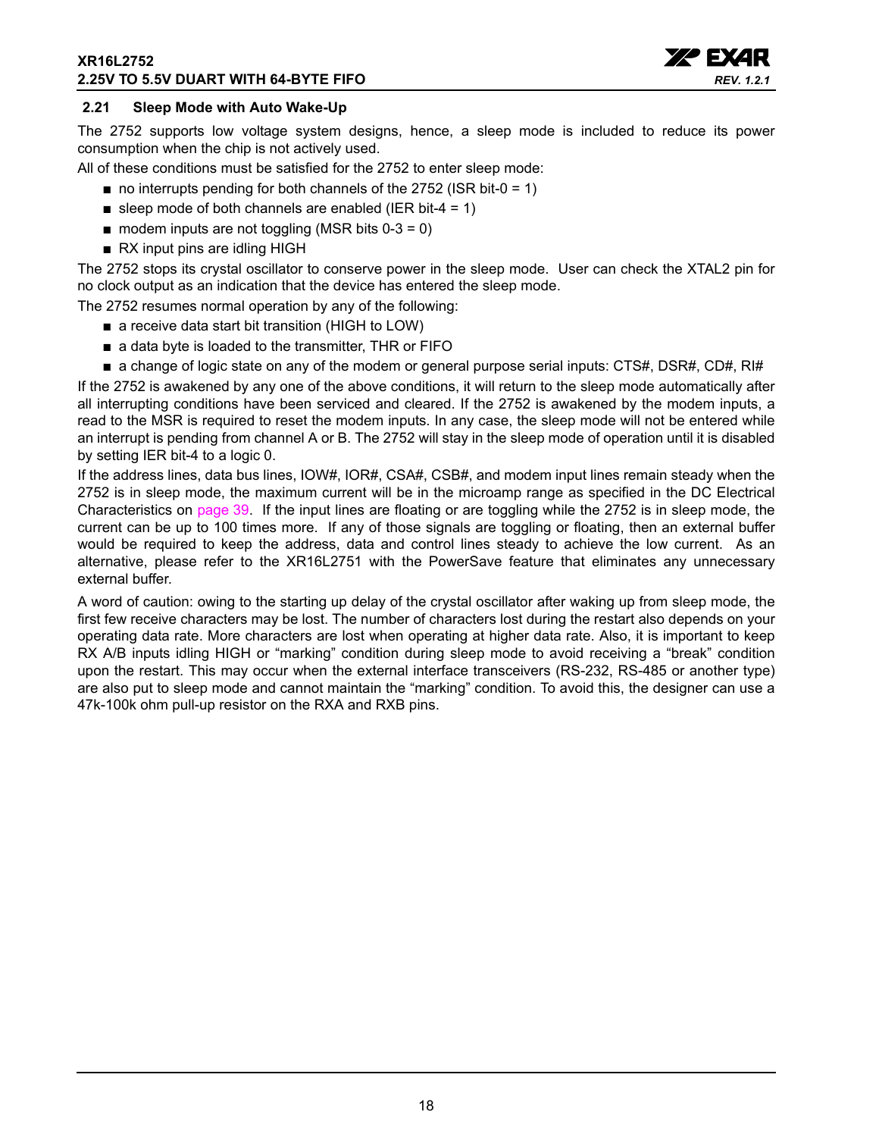#### **XR16L2752 2.25V TO 5.5V DUART WITH 64-BYTE FIFO**



### <span id="page-17-0"></span>**2.21 Sleep Mode with Auto Wake-Up**

The 2752 supports low voltage system designs, hence, a sleep mode is included to reduce its power consumption when the chip is not actively used.

All of these conditions must be satisfied for the 2752 to enter sleep mode:

- $\blacksquare$  no interrupts pending for both channels of the 2752 (ISR bit-0 = 1)
- sleep mode of both channels are enabled (IER bit-4 = 1)
- $\blacksquare$  modem inputs are not toggling (MSR bits 0-3 = 0)
- RX input pins are idling HIGH

The 2752 stops its crystal oscillator to conserve power in the sleep mode. User can check the XTAL2 pin for no clock output as an indication that the device has entered the sleep mode.

The 2752 resumes normal operation by any of the following:

- a receive data start bit transition (HIGH to LOW)
- a data byte is loaded to the transmitter, THR or FIFO
- a change of logic state on any of the modem or general purpose serial inputs: CTS#, DSR#, CD#, RI#

If the 2752 is awakened by any one of the above conditions, it will return to the sleep mode automatically after all interrupting conditions have been serviced and cleared. If the 2752 is awakened by the modem inputs, a read to the MSR is required to reset the modem inputs. In any case, the sleep mode will not be entered while an interrupt is pending from channel A or B. The 2752 will stay in the sleep mode of operation until it is disabled by setting IER bit-4 to a logic 0.

If the address lines, data bus lines, IOW#, IOR#, CSA#, CSB#, and modem input lines remain steady when the 2752 is in sleep mode, the maximum current will be in the microamp range as specified in the DC Electrical Characteristics on [page](#page-38-0) 39. If the input lines are floating or are toggling while the 2752 is in sleep mode, the current can be up to 100 times more. If any of those signals are toggling or floating, then an external buffer would be required to keep the address, data and control lines steady to achieve the low current. As an alternative, please refer to the XR16L2751 with the PowerSave feature that eliminates any unnecessary external buffer.

A word of caution: owing to the starting up delay of the crystal oscillator after waking up from sleep mode, the first few receive characters may be lost. The number of characters lost during the restart also depends on your operating data rate. More characters are lost when operating at higher data rate. Also, it is important to keep RX A/B inputs idling HIGH or "marking" condition during sleep mode to avoid receiving a "break" condition upon the restart. This may occur when the external interface transceivers (RS-232, RS-485 or another type) are also put to sleep mode and cannot maintain the "marking" condition. To avoid this, the designer can use a 47k-100k ohm pull-up resistor on the RXA and RXB pins.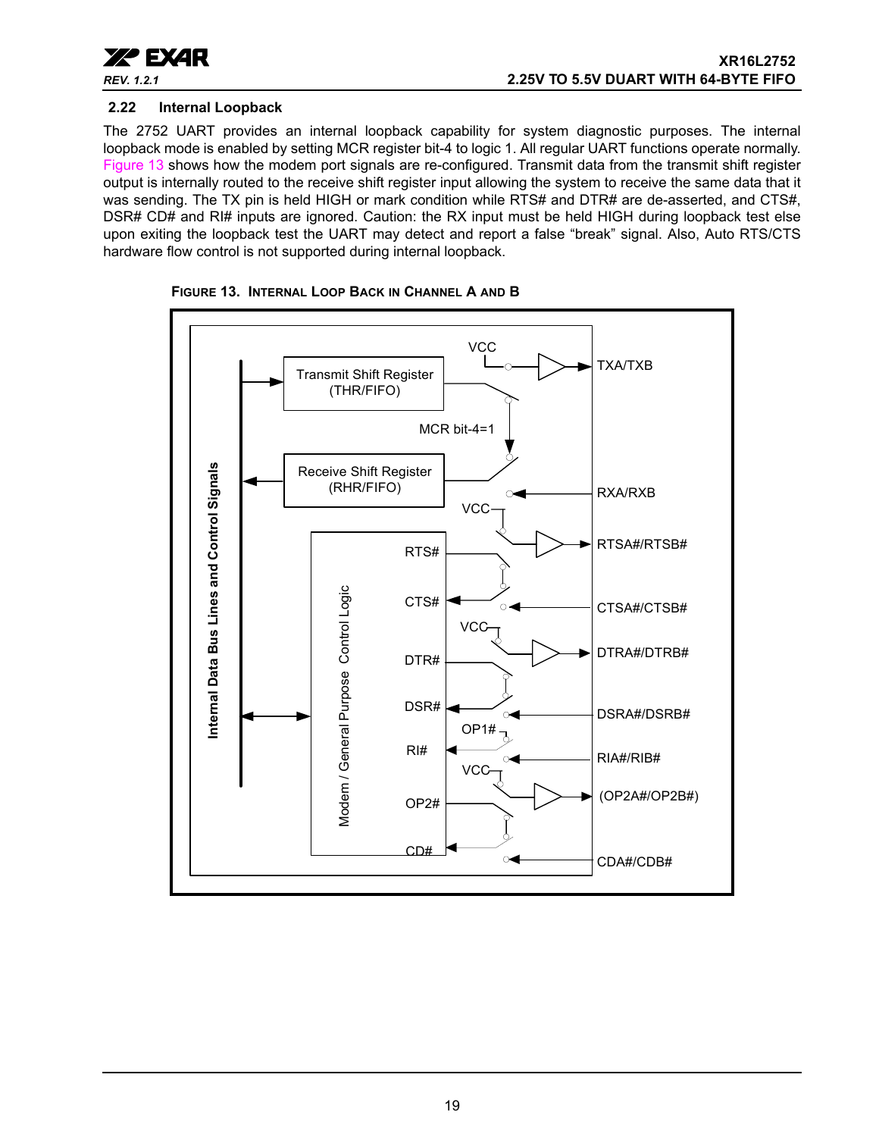

#### <span id="page-18-1"></span>**2.22 Internal Loopback**

The 2752 UART provides an internal loopback capability for system diagnostic purposes. The internal loopback mode is enabled by setting MCR register bit-4 to logic 1. All regular UART functions operate normally. [Figure](#page-18-0) 13 shows how the modem port signals are re-configured. Transmit data from the transmit shift register output is internally routed to the receive shift register input allowing the system to receive the same data that it was sending. The TX pin is held HIGH or mark condition while RTS# and DTR# are de-asserted, and CTS#, DSR# CD# and RI# inputs are ignored. Caution: the RX input must be held HIGH during loopback test else upon exiting the loopback test the UART may detect and report a false "break" signal. Also, Auto RTS/CTS hardware flow control is not supported during internal loopback.



<span id="page-18-0"></span>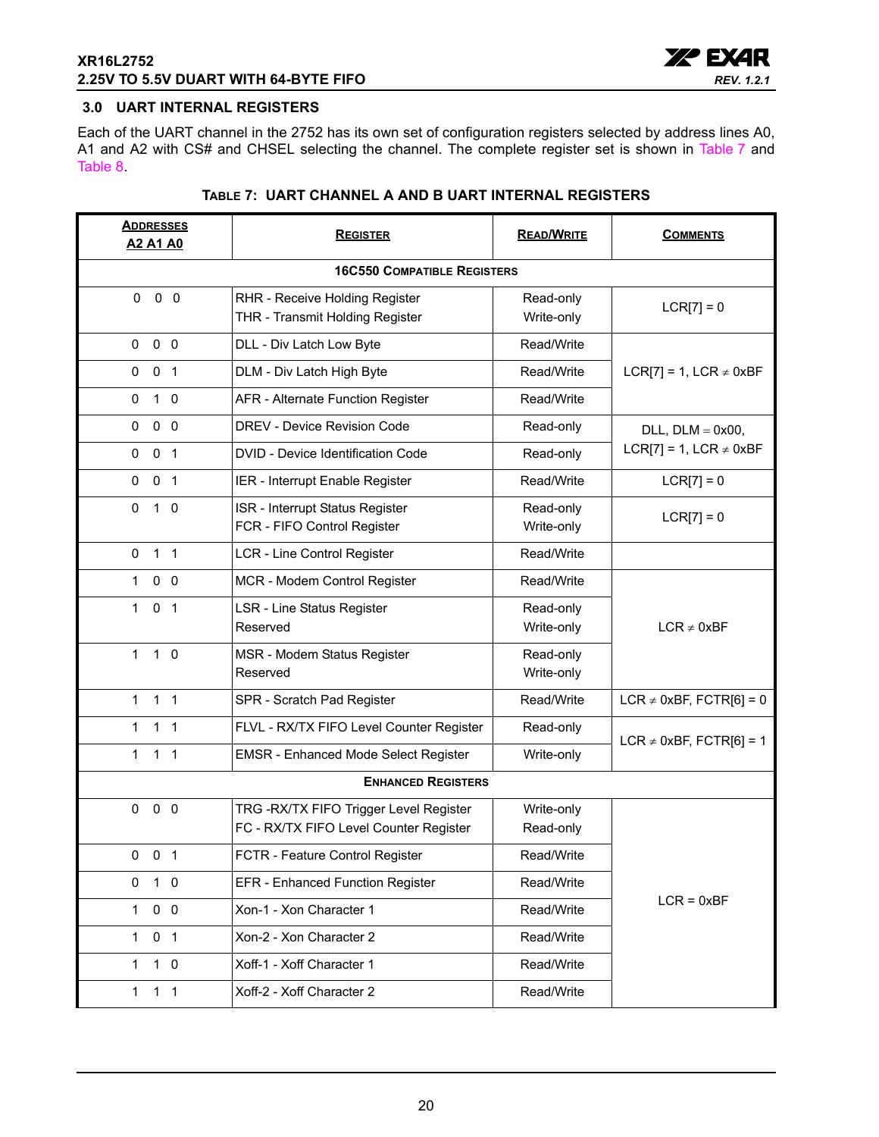

## <span id="page-19-0"></span>**3.0 UART INTERNAL REGISTERS**

Each of the UART channel in the 2752 has its own set of configuration registers selected by address lines A0, A1 and A2 with CS# and CHSEL selecting the channel. The complete register set is shown in [Table](#page-19-1) 7 and [Table](#page-20-0) 8.

<span id="page-19-1"></span>

| <b>ADDRESSES</b><br><b>A2 A1 A0</b> | <b>REGISTER</b>                                                                   | <b>READ/WRITE</b>       | <b>COMMENTS</b>              |  |  |  |  |
|-------------------------------------|-----------------------------------------------------------------------------------|-------------------------|------------------------------|--|--|--|--|
|                                     | <b>16C550 COMPATIBLE REGISTERS</b>                                                |                         |                              |  |  |  |  |
| $0\quad 0$<br>$\mathbf{0}$          | RHR - Receive Holding Register<br>THR - Transmit Holding Register                 | Read-only<br>Write-only | $LCR[7] = 0$                 |  |  |  |  |
| 0 <sub>0</sub><br>0                 | DLL - Div Latch Low Byte                                                          | Read/Write              |                              |  |  |  |  |
| 0 <sub>1</sub><br>0                 | DLM - Div Latch High Byte                                                         | Read/Write              | LCR[7] = 1, LCR $\neq$ 0xBF  |  |  |  |  |
| 0<br>$1\quad0$                      | AFR - Alternate Function Register                                                 | Read/Write              |                              |  |  |  |  |
| $0\quad 0$<br>$\mathbf 0$           | <b>DREV - Device Revision Code</b>                                                | Read-only               | $DLL$ , $DLM = 0x00$ ,       |  |  |  |  |
| 0 <sub>1</sub><br>$\mathbf 0$       | DVID - Device Identification Code                                                 | Read-only               | LCR[7] = 1, LCR $\neq$ 0xBF  |  |  |  |  |
| 0 <sub>1</sub><br>0                 | IER - Interrupt Enable Register                                                   | Read/Write              | $LCR[7] = 0$                 |  |  |  |  |
| $1\quad0$<br>0                      | ISR - Interrupt Status Register<br>FCR - FIFO Control Register                    | Read-only<br>Write-only | $LCR[7] = 0$                 |  |  |  |  |
| 1 <sub>1</sub><br>0                 | LCR - Line Control Register                                                       | Read/Write              |                              |  |  |  |  |
| 0 <sub>0</sub><br>1                 | MCR - Modem Control Register                                                      | Read/Write              |                              |  |  |  |  |
| $\mathbf{1}$<br>0 <sub>1</sub>      | <b>LSR - Line Status Register</b><br>Reserved                                     | Read-only<br>Write-only | $LCR \neq 0xBF$              |  |  |  |  |
| $\mathbf{1}$<br>$1\quad0$           | MSR - Modem Status Register<br>Reserved                                           | Read-only<br>Write-only |                              |  |  |  |  |
| 1 <sub>1</sub><br>$\mathbf{1}$      | SPR - Scratch Pad Register                                                        | Read/Write              | LCR $\neq$ 0xBF, FCTR[6] = 0 |  |  |  |  |
| 1 <sub>1</sub><br>1                 | FLVL - RX/TX FIFO Level Counter Register                                          | Read-only               | LCR $\neq$ 0xBF, FCTR[6] = 1 |  |  |  |  |
| $\mathbf{1}$<br>$1 \quad 1$         | <b>EMSR - Enhanced Mode Select Register</b>                                       | Write-only              |                              |  |  |  |  |
|                                     | <b>ENHANCED REGISTERS</b>                                                         |                         |                              |  |  |  |  |
| $0\quad 0$<br>0                     | TRG - RX/TX FIFO Trigger Level Register<br>FC - RX/TX FIFO Level Counter Register | Write-only<br>Read-only |                              |  |  |  |  |
| $0 \t 0 \t 1$                       | FCTR - Feature Control Register                                                   | Read/Write              |                              |  |  |  |  |
| 1 0<br>0                            | <b>EFR</b> - Enhanced Function Register                                           | Read/Write              |                              |  |  |  |  |
| 0 <sub>0</sub><br>1                 | Xon-1 - Xon Character 1                                                           | Read/Write              | $LCR = 0xBF$                 |  |  |  |  |
| 0 <sub>1</sub><br>$\mathbf{1}$      | Xon-2 - Xon Character 2                                                           | Read/Write              |                              |  |  |  |  |
| $1\quad0$<br>1                      | Xoff-1 - Xoff Character 1                                                         | Read/Write              |                              |  |  |  |  |
| $\mathbf{1}$<br>$1 \quad 1$         | Xoff-2 - Xoff Character 2                                                         | Read/Write              |                              |  |  |  |  |

## **TABLE 7: UART CHANNEL A AND B UART INTERNAL REGISTERS**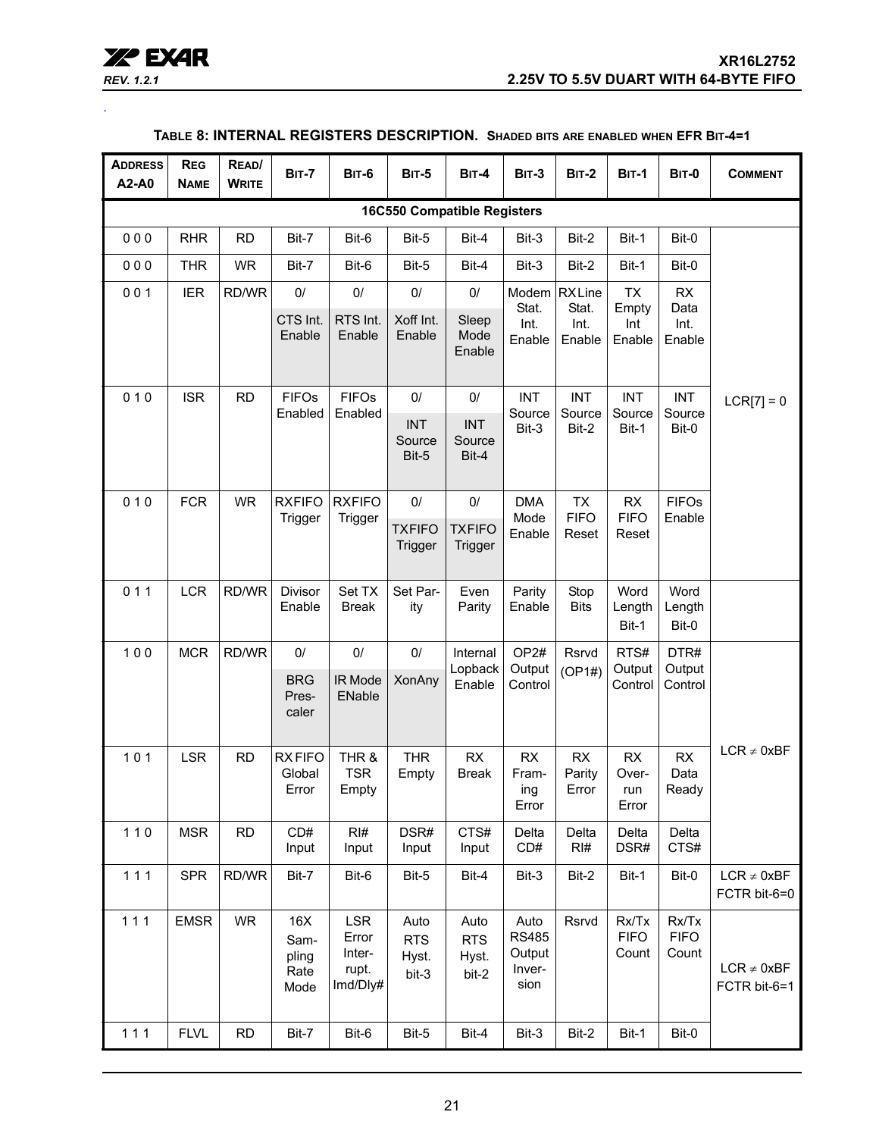| <b>REV. 1.2.1</b> |  |
|-------------------|--|

<span id="page-20-0"></span>.

## **TABLE 8: INTERNAL REGISTERS DESCRIPTION. SHADED BITS ARE ENABLED WHEN EFR BIT-4=1**

| <b>ADDRESS</b><br>A2-A0            | <b>REG</b><br><b>NAME</b> | READ/<br><b>WRITE</b> | <b>BIT-7</b>                         | <b>BIT-6</b>                                       | <b>BIT-5</b>                         | <b>BIT-4</b>                         | <b>BIT-3</b>                                     | <b>BIT-2</b>            | <b>BIT-1</b>                  | <b>BIT-0</b>                  | <b>COMMENT</b>                  |
|------------------------------------|---------------------------|-----------------------|--------------------------------------|----------------------------------------------------|--------------------------------------|--------------------------------------|--------------------------------------------------|-------------------------|-------------------------------|-------------------------------|---------------------------------|
| <b>16C550 Compatible Registers</b> |                           |                       |                                      |                                                    |                                      |                                      |                                                  |                         |                               |                               |                                 |
| 000                                | <b>RHR</b>                | <b>RD</b>             | Bit-7                                | Bit-6                                              | Bit-5                                | Bit-4                                | Bit-3                                            | Bit-2                   | Bit-1                         | Bit-0                         |                                 |
| 000                                | <b>THR</b>                | <b>WR</b>             | Bit-7                                | Bit-6                                              | Bit-5                                | Bit-4                                | Bit-3                                            | Bit-2                   | Bit-1                         | Bit-0                         |                                 |
| 001                                | <b>IER</b>                | RD/WR                 | $0/$                                 | $0/$                                               | $0/$                                 | 0/                                   | Modem                                            | <b>RXLine</b>           | <b>TX</b>                     | <b>RX</b>                     |                                 |
|                                    |                           |                       | CTS Int.<br>Enable                   | RTS Int.<br>Enable                                 | Xoff Int.<br>Enable                  | Sleep<br>Mode<br>Enable              | Stat.<br>Int.<br>Enable                          | Stat.<br>Int.<br>Enable | Empty<br>Int<br>Enable        | Data<br>Int.<br>Enable        |                                 |
| 010                                | <b>ISR</b>                | <b>RD</b>             | <b>FIFOs</b>                         | <b>FIFOs</b>                                       | 0/                                   | 0/                                   | <b>INT</b>                                       | <b>INT</b>              | <b>INT</b>                    | <b>INT</b>                    | $LCR[7] = 0$                    |
|                                    |                           |                       | Enabled                              | Enabled                                            | <b>INT</b><br>Source<br>Bit-5        | <b>INT</b><br>Source<br>Bit-4        | Source<br>Bit-3                                  | Source<br>Bit-2         | Source<br>Bit-1               | Source<br>Bit-0               |                                 |
| 010                                | <b>FCR</b>                | <b>WR</b>             | <b>RXFIFO</b>                        | <b>RXFIFO</b>                                      | $0/$                                 | $0/$                                 | <b>DMA</b>                                       | <b>TX</b>               | RX                            | <b>FIFOs</b>                  |                                 |
|                                    |                           |                       | Trigger                              | Trigger                                            | <b>TXFIFO</b><br>Trigger             | <b>TXFIFO</b><br>Trigger             | Mode<br>Enable                                   | <b>FIFO</b><br>Reset    | <b>FIFO</b><br>Reset          | Enable                        |                                 |
| 011                                | <b>LCR</b>                | RD/WR                 | Divisor<br>Enable                    | Set TX<br>Break                                    | Set Par-<br>ity                      | Even<br>Parity                       | Parity<br>Enable                                 | Stop<br><b>Bits</b>     | Word<br>Length                | Word<br>Length                |                                 |
|                                    |                           |                       |                                      |                                                    |                                      |                                      |                                                  |                         | Bit-1                         | Bit-0                         |                                 |
| 100                                | <b>MCR</b>                | RD/WR                 | $0/$<br><b>BRG</b><br>Pres-<br>caler | $0/$<br>IR Mode<br>ENable                          | $0/$<br><b>XonAny</b>                | Internal<br>Lopback<br>Enable        | OP <sub>2#</sub><br>Output<br>Control            | Rsrvd<br>(OP1#)         | RTS#<br>Output<br>Control     | DTR#<br>Output<br>Control     |                                 |
| 101                                | <b>LSR</b>                | <b>RD</b>             | <b>RXFIFO</b><br>Global<br>Error     | THR &<br><b>TSR</b><br>Empty                       | <b>THR</b><br>Empty                  | <b>RX</b><br><b>Break</b>            | <b>RX</b><br>Fram-<br>ing<br>Error               | RX<br>Parity<br>Error   | RX<br>Over-<br>run<br>Error   | RX<br>Data<br>Ready           | $LCR \neq 0xBF$                 |
| $110$                              | <b>MSR</b>                | <b>RD</b>             | CD#<br>Input                         | RI#<br>Input                                       | DSR#<br>Input                        | CTS#<br>Input                        | Delta<br>CD#                                     | Delta<br>RI#            | Delta<br>DSR#                 | Delta<br>CTS#                 |                                 |
| $111$                              | <b>SPR</b>                | RD/WR                 | Bit-7                                | Bit-6                                              | Bit-5                                | Bit-4                                | Bit-3                                            | Bit-2                   | Bit-1                         | Bit-0                         | $LCR \neq 0xBF$<br>FCTR bit-6=0 |
| 111                                | <b>EMSR</b>               | WR                    | 16X<br>Sam-<br>pling<br>Rate<br>Mode | <b>LSR</b><br>Error<br>Inter-<br>rupt.<br>Imd/Dly# | Auto<br><b>RTS</b><br>Hyst.<br>bit-3 | Auto<br><b>RTS</b><br>Hyst.<br>bit-2 | Auto<br><b>RS485</b><br>Output<br>Inver-<br>sion | Rsrvd                   | Rx/Tx<br><b>FIFO</b><br>Count | Rx/Tx<br><b>FIFO</b><br>Count | $LCR \neq 0xBF$<br>FCTR bit-6=1 |
| $111$                              | <b>FLVL</b>               | <b>RD</b>             | Bit-7                                | Bit-6                                              | Bit-5                                | Bit-4                                | Bit-3                                            | Bit-2                   | Bit-1                         | Bit-0                         |                                 |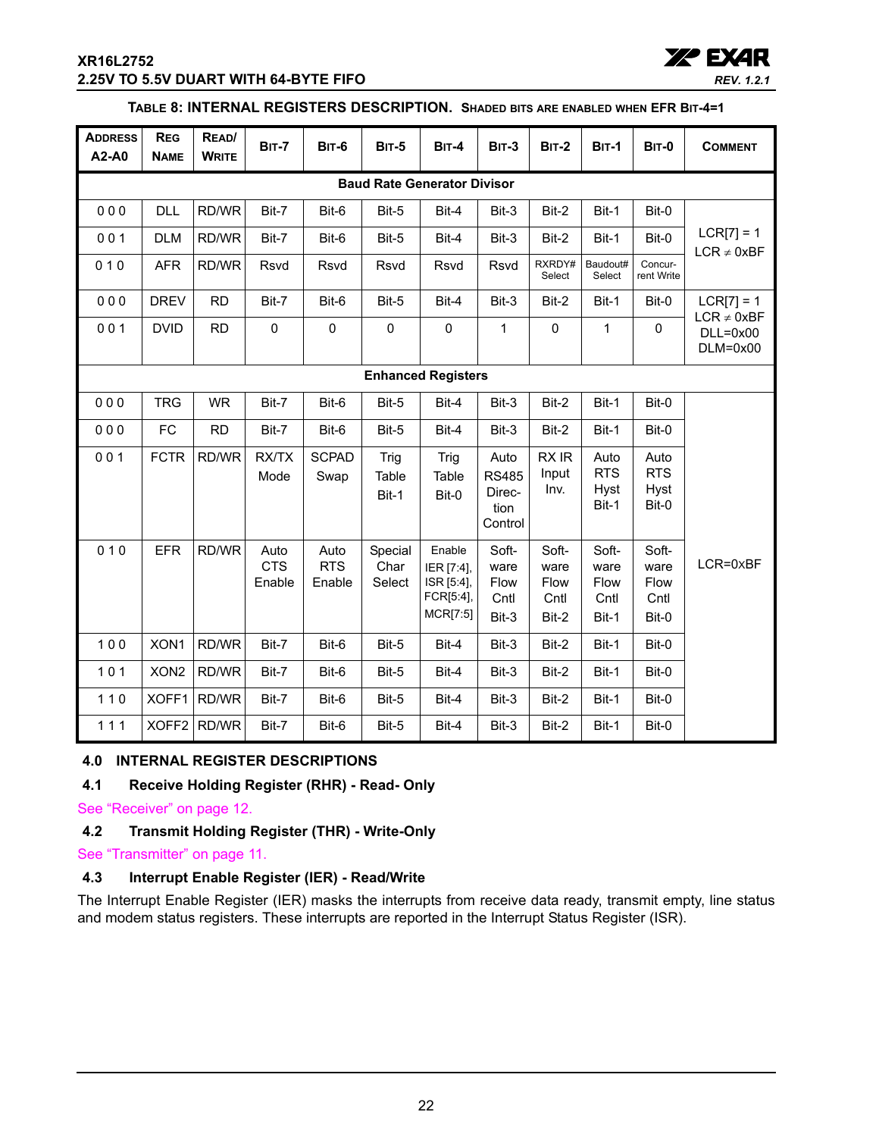## **XR16L2752 2.25V TO 5.5V DUART WITH 64-BYTE FIFO**



## **TABLE 8: INTERNAL REGISTERS DESCRIPTION. SHADED BITS ARE ENABLED WHEN EFR BIT-4=1**

| <b>ADDRESS</b><br>A2-A0 | <b>REG</b><br><b>NAME</b> | READ/<br><b>WRITE</b> | <b>BIT-7</b>                 | <b>BIT-6</b>                 | <b>BIT-5</b>              | $BIT-4$                                                     | <b>BIT-3</b>                                      | <b>BIT-2</b>                           | <b>BIT-1</b>                           | <b>BIT-0</b>                           | <b>COMMENT</b>                  |
|-------------------------|---------------------------|-----------------------|------------------------------|------------------------------|---------------------------|-------------------------------------------------------------|---------------------------------------------------|----------------------------------------|----------------------------------------|----------------------------------------|---------------------------------|
|                         |                           |                       |                              |                              |                           | <b>Baud Rate Generator Divisor</b>                          |                                                   |                                        |                                        |                                        |                                 |
| 000                     | <b>DLL</b>                | RD/WR                 | Bit-7                        | Bit-6                        | Bit-5                     | Bit-4                                                       | Bit-3                                             | Bit-2                                  | Bit-1                                  | Bit-0                                  |                                 |
| 001                     | <b>DLM</b>                | RD/WR                 | Bit-7                        | Bit-6                        | Bit-5                     | Bit-4                                                       | Bit-3                                             | Bit-2                                  | Bit-1                                  | Bit-0                                  | $LCR[7] = 1$<br>$LCR \neq 0xBF$ |
| 010                     | AFR                       | RD/WR                 | Rsvd                         | Rsvd                         | Rsvd                      | Rsvd                                                        | Rsvd                                              | RXRDY#<br>Select                       | Baudout#<br>Select                     | Concur-<br>rent Write                  |                                 |
| 000                     | <b>DREV</b>               | <b>RD</b>             | Bit-7                        | Bit-6                        | Bit-5                     | Bit-4                                                       | Bit-3                                             | Bit-2                                  | Bit-1                                  | Bit-0                                  | $LCR[7] = 1$<br>$LCR \neq 0xBF$ |
| 001                     | <b>DVID</b>               | <b>RD</b>             | $\pmb{0}$                    | $\pmb{0}$                    | $\pmb{0}$                 | $\pmb{0}$                                                   | $\mathbf{1}$                                      | $\mathbf 0$                            | $\mathbf{1}$                           | $\mathbf 0$                            | $DLL=0x00$<br>$DLM=0x00$        |
|                         | <b>Enhanced Registers</b> |                       |                              |                              |                           |                                                             |                                                   |                                        |                                        |                                        |                                 |
| 000                     | <b>TRG</b>                | <b>WR</b>             | Bit-7                        | Bit-6                        | Bit-5                     | Bit-4                                                       | Bit-3                                             | Bit-2                                  | Bit-1                                  | Bit-0                                  |                                 |
| 000                     | <b>FC</b>                 | <b>RD</b>             | Bit-7                        | Bit-6                        | Bit-5                     | Bit-4                                                       | Bit-3                                             | Bit-2                                  | Bit-1                                  | Bit-0                                  |                                 |
| 001                     | <b>FCTR</b>               | RD/WR                 | <b>RX/TX</b><br>Mode         | <b>SCPAD</b><br>Swap         | Trig<br>Table<br>Bit-1    | Trig<br>Table<br>Bit-0                                      | Auto<br><b>RS485</b><br>Direc-<br>tion<br>Control | RX IR<br>Input<br>Inv.                 | Auto<br><b>RTS</b><br>Hyst<br>Bit-1    | Auto<br><b>RTS</b><br>Hyst<br>Bit-0    |                                 |
| 010                     | <b>EFR</b>                | RD/WR                 | Auto<br><b>CTS</b><br>Enable | Auto<br><b>RTS</b><br>Enable | Special<br>Char<br>Select | Enable<br>IER [7:4],<br>ISR [5:4],<br>FCR[5:4],<br>MCR[7:5] | Soft-<br>ware<br>Flow<br>Cntl<br>Bit-3            | Soft-<br>ware<br>Flow<br>Cntl<br>Bit-2 | Soft-<br>ware<br>Flow<br>Cntl<br>Bit-1 | Soft-<br>ware<br>Flow<br>Cntl<br>Bit-0 | LCR=0xBF                        |
| 100                     | XON1                      | RD/WR                 | Bit-7                        | Bit-6                        | Bit-5                     | Bit-4                                                       | Bit-3                                             | Bit-2                                  | Bit-1                                  | Bit-0                                  |                                 |
| 101                     | XON <sub>2</sub>          | RD/WR                 | Bit-7                        | Bit-6                        | Bit-5                     | Bit-4                                                       | Bit-3                                             | Bit-2                                  | Bit-1                                  | Bit-0                                  |                                 |
| $110$                   | XOFF1                     | RD/WR                 | Bit-7                        | Bit-6                        | Bit-5                     | Bit-4                                                       | Bit-3                                             | Bit-2                                  | Bit-1                                  | Bit-0                                  |                                 |
| 111                     |                           | XOFF2 RD/WR           | Bit-7                        | Bit-6                        | Bit-5                     | Bit-4                                                       | Bit-3                                             | Bit-2                                  | Bit-1                                  | Bit-0                                  |                                 |

## <span id="page-21-0"></span>**4.0 INTERNAL REGISTER DESCRIPTIONS**

#### <span id="page-21-1"></span>**4.1 Receive Holding Register (RHR) - Read- Only**

[See "Receiver" on page](#page-11-0) 12.

## <span id="page-21-2"></span>**4.2 Transmit Holding Register (THR) - Write-Only**

[See "Transmitter" on page](#page-10-1) 11.

## <span id="page-21-3"></span>**4.3 Interrupt Enable Register (IER) - Read/Write**

The Interrupt Enable Register (IER) masks the interrupts from receive data ready, transmit empty, line status and modem status registers. These interrupts are reported in the Interrupt Status Register (ISR).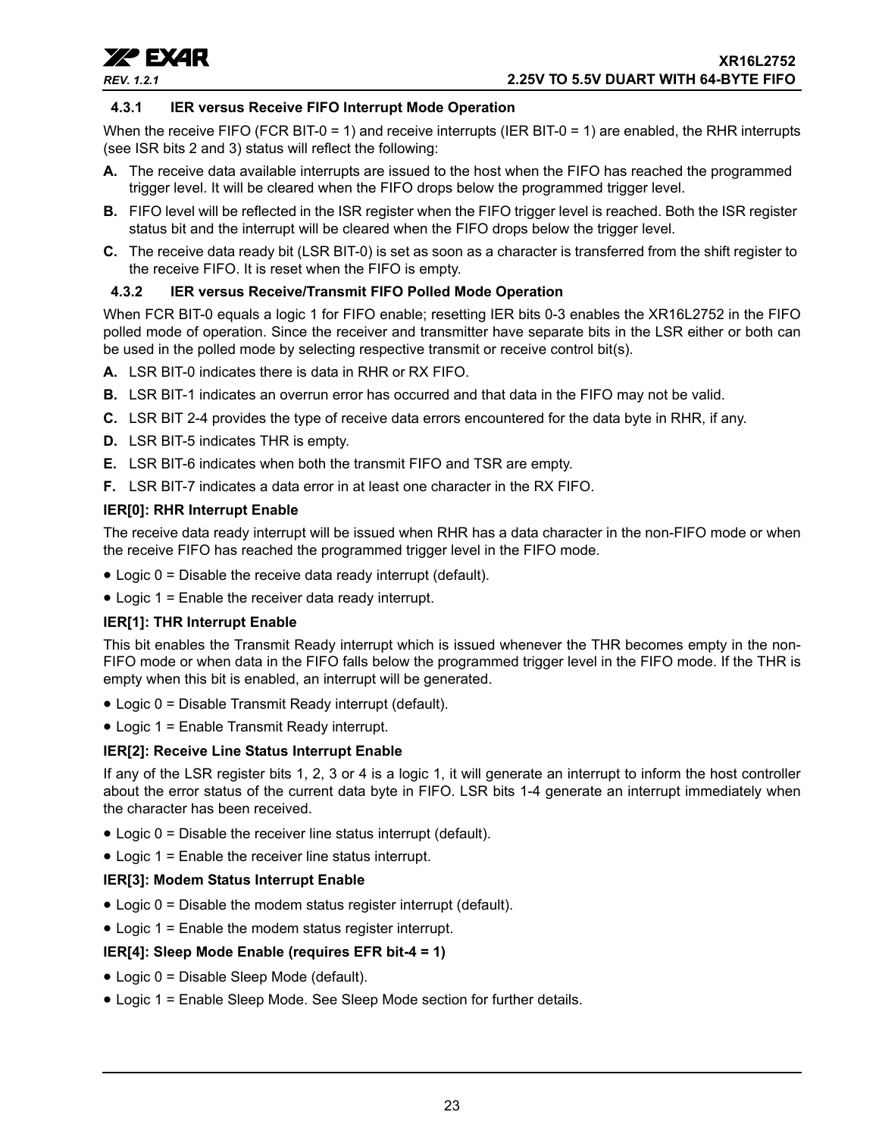

### <span id="page-22-0"></span>**4.3.1 IER versus Receive FIFO Interrupt Mode Operation**

When the receive FIFO (FCR BIT-0 = 1) and receive interrupts (IER BIT-0 = 1) are enabled, the RHR interrupts (see ISR bits 2 and 3) status will reflect the following:

- **A.** The receive data available interrupts are issued to the host when the FIFO has reached the programmed trigger level. It will be cleared when the FIFO drops below the programmed trigger level.
- **B.** FIFO level will be reflected in the ISR register when the FIFO trigger level is reached. Both the ISR register status bit and the interrupt will be cleared when the FIFO drops below the trigger level.
- **C.** The receive data ready bit (LSR BIT-0) is set as soon as a character is transferred from the shift register to the receive FIFO. It is reset when the FIFO is empty.

#### <span id="page-22-1"></span>**4.3.2 IER versus Receive/Transmit FIFO Polled Mode Operation**

When FCR BIT-0 equals a logic 1 for FIFO enable; resetting IER bits 0-3 enables the XR16L2752 in the FIFO polled mode of operation. Since the receiver and transmitter have separate bits in the LSR either or both can be used in the polled mode by selecting respective transmit or receive control bit(s).

- **A.** LSR BIT-0 indicates there is data in RHR or RX FIFO.
- **B.** LSR BIT-1 indicates an overrun error has occurred and that data in the FIFO may not be valid.
- **C.** LSR BIT 2-4 provides the type of receive data errors encountered for the data byte in RHR, if any.
- **D.** LSR BIT-5 indicates THR is empty.
- **E.** LSR BIT-6 indicates when both the transmit FIFO and TSR are empty.
- **F.** LSR BIT-7 indicates a data error in at least one character in the RX FIFO.

#### **IER[0]: RHR Interrupt Enable**

The receive data ready interrupt will be issued when RHR has a data character in the non-FIFO mode or when the receive FIFO has reached the programmed trigger level in the FIFO mode.

- Logic 0 = Disable the receive data ready interrupt (default).
- Logic 1 = Enable the receiver data ready interrupt.

#### **IER[1]: THR Interrupt Enable**

This bit enables the Transmit Ready interrupt which is issued whenever the THR becomes empty in the non-FIFO mode or when data in the FIFO falls below the programmed trigger level in the FIFO mode. If the THR is empty when this bit is enabled, an interrupt will be generated.

- Logic 0 = Disable Transmit Ready interrupt (default).
- Logic 1 = Enable Transmit Ready interrupt.

#### **IER[2]: Receive Line Status Interrupt Enable**

If any of the LSR register bits 1, 2, 3 or 4 is a logic 1, it will generate an interrupt to inform the host controller about the error status of the current data byte in FIFO. LSR bits 1-4 generate an interrupt immediately when the character has been received.

- Logic 0 = Disable the receiver line status interrupt (default).
- Logic 1 = Enable the receiver line status interrupt.

#### **IER[3]: Modem Status Interrupt Enable**

- Logic 0 = Disable the modem status register interrupt (default).
- Logic 1 = Enable the modem status register interrupt.

#### **IER[4]: Sleep Mode Enable (requires EFR bit-4 = 1)**

- Logic 0 = Disable Sleep Mode (default).
- Logic 1 = Enable Sleep Mode. See Sleep Mode section for further details.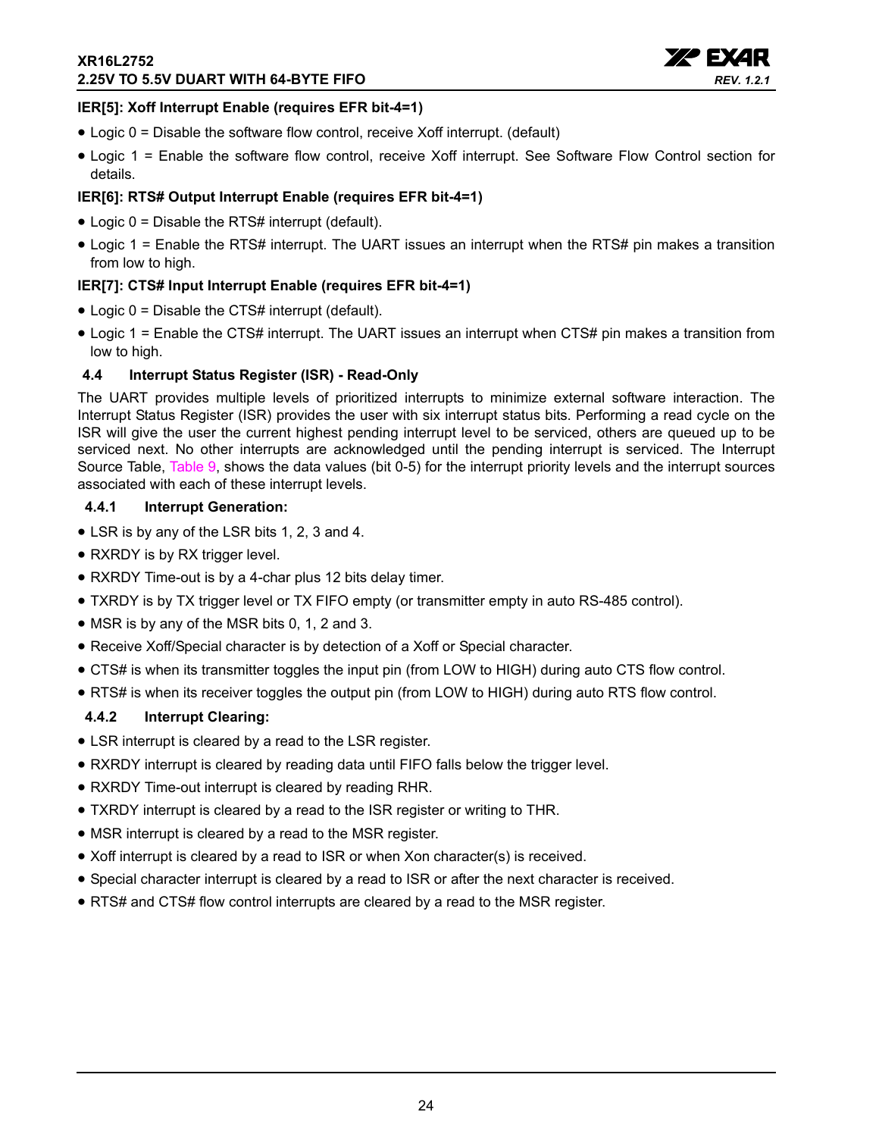

## **IER[5]: Xoff Interrupt Enable (requires EFR bit-4=1)**

- Logic 0 = Disable the software flow control, receive Xoff interrupt. (default)
- Logic 1 = Enable the software flow control, receive Xoff interrupt. See Software Flow Control section for details.

## **IER[6]: RTS# Output Interrupt Enable (requires EFR bit-4=1)**

- Logic 0 = Disable the RTS# interrupt (default).
- Logic 1 = Enable the RTS# interrupt. The UART issues an interrupt when the RTS# pin makes a transition from low to high.

## **IER[7]: CTS# Input Interrupt Enable (requires EFR bit-4=1)**

- Logic 0 = Disable the CTS# interrupt (default).
- Logic 1 = Enable the CTS# interrupt. The UART issues an interrupt when CTS# pin makes a transition from low to high.

## <span id="page-23-0"></span>**4.4 Interrupt Status Register (ISR) - Read-Only**

The UART provides multiple levels of prioritized interrupts to minimize external software interaction. The Interrupt Status Register (ISR) provides the user with six interrupt status bits. Performing a read cycle on the ISR will give the user the current highest pending interrupt level to be serviced, others are queued up to be serviced next. No other interrupts are acknowledged until the pending interrupt is serviced. The Interrupt Source Table, [Table](#page-24-0) 9, shows the data values (bit 0-5) for the interrupt priority levels and the interrupt sources associated with each of these interrupt levels.

## <span id="page-23-1"></span>**4.4.1 Interrupt Generation:**

- LSR is by any of the LSR bits 1, 2, 3 and 4.
- RXRDY is by RX trigger level.
- RXRDY Time-out is by a 4-char plus 12 bits delay timer.
- TXRDY is by TX trigger level or TX FIFO empty (or transmitter empty in auto RS-485 control).
- MSR is by any of the MSR bits 0, 1, 2 and 3.
- Receive Xoff/Special character is by detection of a Xoff or Special character.
- CTS# is when its transmitter toggles the input pin (from LOW to HIGH) during auto CTS flow control.
- RTS# is when its receiver toggles the output pin (from LOW to HIGH) during auto RTS flow control.

## <span id="page-23-2"></span>**4.4.2 Interrupt Clearing:**

- LSR interrupt is cleared by a read to the LSR register.
- RXRDY interrupt is cleared by reading data until FIFO falls below the trigger level.
- RXRDY Time-out interrupt is cleared by reading RHR.
- TXRDY interrupt is cleared by a read to the ISR register or writing to THR.
- MSR interrupt is cleared by a read to the MSR register.
- Xoff interrupt is cleared by a read to ISR or when Xon character(s) is received.
- Special character interrupt is cleared by a read to ISR or after the next character is received.
- RTS# and CTS# flow control interrupts are cleared by a read to the MSR register.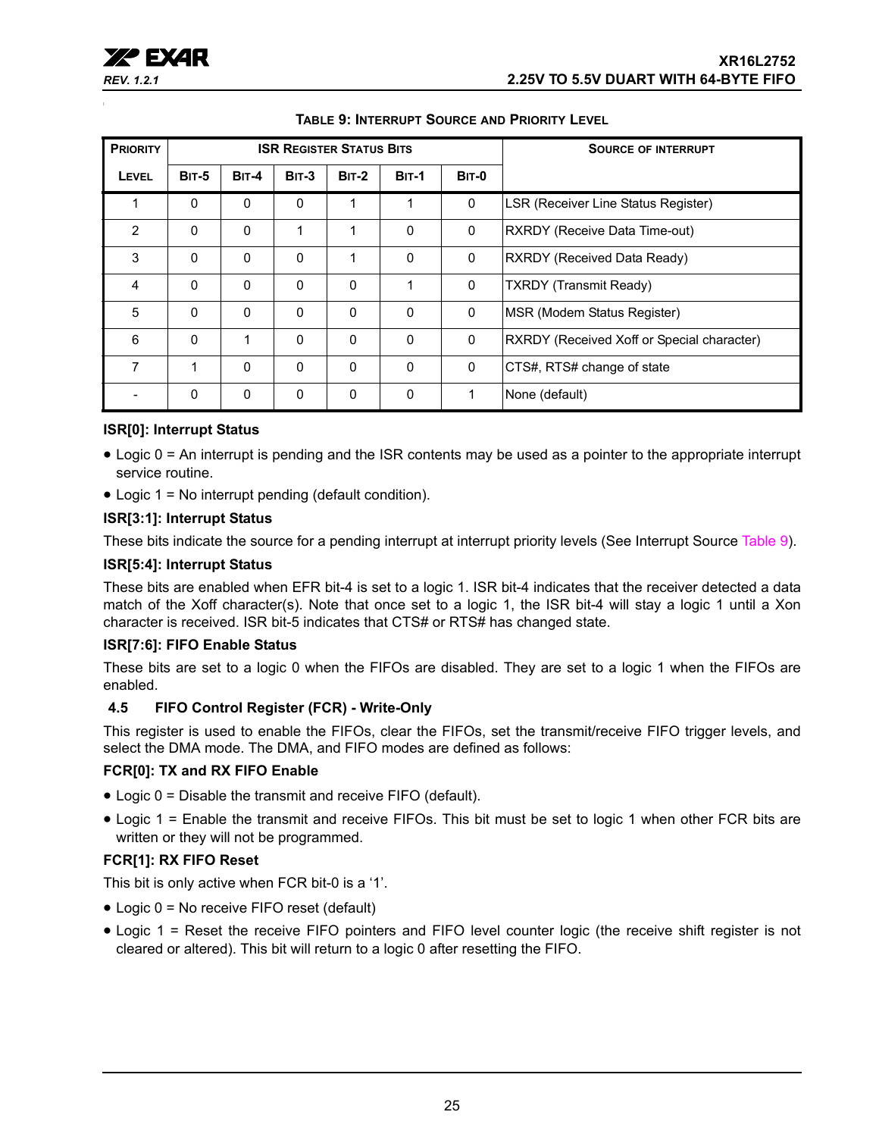<span id="page-24-0"></span>

| <b>PRIORITY</b> | <b>ISR REGISTER STATUS BITS</b> |              |              |              |              |              | <b>SOURCE OF INTERRUPT</b>                 |
|-----------------|---------------------------------|--------------|--------------|--------------|--------------|--------------|--------------------------------------------|
| LEVEL           | <b>BIT-5</b>                    | <b>BIT-4</b> | <b>BIT-3</b> | <b>BIT-2</b> | <b>BIT-1</b> | <b>BIT-0</b> |                                            |
| 1               | $\Omega$                        | $\mathbf{0}$ | 0            | 1            | 1            | 0            | LSR (Receiver Line Status Register)        |
| $\overline{2}$  | $\mathbf{0}$                    | $\mathbf{0}$ | 1            | 1            | $\mathbf{0}$ | 0            | RXRDY (Receive Data Time-out)              |
| 3               | $\Omega$                        | $\Omega$     | 0            | 1            | $\mathbf{0}$ | 0            | RXRDY (Received Data Ready)                |
| $\overline{4}$  | $\Omega$                        | $\mathbf{0}$ | 0            | 0            | 1            | $\mathbf{0}$ | <b>TXRDY</b> (Transmit Ready)              |
| 5               | $\mathbf{0}$                    | $\mathbf{0}$ | $\Omega$     | $\mathbf{0}$ | $\mathbf{0}$ | $\mathbf{0}$ | MSR (Modem Status Register)                |
| 6               | $\Omega$                        | 1            | 0            | 0            | $\mathbf{0}$ | 0            | RXRDY (Received Xoff or Special character) |
| 7               | 1                               | $\mathbf{0}$ | 0            | $\Omega$     | $\mathbf{0}$ | $\mathbf 0$  | CTS#, RTS# change of state                 |
|                 | $\mathbf{0}$                    | 0            | 0            | $\mathbf{0}$ | $\mathbf{0}$ | 1            | None (default)                             |

## **TABLE 9: INTERRUPT SOURCE AND PRIORITY LEVEL**

## **ISR[0]: Interrupt Status**

- Logic 0 = An interrupt is pending and the ISR contents may be used as a pointer to the appropriate interrupt service routine.
- Logic 1 = No interrupt pending (default condition).

#### **ISR[3:1]: Interrupt Status**

These bits indicate the source for a pending interrupt at interrupt priority levels (See Interrupt Source [Table](#page-24-0) 9).

#### **ISR[5:4]: Interrupt Status**

These bits are enabled when EFR bit-4 is set to a logic 1. ISR bit-4 indicates that the receiver detected a data match of the Xoff character(s). Note that once set to a logic 1, the ISR bit-4 will stay a logic 1 until a Xon character is received. ISR bit-5 indicates that CTS# or RTS# has changed state.

## **ISR[7:6]: FIFO Enable Status**

These bits are set to a logic 0 when the FIFOs are disabled. They are set to a logic 1 when the FIFOs are enabled.

#### <span id="page-24-1"></span>**4.5 FIFO Control Register (FCR) - Write-Only**

This register is used to enable the FIFOs, clear the FIFOs, set the transmit/receive FIFO trigger levels, and select the DMA mode. The DMA, and FIFO modes are defined as follows:

#### **FCR[0]: TX and RX FIFO Enable**

- Logic 0 = Disable the transmit and receive FIFO (default).
- Logic 1 = Enable the transmit and receive FIFOs. This bit must be set to logic 1 when other FCR bits are written or they will not be programmed.

## **FCR[1]: RX FIFO Reset**

This bit is only active when FCR bit-0 is a '1'.

- Logic 0 = No receive FIFO reset (default)
- Logic 1 = Reset the receive FIFO pointers and FIFO level counter logic (the receive shift register is not cleared or altered). This bit will return to a logic 0 after resetting the FIFO.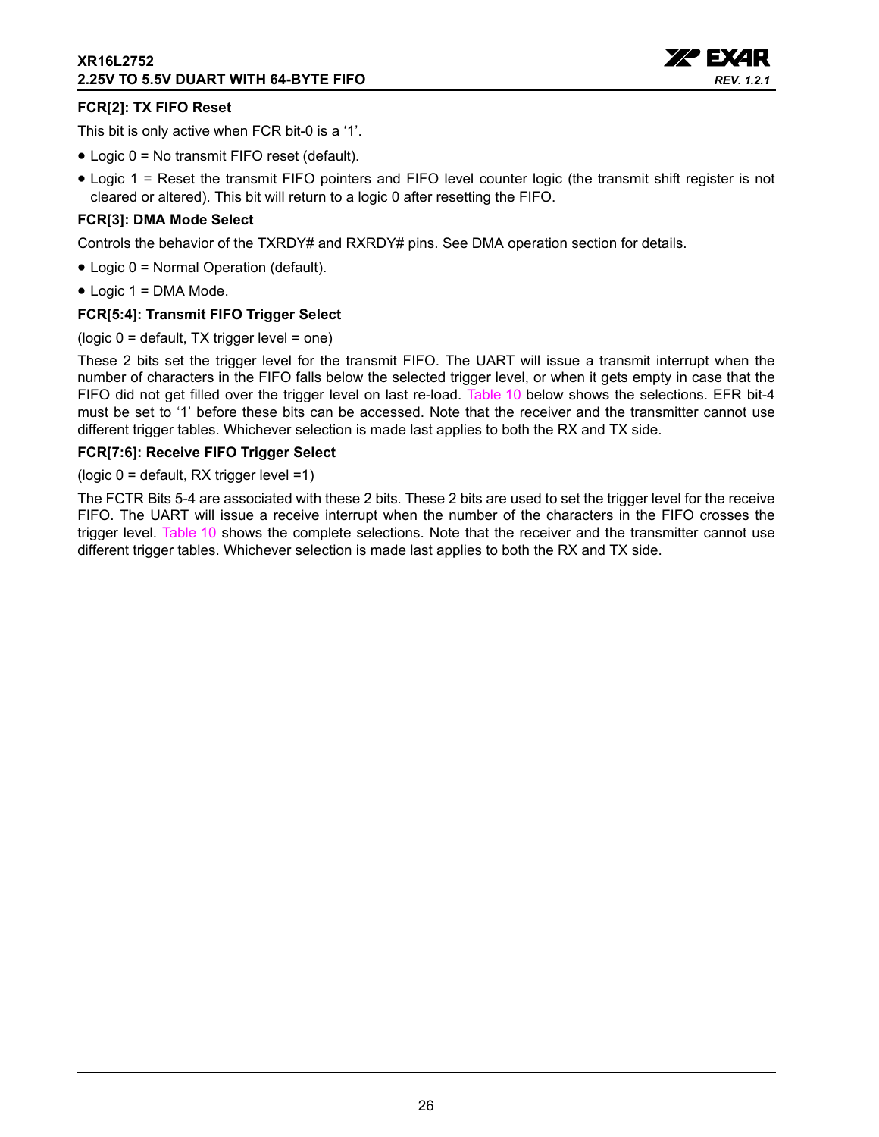

## **FCR[2]: TX FIFO Reset**

This bit is only active when FCR bit-0 is a '1'.

- Logic 0 = No transmit FIFO reset (default).
- Logic 1 = Reset the transmit FIFO pointers and FIFO level counter logic (the transmit shift register is not cleared or altered). This bit will return to a logic 0 after resetting the FIFO.

## **FCR[3]: DMA Mode Select**

Controls the behavior of the TXRDY# and RXRDY# pins. See DMA operation section for details.

- Logic 0 = Normal Operation (default).
- Logic 1 = DMA Mode.

## **FCR[5:4]: Transmit FIFO Trigger Select**

(logic 0 = default, TX trigger level = one)

These 2 bits set the trigger level for the transmit FIFO. The UART will issue a transmit interrupt when the number of characters in the FIFO falls below the selected trigger level, or when it gets empty in case that the FIFO did not get filled over the trigger level on last re-load. [Table](#page-26-0) 10 below shows the selections. EFR bit-4 must be set to '1' before these bits can be accessed. Note that the receiver and the transmitter cannot use different trigger tables. Whichever selection is made last applies to both the RX and TX side.

#### **FCR[7:6]: Receive FIFO Trigger Select**

(logic 0 = default, RX trigger level =1)

The FCTR Bits 5-4 are associated with these 2 bits. These 2 bits are used to set the trigger level for the receive FIFO. The UART will issue a receive interrupt when the number of the characters in the FIFO crosses the trigger level. [Table](#page-26-0) 10 shows the complete selections. Note that the receiver and the transmitter cannot use different trigger tables. Whichever selection is made last applies to both the RX and TX side.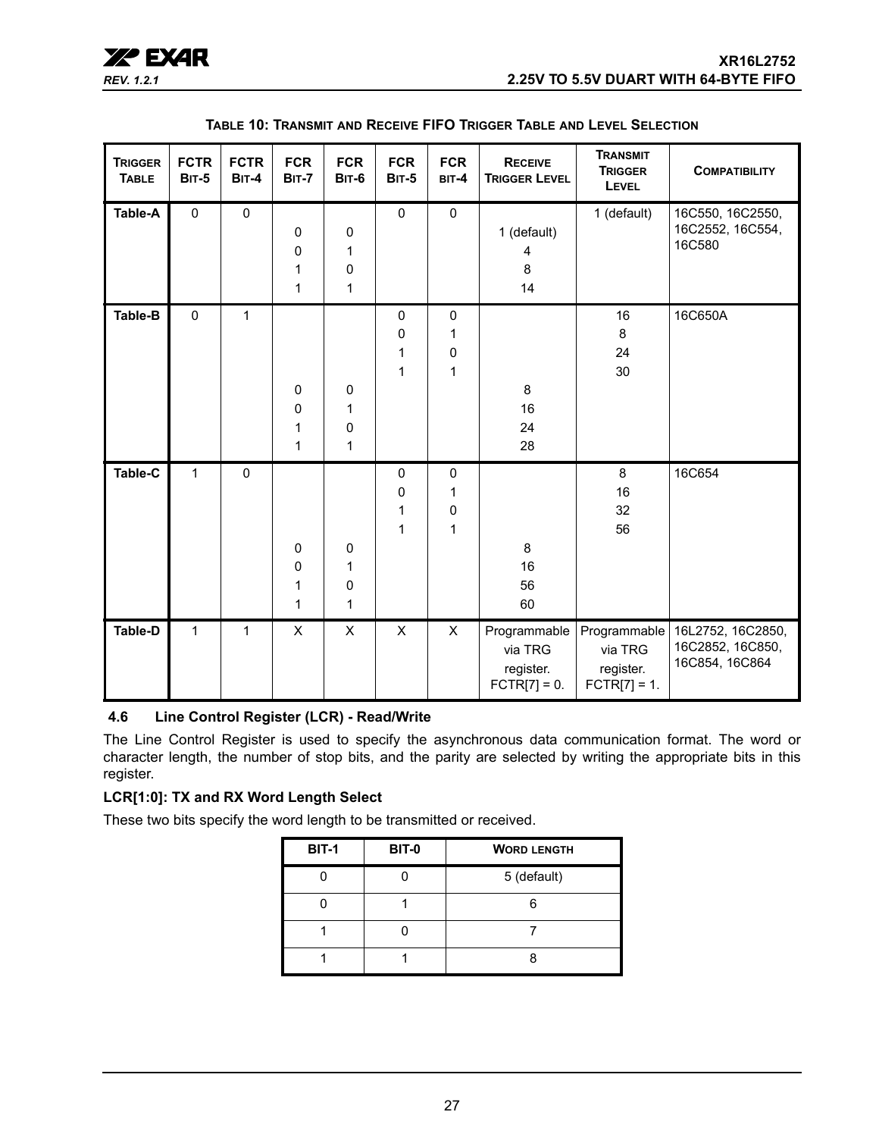

<span id="page-26-0"></span>

| <b>TRIGGER</b><br><b>TABLE</b> | <b>FCTR</b><br><b>BIT-5</b> | <b>FCTR</b><br><b>BIT-4</b> | <b>FCR</b><br><b>BIT-7</b>          | <b>FCR</b><br><b>BIT-6</b>            | <b>FCR</b><br><b>BIT-5</b> | <b>FCR</b><br>BIT-4                         | <b>RECEIVE</b><br><b>TRIGGER LEVEL</b>                        | <b>TRANSMIT</b><br><b>TRIGGER</b><br>LEVEL | <b>COMPATIBILITY</b>                                                   |
|--------------------------------|-----------------------------|-----------------------------|-------------------------------------|---------------------------------------|----------------------------|---------------------------------------------|---------------------------------------------------------------|--------------------------------------------|------------------------------------------------------------------------|
| Table-A                        | $\pmb{0}$                   | $\pmb{0}$                   | $\pmb{0}$<br>0<br>1<br>$\mathbf{1}$ | 0<br>1<br>$\mathbf 0$<br>$\mathbf{1}$ | $\pmb{0}$                  | $\mathsf{O}\xspace$                         | 1 (default)<br>4<br>8<br>14                                   | 1 (default)                                | 16C550, 16C2550,<br>16C2552, 16C554,<br>16C580                         |
| Table-B                        | $\pmb{0}$                   | $\mathbf{1}$                | 0<br>0<br>1<br>$\mathbf{1}$         | $\pmb{0}$<br>1<br>$\mathbf 0$<br>1    | $\pmb{0}$<br>0<br>1<br>1   | $\pmb{0}$<br>1<br>$\pmb{0}$<br>$\mathbf{1}$ | 8<br>16<br>24<br>28                                           | 16<br>8<br>24<br>30                        | 16C650A                                                                |
| <b>Table-C</b>                 | 1                           | $\mathbf 0$                 | $\pmb{0}$<br>0<br>1<br>$\mathbf{1}$ | $\mathbf 0$<br>1<br>0<br>$\mathbf{1}$ | $\pmb{0}$<br>0<br>1<br>1   | $\pmb{0}$<br>1<br>$\pmb{0}$<br>$\mathbf{1}$ | 8<br>16<br>56<br>60                                           | 8<br>16<br>32<br>56                        | 16C654                                                                 |
| Table-D                        | 1                           | $\mathbf{1}$                | X                                   | X                                     | $\pmb{\times}$             | $\pmb{\times}$                              | Programmable<br>via TRG<br>register.<br>$\text{FCTR}[7] = 0.$ | via TRG<br>register.<br>$FCTR[7] = 1.$     | Programmable   16L2752, 16C2850,<br>16C2852, 16C850,<br>16C854, 16C864 |

## <span id="page-26-1"></span>**4.6 Line Control Register (LCR) - Read/Write**

The Line Control Register is used to specify the asynchronous data communication format. The word or character length, the number of stop bits, and the parity are selected by writing the appropriate bits in this register.

## **LCR[1:0]: TX and RX Word Length Select**

These two bits specify the word length to be transmitted or received.

| <b>BIT-1</b> | <b>BIT-0</b> | <b>WORD LENGTH</b> |
|--------------|--------------|--------------------|
|              |              | 5 (default)        |
|              |              |                    |
|              |              |                    |
|              |              |                    |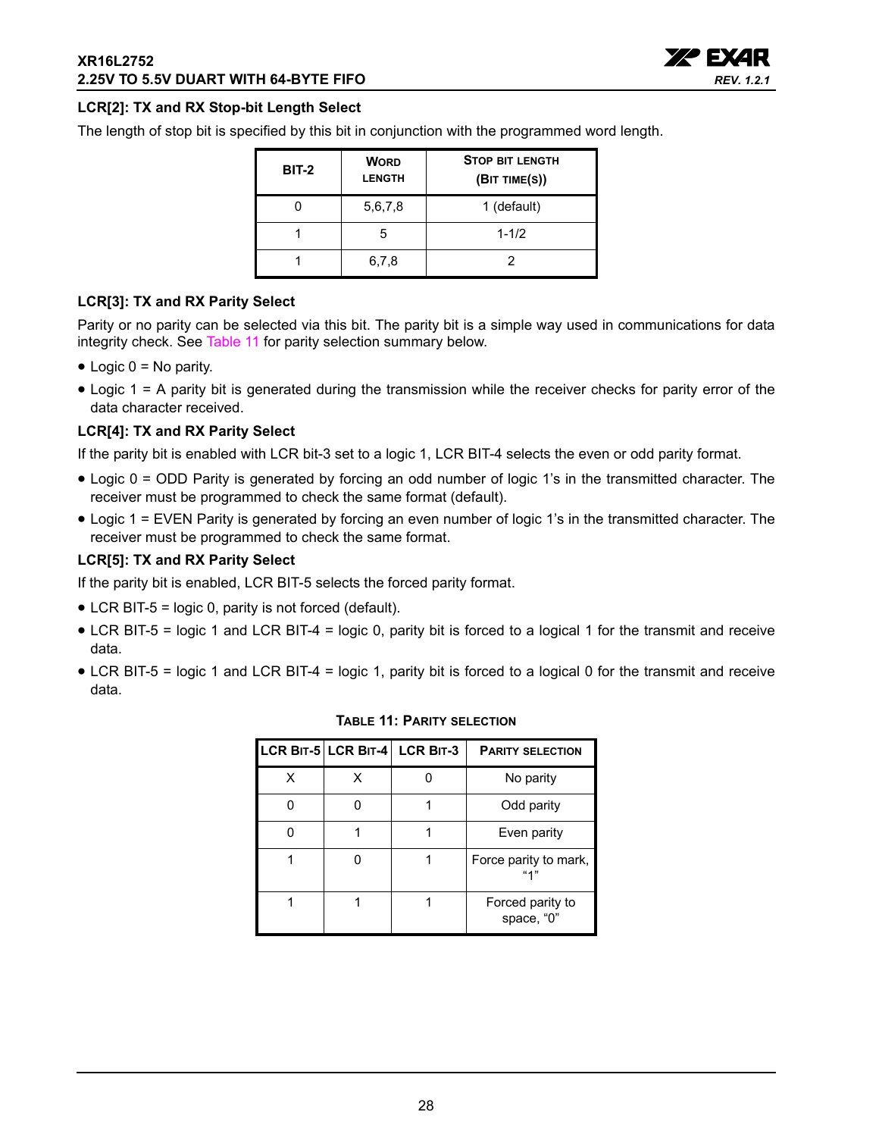

## **LCR[2]: TX and RX Stop-bit Length Select**

The length of stop bit is specified by this bit in conjunction with the programmed word length.

| <b>BIT-2</b> | <b>WORD</b><br><b>LENGTH</b> | <b>STOP BIT LENGTH</b><br>(BIT TIME(S)) |
|--------------|------------------------------|-----------------------------------------|
|              | 5,6,7,8                      | 1 (default)                             |
|              | 5                            | $1 - 1/2$                               |
|              | 6,7,8                        |                                         |

## **LCR[3]: TX and RX Parity Select**

Parity or no parity can be selected via this bit. The parity bit is a simple way used in communications for data integrity check. See [Table](#page-27-0) 11 for parity selection summary below.

- $\bullet$  Logic  $0 = No$  parity.
- Logic 1 = A parity bit is generated during the transmission while the receiver checks for parity error of the data character received.

## **LCR[4]: TX and RX Parity Select**

If the parity bit is enabled with LCR bit-3 set to a logic 1, LCR BIT-4 selects the even or odd parity format.

- Logic 0 = ODD Parity is generated by forcing an odd number of logic 1's in the transmitted character. The receiver must be programmed to check the same format (default).
- Logic 1 = EVEN Parity is generated by forcing an even number of logic 1's in the transmitted character. The receiver must be programmed to check the same format.

#### **LCR[5]: TX and RX Parity Select**

If the parity bit is enabled, LCR BIT-5 selects the forced parity format.

- LCR BIT-5 = logic 0, parity is not forced (default).
- LCR BIT-5 = logic 1 and LCR BIT-4 = logic 0, parity bit is forced to a logical 1 for the transmit and receive data.
- <span id="page-27-0"></span>• LCR BIT-5 = logic 1 and LCR BIT-4 = logic 1, parity bit is forced to a logical 0 for the transmit and receive data.

|   | LCR BIT-5 LCR BIT-4 LCR BIT-3 | <b>PARITY SELECTION</b>        |
|---|-------------------------------|--------------------------------|
| х |                               | No parity                      |
|   |                               | Odd parity                     |
|   |                               | Even parity                    |
|   |                               | Force parity to mark,<br>411   |
|   |                               | Forced parity to<br>space, "0" |

#### **TABLE 11: PARITY SELECTION**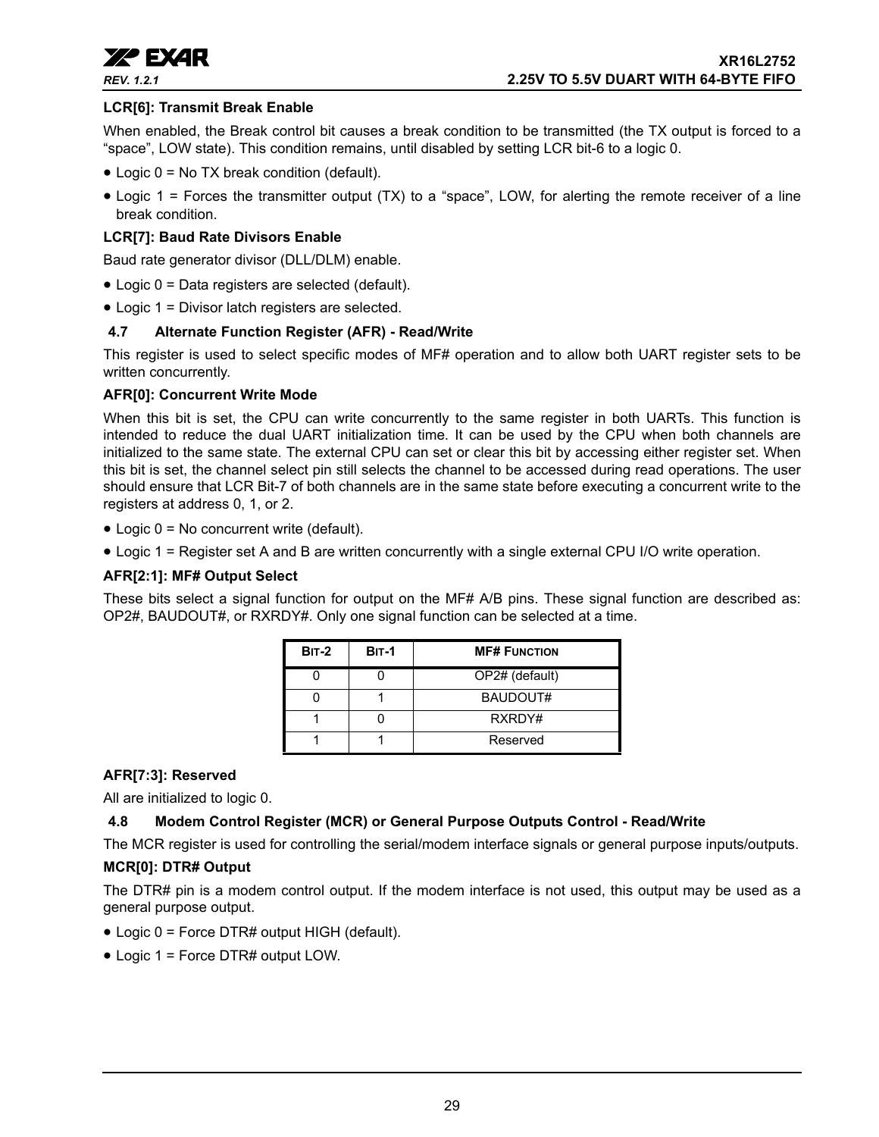

## **LCR[6]: Transmit Break Enable**

When enabled, the Break control bit causes a break condition to be transmitted (the TX output is forced to a "space", LOW state). This condition remains, until disabled by setting LCR bit-6 to a logic 0.

- Logic 0 = No TX break condition (default).
- Logic 1 = Forces the transmitter output (TX) to a "space", LOW, for alerting the remote receiver of a line break condition.

## **LCR[7]: Baud Rate Divisors Enable**

Baud rate generator divisor (DLL/DLM) enable.

- Logic 0 = Data registers are selected (default).
- Logic 1 = Divisor latch registers are selected.

#### <span id="page-28-0"></span>**4.7 Alternate Function Register (AFR) - Read/Write**

This register is used to select specific modes of MF# operation and to allow both UART register sets to be written concurrently.

#### **AFR[0]: Concurrent Write Mode**

When this bit is set, the CPU can write concurrently to the same register in both UARTs. This function is intended to reduce the dual UART initialization time. It can be used by the CPU when both channels are initialized to the same state. The external CPU can set or clear this bit by accessing either register set. When this bit is set, the channel select pin still selects the channel to be accessed during read operations. The user should ensure that LCR Bit-7 of both channels are in the same state before executing a concurrent write to the registers at address 0, 1, or 2.

- Logic 0 = No concurrent write (default).
- Logic 1 = Register set A and B are written concurrently with a single external CPU I/O write operation.

#### **AFR[2:1]: MF# Output Select**

These bits select a signal function for output on the MF# A/B pins. These signal function are described as: OP2#, BAUDOUT#, or RXRDY#. Only one signal function can be selected at a time.

| <b>BIT-2</b> | <b>BIT-1</b> | <b>MF# FUNCTION</b> |
|--------------|--------------|---------------------|
|              |              | OP2# (default)      |
|              |              | BAUDOUT#            |
|              |              | RXRDY#              |
|              |              | Reserved            |

#### **AFR[7:3]: Reserved**

All are initialized to logic 0.

## <span id="page-28-1"></span>**4.8 Modem Control Register (MCR) or General Purpose Outputs Control - Read/Write**

The MCR register is used for controlling the serial/modem interface signals or general purpose inputs/outputs.

#### **MCR[0]: DTR# Output**

The DTR# pin is a modem control output. If the modem interface is not used, this output may be used as a general purpose output.

- Logic 0 = Force DTR# output HIGH (default).
- Logic 1 = Force DTR# output LOW.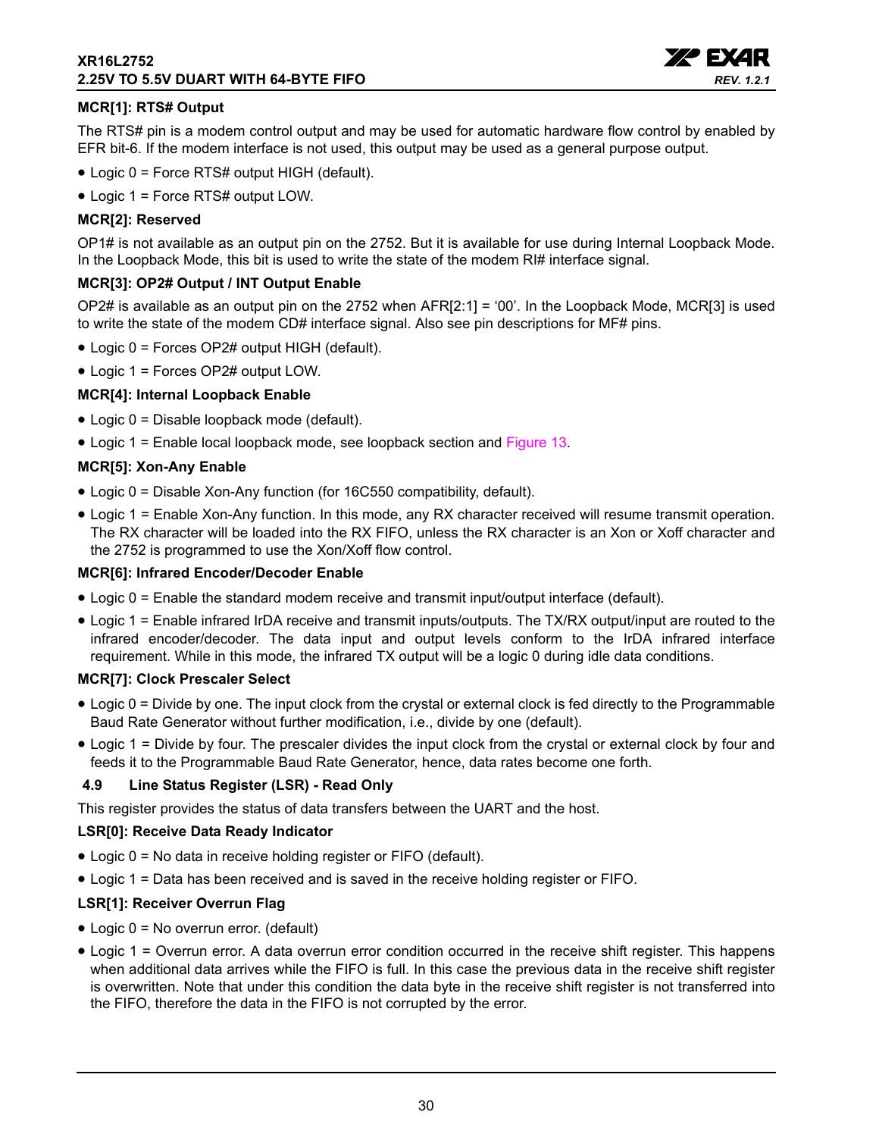## **XR16L2752 2.25V TO 5.5V DUART WITH 64-BYTE FIFO**



## **MCR[1]: RTS# Output**

The RTS# pin is a modem control output and may be used for automatic hardware flow control by enabled by EFR bit-6. If the modem interface is not used, this output may be used as a general purpose output.

- Logic 0 = Force RTS# output HIGH (default).
- Logic 1 = Force RTS# output LOW.

## **MCR[2]: Reserved**

OP1# is not available as an output pin on the 2752. But it is available for use during Internal Loopback Mode. In the Loopback Mode, this bit is used to write the state of the modem RI# interface signal.

#### **MCR[3]: OP2# Output / INT Output Enable**

OP2# is available as an output pin on the 2752 when AFR[2:1] = '00'. In the Loopback Mode, MCR[3] is used to write the state of the modem CD# interface signal. Also see pin descriptions for MF# pins.

- Logic 0 = Forces OP2# output HIGH (default).
- Logic 1 = Forces OP2# output LOW.

## **MCR[4]: Internal Loopback Enable**

- Logic 0 = Disable loopback mode (default).
- Logic 1 = Enable local loopback mode, see loopback section and [Figure](#page-18-0) 13.

#### **MCR[5]: Xon-Any Enable**

- Logic 0 = Disable Xon-Any function (for 16C550 compatibility, default).
- Logic 1 = Enable Xon-Any function. In this mode, any RX character received will resume transmit operation. The RX character will be loaded into the RX FIFO, unless the RX character is an Xon or Xoff character and the 2752 is programmed to use the Xon/Xoff flow control.

#### **MCR[6]: Infrared Encoder/Decoder Enable**

- Logic 0 = Enable the standard modem receive and transmit input/output interface (default).
- Logic 1 = Enable infrared IrDA receive and transmit inputs/outputs. The TX/RX output/input are routed to the infrared encoder/decoder. The data input and output levels conform to the IrDA infrared interface requirement. While in this mode, the infrared TX output will be a logic 0 during idle data conditions.

#### **MCR[7]: Clock Prescaler Select**

- Logic 0 = Divide by one. The input clock from the crystal or external clock is fed directly to the Programmable Baud Rate Generator without further modification, i.e., divide by one (default).
- Logic 1 = Divide by four. The prescaler divides the input clock from the crystal or external clock by four and feeds it to the Programmable Baud Rate Generator, hence, data rates become one forth.

#### <span id="page-29-0"></span>**4.9 Line Status Register (LSR) - Read Only**

This register provides the status of data transfers between the UART and the host.

#### **LSR[0]: Receive Data Ready Indicator**

- Logic 0 = No data in receive holding register or FIFO (default).
- Logic 1 = Data has been received and is saved in the receive holding register or FIFO.

## **LSR[1]: Receiver Overrun Flag**

- Logic 0 = No overrun error. (default)
- Logic 1 = Overrun error. A data overrun error condition occurred in the receive shift register. This happens when additional data arrives while the FIFO is full. In this case the previous data in the receive shift register is overwritten. Note that under this condition the data byte in the receive shift register is not transferred into the FIFO, therefore the data in the FIFO is not corrupted by the error.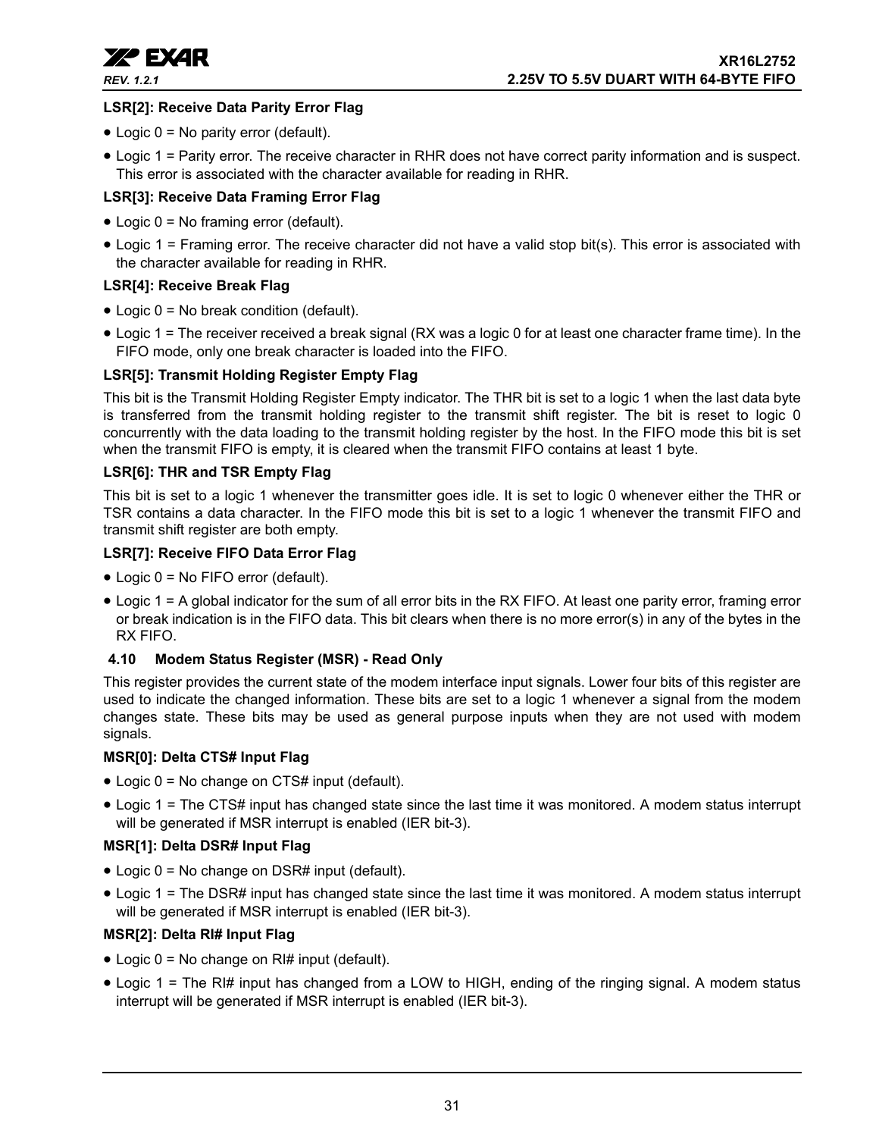

## **LSR[2]: Receive Data Parity Error Flag**

- Logic 0 = No parity error (default).
- Logic 1 = Parity error. The receive character in RHR does not have correct parity information and is suspect. This error is associated with the character available for reading in RHR.

## **LSR[3]: Receive Data Framing Error Flag**

- Logic 0 = No framing error (default).
- Logic 1 = Framing error. The receive character did not have a valid stop bit(s). This error is associated with the character available for reading in RHR.

## **LSR[4]: Receive Break Flag**

- Logic 0 = No break condition (default).
- Logic 1 = The receiver received a break signal (RX was a logic 0 for at least one character frame time). In the FIFO mode, only one break character is loaded into the FIFO.

## **LSR[5]: Transmit Holding Register Empty Flag**

This bit is the Transmit Holding Register Empty indicator. The THR bit is set to a logic 1 when the last data byte is transferred from the transmit holding register to the transmit shift register. The bit is reset to logic 0 concurrently with the data loading to the transmit holding register by the host. In the FIFO mode this bit is set when the transmit FIFO is empty, it is cleared when the transmit FIFO contains at least 1 byte.

#### **LSR[6]: THR and TSR Empty Flag**

This bit is set to a logic 1 whenever the transmitter goes idle. It is set to logic 0 whenever either the THR or TSR contains a data character. In the FIFO mode this bit is set to a logic 1 whenever the transmit FIFO and transmit shift register are both empty.

#### **LSR[7]: Receive FIFO Data Error Flag**

- Logic 0 = No FIFO error (default).
- Logic 1 = A global indicator for the sum of all error bits in the RX FIFO. At least one parity error, framing error or break indication is in the FIFO data. This bit clears when there is no more error(s) in any of the bytes in the RX FIFO.

## <span id="page-30-0"></span>**4.10 Modem Status Register (MSR) - Read Only**

This register provides the current state of the modem interface input signals. Lower four bits of this register are used to indicate the changed information. These bits are set to a logic 1 whenever a signal from the modem changes state. These bits may be used as general purpose inputs when they are not used with modem signals.

#### **MSR[0]: Delta CTS# Input Flag**

- Logic 0 = No change on CTS# input (default).
- Logic 1 = The CTS# input has changed state since the last time it was monitored. A modem status interrupt will be generated if MSR interrupt is enabled (IER bit-3).

## **MSR[1]: Delta DSR# Input Flag**

- Logic 0 = No change on DSR# input (default).
- Logic 1 = The DSR# input has changed state since the last time it was monitored. A modem status interrupt will be generated if MSR interrupt is enabled (IER bit-3).

## **MSR[2]: Delta RI# Input Flag**

- Logic  $0 = No$  change on RI# input (default).
- Logic 1 = The RI# input has changed from a LOW to HIGH, ending of the ringing signal. A modem status interrupt will be generated if MSR interrupt is enabled (IER bit-3).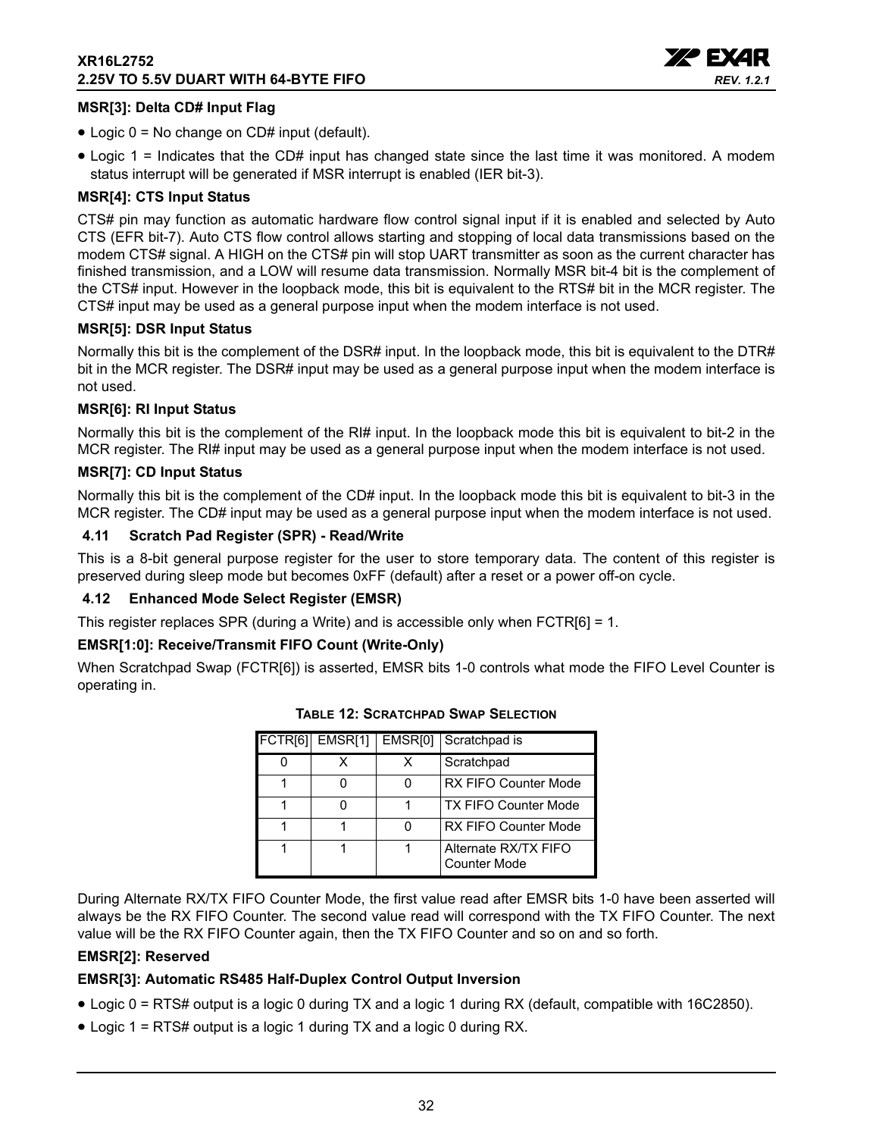

## **MSR[3]: Delta CD# Input Flag**

- Logic 0 = No change on CD# input (default).
- Logic 1 = Indicates that the CD# input has changed state since the last time it was monitored. A modem status interrupt will be generated if MSR interrupt is enabled (IER bit-3).

## **MSR[4]: CTS Input Status**

CTS# pin may function as automatic hardware flow control signal input if it is enabled and selected by Auto CTS (EFR bit-7). Auto CTS flow control allows starting and stopping of local data transmissions based on the modem CTS# signal. A HIGH on the CTS# pin will stop UART transmitter as soon as the current character has finished transmission, and a LOW will resume data transmission. Normally MSR bit-4 bit is the complement of the CTS# input. However in the loopback mode, this bit is equivalent to the RTS# bit in the MCR register. The CTS# input may be used as a general purpose input when the modem interface is not used.

#### **MSR[5]: DSR Input Status**

Normally this bit is the complement of the DSR# input. In the loopback mode, this bit is equivalent to the DTR# bit in the MCR register. The DSR# input may be used as a general purpose input when the modem interface is not used.

#### **MSR[6]: RI Input Status**

Normally this bit is the complement of the RI# input. In the loopback mode this bit is equivalent to bit-2 in the MCR register. The RI# input may be used as a general purpose input when the modem interface is not used.

#### **MSR[7]: CD Input Status**

Normally this bit is the complement of the CD# input. In the loopback mode this bit is equivalent to bit-3 in the MCR register. The CD# input may be used as a general purpose input when the modem interface is not used.

#### <span id="page-31-1"></span>**4.11 Scratch Pad Register (SPR) - Read/Write**

This is a 8-bit general purpose register for the user to store temporary data. The content of this register is preserved during sleep mode but becomes 0xFF (default) after a reset or a power off-on cycle.

#### <span id="page-31-2"></span>**4.12 Enhanced Mode Select Register (EMSR)**

This register replaces SPR (during a Write) and is accessible only when FCTR[6] = 1.

## **EMSR[1:0]: Receive/Transmit FIFO Count (Write-Only)**

<span id="page-31-0"></span>When Scratchpad Swap (FCTR[6]) is asserted, EMSR bits 1-0 controls what mode the FIFO Level Counter is operating in.

| FCTR[6] | EMSR[1] | EMSR <sub>[0]</sub> | Scratchpad is                        |
|---------|---------|---------------------|--------------------------------------|
|         |         |                     | Scratchpad                           |
|         |         |                     | <b>RX FIFO Counter Mode</b>          |
|         |         |                     | <b>TX FIFO Counter Mode</b>          |
|         |         |                     | <b>RX FIFO Counter Mode</b>          |
|         |         |                     | Alternate RX/TX FIFO<br>Counter Mode |

## **TABLE 12: SCRATCHPAD SWAP SELECTION**

During Alternate RX/TX FIFO Counter Mode, the first value read after EMSR bits 1-0 have been asserted will always be the RX FIFO Counter. The second value read will correspond with the TX FIFO Counter. The next value will be the RX FIFO Counter again, then the TX FIFO Counter and so on and so forth.

## **EMSR[2]: Reserved**

## **EMSR[3]: Automatic RS485 Half-Duplex Control Output Inversion**

- Logic 0 = RTS# output is a logic 0 during TX and a logic 1 during RX (default, compatible with 16C2850).
- Logic 1 = RTS# output is a logic 1 during TX and a logic 0 during RX.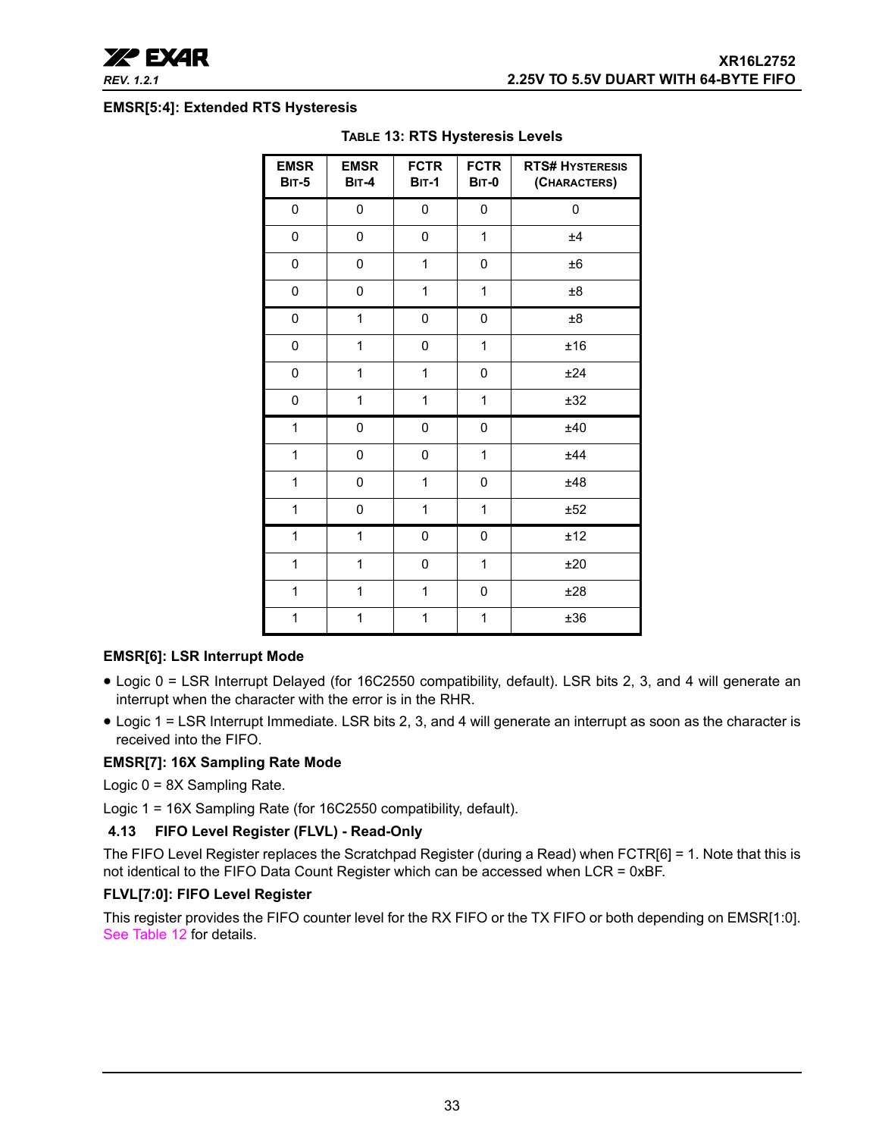

#### <span id="page-32-0"></span>**EMSR[5:4]: Extended RTS Hysteresis**

| <b>EMSR</b><br><b>BIT-5</b> | <b>EMSR</b><br><b>BIT-4</b> | <b>FCTR</b><br><b>BIT-1</b> | <b>FCTR</b><br><b>BIT-0</b> | <b>RTS# HYSTERESIS</b><br>(CHARACTERS) |
|-----------------------------|-----------------------------|-----------------------------|-----------------------------|----------------------------------------|
| 0                           | 0                           | 0                           | 0                           | 0                                      |
| 0                           | 0                           | 0                           | 1                           | ±4                                     |
| 0                           | 0                           | 1                           | 0                           | ±6                                     |
| 0                           | 0                           | 1                           | 1                           | $\pm 8$                                |
| 0                           | $\mathbf{1}$                | 0                           | 0                           | $\pm 8$                                |
| 0                           | $\mathbf{1}$                | 0                           | $\mathbf{1}$                | ±16                                    |
| 0                           | 1                           | 1                           | 0                           | ±24                                    |
| 0                           | 1                           | 1                           | $\mathbf{1}$                | ±32                                    |
| 1                           | 0                           | 0                           | 0                           | ±40                                    |
| 1                           | 0                           | 0                           | 1                           | ±44                                    |
| 1                           | 0                           | 1                           | 0                           | ±48                                    |
| $\mathbf 1$                 | 0                           | 1                           | 1                           | ±52                                    |
| 1                           | 1                           | 0                           | 0                           | ±12                                    |
| 1                           | $\mathbf{1}$                | 0                           | 1                           | ±20                                    |
| 1                           | $\mathbf{1}$                | 1                           | 0                           | ±28                                    |
| 1                           | 1                           | 1                           | $\mathbf{1}$                | ±36                                    |

#### **TABLE 13: RTS Hysteresis Levels**

## **EMSR[6]: LSR Interrupt Mode**

- Logic 0 = LSR Interrupt Delayed (for 16C2550 compatibility, default). LSR bits 2, 3, and 4 will generate an interrupt when the character with the error is in the RHR.
- Logic 1 = LSR Interrupt Immediate. LSR bits 2, 3, and 4 will generate an interrupt as soon as the character is received into the FIFO.

#### **EMSR[7]: 16X Sampling Rate Mode**

Logic 0 = 8X Sampling Rate.

Logic 1 = 16X Sampling Rate (for 16C2550 compatibility, default).

## <span id="page-32-1"></span>**4.13 FIFO Level Register (FLVL) - Read-Only**

The FIFO Level Register replaces the Scratchpad Register (during a Read) when FCTR[6] = 1. Note that this is not identical to the FIFO Data Count Register which can be accessed when LCR = 0xBF.

#### **FLVL[7:0]: FIFO Level Register**

This register provides the FIFO counter level for the RX FIFO or the TX FIFO or both depending on EMSR[1:0]. [See Table](#page-31-0) 12 for details.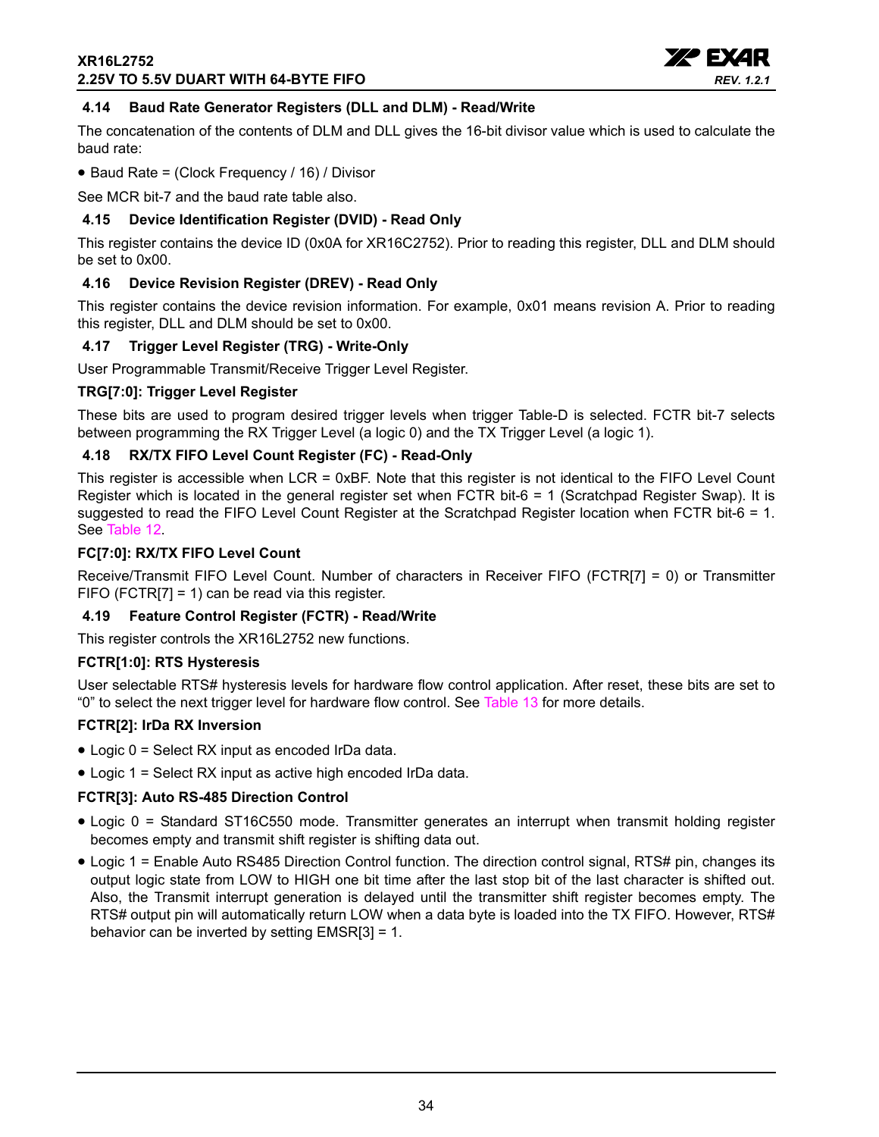

## <span id="page-33-0"></span>**4.14 Baud Rate Generator Registers (DLL and DLM) - Read/Write**

The concatenation of the contents of DLM and DLL gives the 16-bit divisor value which is used to calculate the baud rate:

• Baud Rate = (Clock Frequency / 16) / Divisor

See MCR bit-7 and the baud rate table also.

## <span id="page-33-1"></span>**4.15 Device Identification Register (DVID) - Read Only**

This register contains the device ID (0x0A for XR16C2752). Prior to reading this register, DLL and DLM should be set to 0x00.

## <span id="page-33-2"></span>**4.16 Device Revision Register (DREV) - Read Only**

This register contains the device revision information. For example, 0x01 means revision A. Prior to reading this register, DLL and DLM should be set to 0x00.

#### <span id="page-33-3"></span>**4.17 Trigger Level Register (TRG) - Write-Only**

User Programmable Transmit/Receive Trigger Level Register.

#### **TRG[7:0]: Trigger Level Register**

These bits are used to program desired trigger levels when trigger Table-D is selected. FCTR bit-7 selects between programming the RX Trigger Level (a logic 0) and the TX Trigger Level (a logic 1).

#### <span id="page-33-4"></span>**4.18 RX/TX FIFO Level Count Register (FC) - Read-Only**

This register is accessible when LCR = 0xBF. Note that this register is not identical to the FIFO Level Count Register which is located in the general register set when FCTR bit-6 = 1 (Scratchpad Register Swap). It is suggested to read the FIFO Level Count Register at the Scratchpad Register location when FCTR bit-6 = 1. See [Table](#page-31-0) 12.

#### **FC[7:0]: RX/TX FIFO Level Count**

Receive/Transmit FIFO Level Count. Number of characters in Receiver FIFO (FCTR[7] = 0) or Transmitter FIFO (FCTR[7] = 1) can be read via this register.

#### <span id="page-33-5"></span>**4.19 Feature Control Register (FCTR) - Read/Write**

This register controls the XR16L2752 new functions.

#### **FCTR[1:0]: RTS Hysteresis**

User selectable RTS# hysteresis levels for hardware flow control application. After reset, these bits are set to "0" to select the next trigger level for hardware flow control. See [Table](#page-18-0) 13 for more details.

#### **FCTR[2]: IrDa RX Inversion**

- Logic 0 = Select RX input as encoded IrDa data.
- Logic 1 = Select RX input as active high encoded IrDa data.

## **FCTR[3]: Auto RS-485 Direction Control**

- Logic 0 = Standard ST16C550 mode. Transmitter generates an interrupt when transmit holding register becomes empty and transmit shift register is shifting data out.
- Logic 1 = Enable Auto RS485 Direction Control function. The direction control signal, RTS# pin, changes its output logic state from LOW to HIGH one bit time after the last stop bit of the last character is shifted out. Also, the Transmit interrupt generation is delayed until the transmitter shift register becomes empty. The RTS# output pin will automatically return LOW when a data byte is loaded into the TX FIFO. However, RTS# behavior can be inverted by setting EMSR[3] = 1.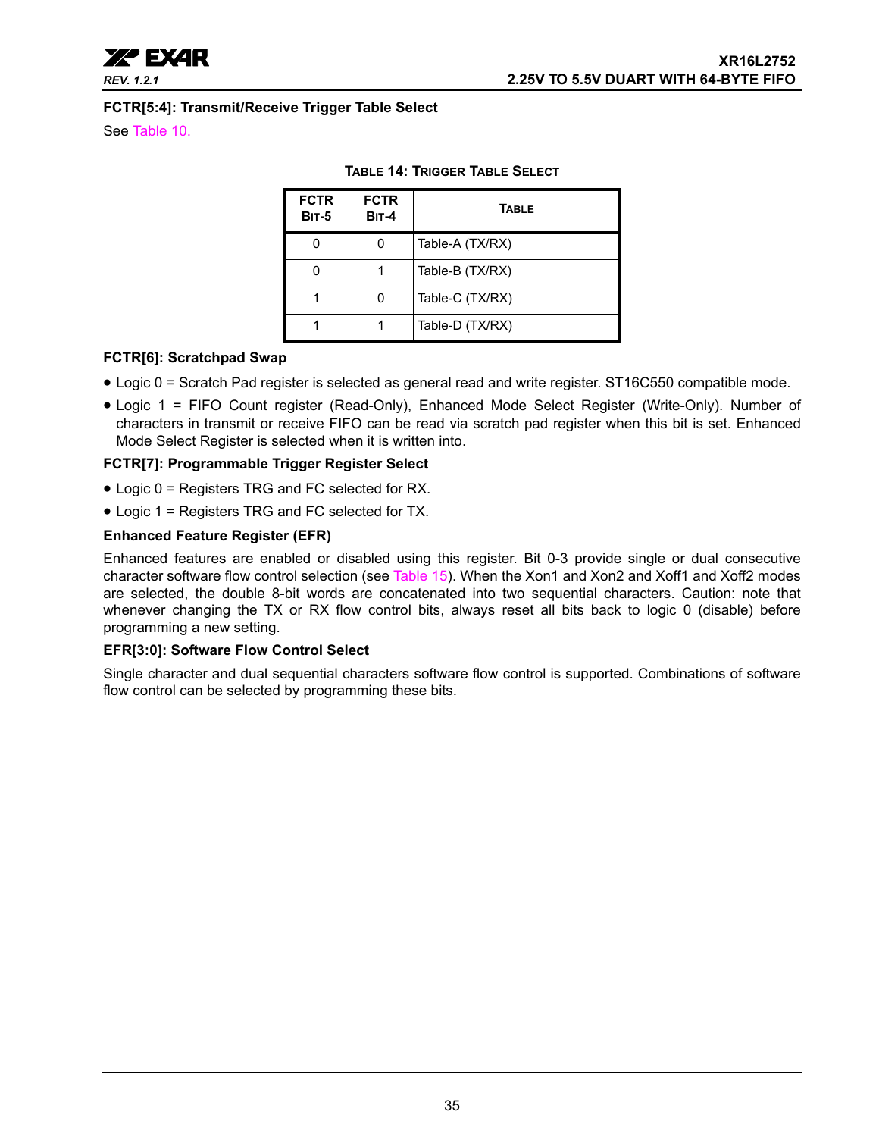

#### **FCTR[5:4]: Transmit/Receive Trigger Table Select**

<span id="page-34-0"></span>See [Table](#page-26-0) 10.

| <b>FCTR</b><br><b>BIT-5</b> | <b>FCTR</b><br><b>BIT-4</b> | <b>TABLE</b>    |
|-----------------------------|-----------------------------|-----------------|
|                             |                             | Table-A (TX/RX) |
|                             |                             | Table-B (TX/RX) |
|                             |                             | Table-C (TX/RX) |
|                             |                             | Table-D (TX/RX) |

#### **TABLE 14: TRIGGER TABLE SELECT**

#### **FCTR[6]: Scratchpad Swap**

- Logic 0 = Scratch Pad register is selected as general read and write register. ST16C550 compatible mode.
- Logic 1 = FIFO Count register (Read-Only), Enhanced Mode Select Register (Write-Only). Number of characters in transmit or receive FIFO can be read via scratch pad register when this bit is set. Enhanced Mode Select Register is selected when it is written into.

#### **FCTR[7]: Programmable Trigger Register Select**

- Logic 0 = Registers TRG and FC selected for RX.
- Logic 1 = Registers TRG and FC selected for TX.

#### **Enhanced Feature Register (EFR)**

Enhanced features are enabled or disabled using this register. Bit 0-3 provide single or dual consecutive character software flow control selection (see [Table](#page-35-0) 15). When the Xon1 and Xon2 and Xoff1 and Xoff2 modes are selected, the double 8-bit words are concatenated into two sequential characters. Caution: note that whenever changing the TX or RX flow control bits, always reset all bits back to logic 0 (disable) before programming a new setting.

## **EFR[3:0]: Software Flow Control Select**

Single character and dual sequential characters software flow control is supported. Combinations of software flow control can be selected by programming these bits.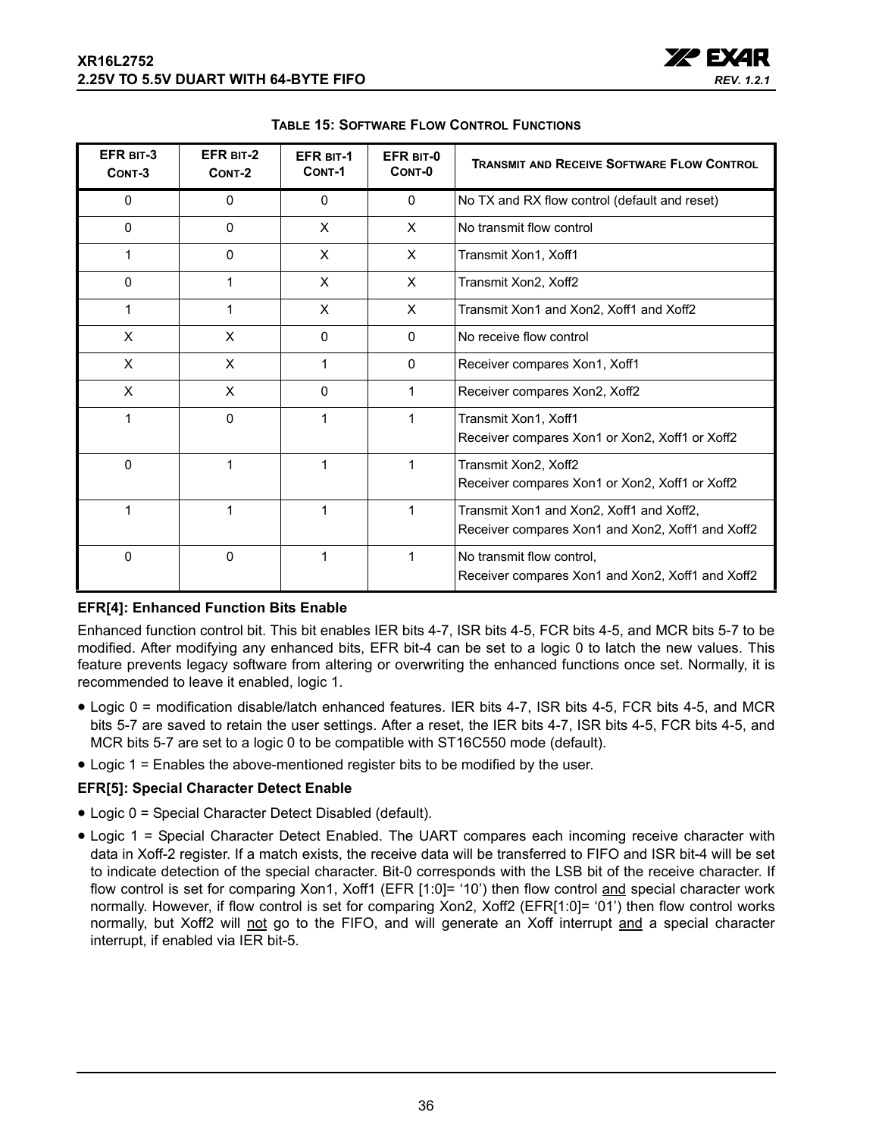

<span id="page-35-0"></span>

| EFR BIT-3<br>CONT-3 | EFR BIT-2<br>CONT-2 | <b>EFR BIT-1</b><br>CONT-1 | EFR BIT-0<br>CONT-0 | <b>TRANSMIT AND RECEIVE SOFTWARE FLOW CONTROL</b>                                            |
|---------------------|---------------------|----------------------------|---------------------|----------------------------------------------------------------------------------------------|
| $\mathbf{0}$        | $\Omega$            | $\mathbf{0}$               | $\mathbf{0}$        | No TX and RX flow control (default and reset)                                                |
| $\mathbf{0}$        | $\Omega$            | X                          | X                   | No transmit flow control                                                                     |
| 1                   | $\Omega$            | X                          | X                   | Transmit Xon1, Xoff1                                                                         |
| $\Omega$            | 1                   | X                          | X                   | Transmit Xon2, Xoff2                                                                         |
| 1                   | 1                   | X                          | X                   | Transmit Xon1 and Xon2, Xoff1 and Xoff2                                                      |
| X                   | X                   | 0                          | $\Omega$            | No receive flow control                                                                      |
| X                   | X                   |                            | $\mathbf{0}$        | Receiver compares Xon1, Xoff1                                                                |
| X                   | X                   | 0                          | 1                   | Receiver compares Xon2, Xoff2                                                                |
| 1                   | $\Omega$            |                            | 1                   | Transmit Xon1, Xoff1<br>Receiver compares Xon1 or Xon2, Xoff1 or Xoff2                       |
| $\mathbf{0}$        | 1                   | 1                          | 1                   | Transmit Xon2, Xoff2<br>Receiver compares Xon1 or Xon2, Xoff1 or Xoff2                       |
| 1                   |                     |                            | 1                   | Transmit Xon1 and Xon2, Xoff1 and Xoff2,<br>Receiver compares Xon1 and Xon2, Xoff1 and Xoff2 |
| 0                   | $\mathbf 0$         |                            | 1                   | No transmit flow control.<br>Receiver compares Xon1 and Xon2, Xoff1 and Xoff2                |

**TABLE 15: SOFTWARE FLOW CONTROL FUNCTIONS**

## **EFR[4]: Enhanced Function Bits Enable**

Enhanced function control bit. This bit enables IER bits 4-7, ISR bits 4-5, FCR bits 4-5, and MCR bits 5-7 to be modified. After modifying any enhanced bits, EFR bit-4 can be set to a logic 0 to latch the new values. This feature prevents legacy software from altering or overwriting the enhanced functions once set. Normally, it is recommended to leave it enabled, logic 1.

- Logic 0 = modification disable/latch enhanced features. IER bits 4-7, ISR bits 4-5, FCR bits 4-5, and MCR bits 5-7 are saved to retain the user settings. After a reset, the IER bits 4-7, ISR bits 4-5, FCR bits 4-5, and MCR bits 5-7 are set to a logic 0 to be compatible with ST16C550 mode (default).
- Logic 1 = Enables the above-mentioned register bits to be modified by the user.

## **EFR[5]: Special Character Detect Enable**

- Logic 0 = Special Character Detect Disabled (default).
- Logic 1 = Special Character Detect Enabled. The UART compares each incoming receive character with data in Xoff-2 register. If a match exists, the receive data will be transferred to FIFO and ISR bit-4 will be set to indicate detection of the special character. Bit-0 corresponds with the LSB bit of the receive character. If flow control is set for comparing Xon1, Xoff1 (EFR [1:0]= '10') then flow control and special character work normally. However, if flow control is set for comparing Xon2, Xoff2 (EFR[1:0]= '01') then flow control works normally, but Xoff2 will not go to the FIFO, and will generate an Xoff interrupt and a special character interrupt, if enabled via IER bit-5.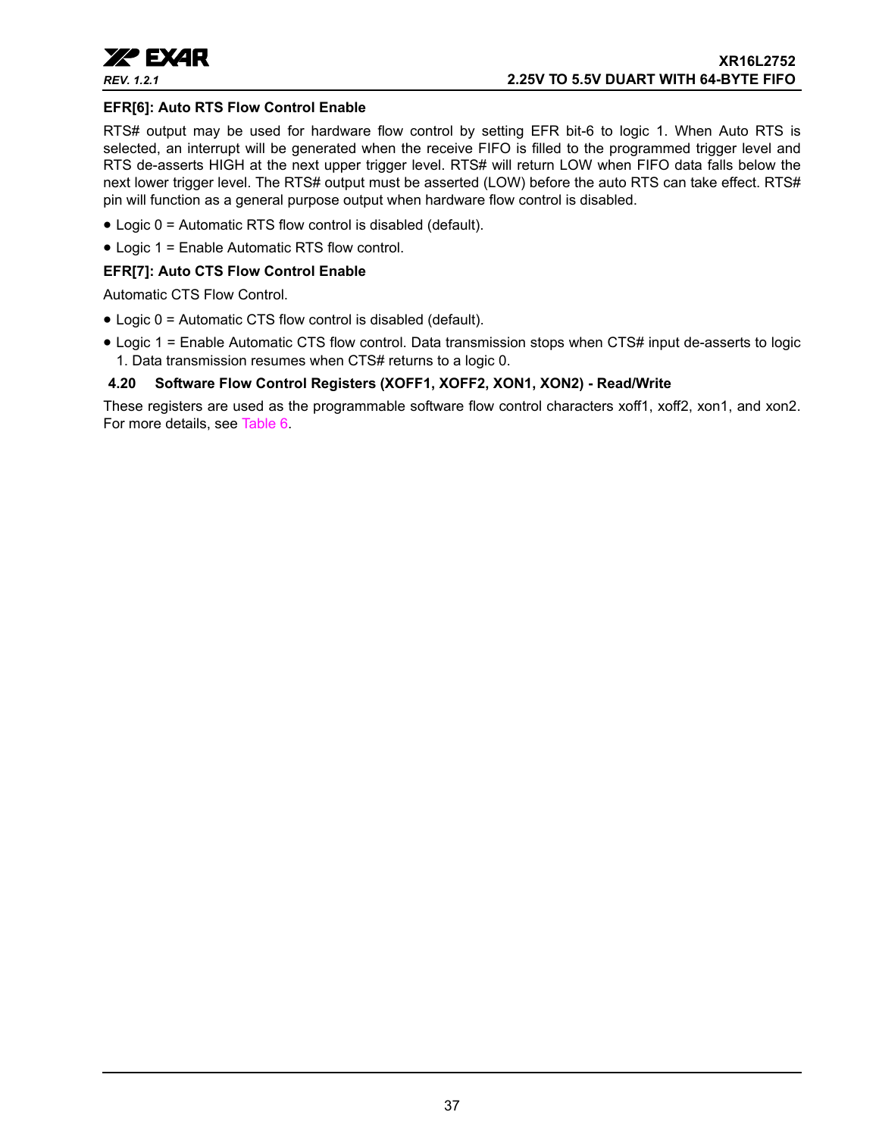

#### **EFR[6]: Auto RTS Flow Control Enable**

RTS# output may be used for hardware flow control by setting EFR bit-6 to logic 1. When Auto RTS is selected, an interrupt will be generated when the receive FIFO is filled to the programmed trigger level and RTS de-asserts HIGH at the next upper trigger level. RTS# will return LOW when FIFO data falls below the next lower trigger level. The RTS# output must be asserted (LOW) before the auto RTS can take effect. RTS# pin will function as a general purpose output when hardware flow control is disabled.

- Logic 0 = Automatic RTS flow control is disabled (default).
- Logic 1 = Enable Automatic RTS flow control.

#### **EFR[7]: Auto CTS Flow Control Enable**

Automatic CTS Flow Control.

- Logic 0 = Automatic CTS flow control is disabled (default).
- Logic 1 = Enable Automatic CTS flow control. Data transmission stops when CTS# input de-asserts to logic 1. Data transmission resumes when CTS# returns to a logic 0.

## <span id="page-36-0"></span>**4.20 Software Flow Control Registers (XOFF1, XOFF2, XON1, XON2) - Read/Write**

These registers are used as the programmable software flow control characters xoff1, xoff2, xon1, and xon2. For more details, see [Table](#page-15-0) 6.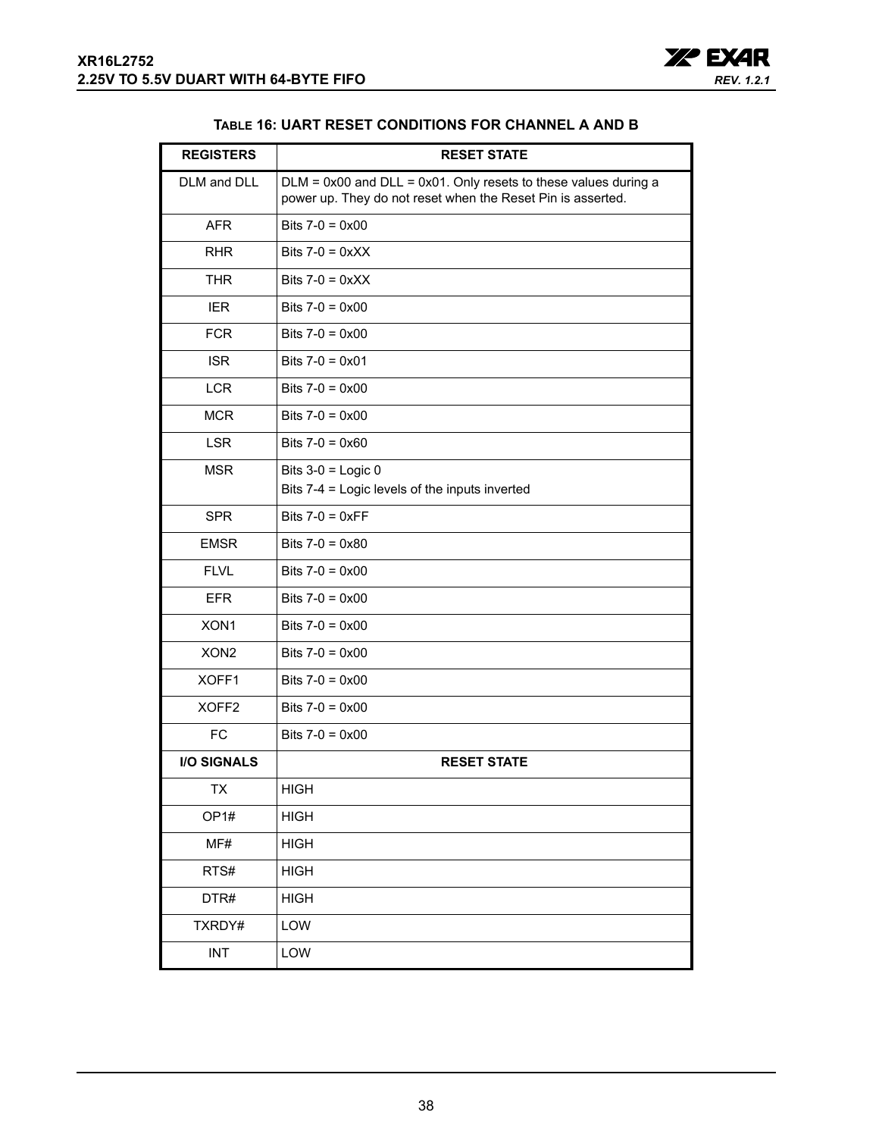

#### **TABLE 16: UART RESET CONDITIONS FOR CHANNEL A AND B**

<span id="page-37-0"></span>

| <b>REGISTERS</b>   | <b>RESET STATE</b>                                                                                                                  |
|--------------------|-------------------------------------------------------------------------------------------------------------------------------------|
| DLM and DLL        | $DLM = 0x00$ and $DLL = 0x01$ . Only resets to these values during a<br>power up. They do not reset when the Reset Pin is asserted. |
| <b>AFR</b>         | Bits $7-0 = 0 \times 00$                                                                                                            |
| <b>RHR</b>         | Bits $7-0 = 0 \times XX$                                                                                                            |
| <b>THR</b>         | Bits $7-0 = 0 \times XX$                                                                                                            |
| <b>IER</b>         | Bits $7-0 = 0 \times 00$                                                                                                            |
| <b>FCR</b>         | Bits $7-0 = 0 \times 00$                                                                                                            |
| <b>ISR</b>         | Bits $7-0 = 0 \times 01$                                                                                                            |
| <b>LCR</b>         | Bits $7-0 = 0 \times 00$                                                                                                            |
| <b>MCR</b>         | Bits $7-0 = 0 \times 00$                                                                                                            |
| <b>LSR</b>         | Bits $7-0 = 0 \times 60$                                                                                                            |
| <b>MSR</b>         | Bits $3-0$ = Logic 0<br>Bits 7-4 = Logic levels of the inputs inverted                                                              |
| <b>SPR</b>         | Bits $7-0 = 0 \times FF$                                                                                                            |
| <b>EMSR</b>        | Bits $7-0 = 0 \times 80$                                                                                                            |
| <b>FLVL</b>        | Bits $7-0 = 0 \times 00$                                                                                                            |
| <b>EFR</b>         | Bits $7-0 = 0 \times 00$                                                                                                            |
| XON1               | Bits $7-0 = 0 \times 00$                                                                                                            |
| XON <sub>2</sub>   | Bits $7-0 = 0 \times 00$                                                                                                            |
| XOFF1              | Bits $7-0 = 0 \times 00$                                                                                                            |
| XOFF <sub>2</sub>  | Bits $7-0 = 0 \times 00$                                                                                                            |
| <b>FC</b>          | Bits $7-0 = 0 \times 00$                                                                                                            |
| <b>I/O SIGNALS</b> | <b>RESET STATE</b>                                                                                                                  |
| IХ                 | <b>HIGH</b>                                                                                                                         |
| OP <sub>1#</sub>   | <b>HIGH</b>                                                                                                                         |
| MF#                | <b>HIGH</b>                                                                                                                         |
| RTS#               | <b>HIGH</b>                                                                                                                         |
| DTR#               | <b>HIGH</b>                                                                                                                         |
| TXRDY#             | LOW                                                                                                                                 |
| INT                | LOW                                                                                                                                 |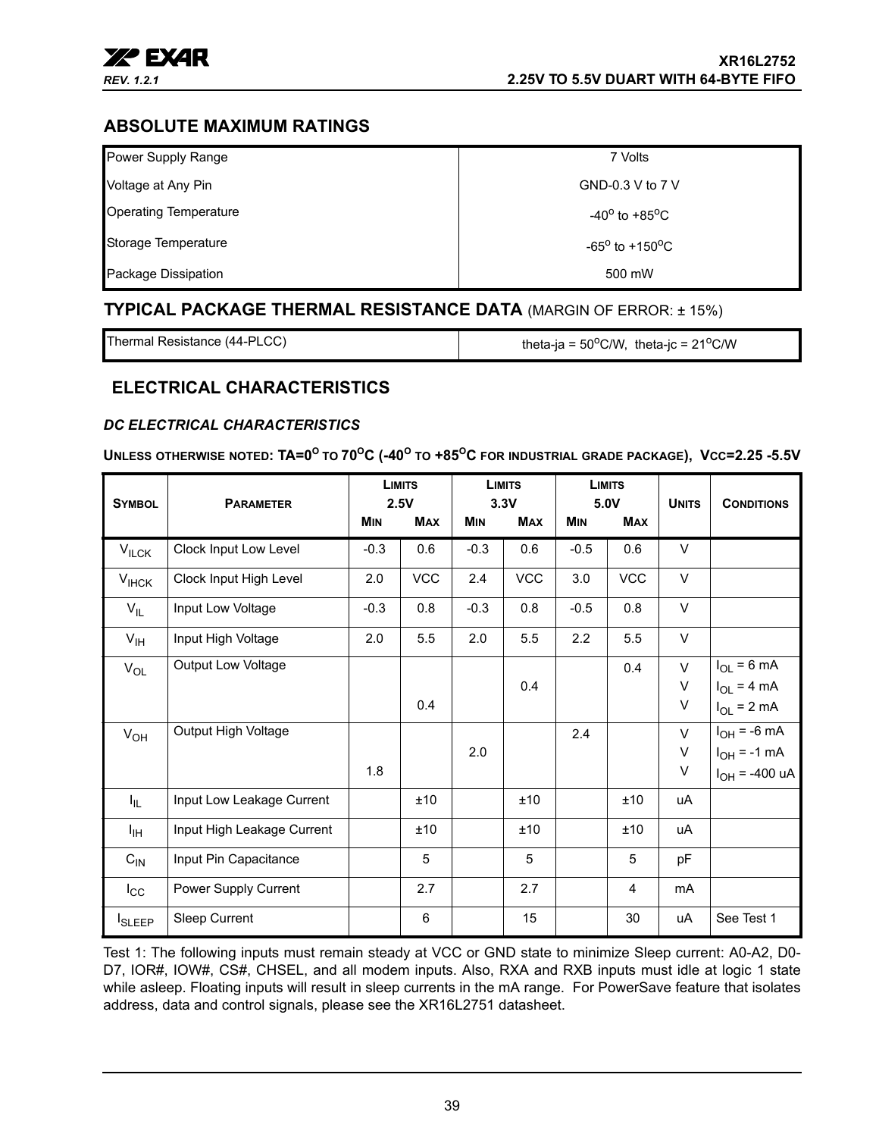

## <span id="page-38-1"></span>**ABSOLUTE MAXIMUM RATINGS**

| Power Supply Range           | 7 Volts                           |
|------------------------------|-----------------------------------|
| Voltage at Any Pin           | GND-0.3 V to 7 V                  |
| <b>Operating Temperature</b> | $-40^{\circ}$ to $+85^{\circ}$ C  |
| Storage Temperature          | $-65^{\circ}$ to $+150^{\circ}$ C |
| Package Dissipation          | 500 mW                            |

## <span id="page-38-2"></span>**TYPICAL PACKAGE THERMAL RESISTANCE DATA** (MARGIN OF ERROR: ± 15%)

Thermal Resistance (44-PLCC)  $\parallel$  theta-ja = 50<sup>o</sup>C/W, theta-jc = 21<sup>o</sup>C/W

## <span id="page-38-3"></span>**ELECTRICAL CHARACTERISTICS**

## <span id="page-38-0"></span>*DC ELECTRICAL CHARACTERISTICS*

#### **UNLESS OTHERWISE NOTED: TA=0<sup>O</sup> TO 70<sup>O</sup>C (-40<sup>O</sup> TO +85<sup>O</sup>C FOR INDUSTRIAL GRADE PACKAGE), VCC=2.25 -5.5V**

| <b>SYMBOL</b>   | <b>PARAMETER</b>           |            | <b>LIMITS</b><br>2.5V |            | <b>LIMITS</b><br>3.3V |            | <b>LIMITS</b><br>5.0V | <b>UNITS</b> | <b>CONDITIONS</b>       |
|-----------------|----------------------------|------------|-----------------------|------------|-----------------------|------------|-----------------------|--------------|-------------------------|
|                 |                            | <b>MIN</b> | <b>MAX</b>            | <b>MIN</b> | <b>MAX</b>            | <b>MIN</b> | <b>MAX</b>            |              |                         |
| $V_{ILCK}$      | Clock Input Low Level      | $-0.3$     | 0.6                   | $-0.3$     | 0.6                   | $-0.5$     | 0.6                   | V            |                         |
| $V_{IHCK}$      | Clock Input High Level     | 2.0        | <b>VCC</b>            | 2.4        | <b>VCC</b>            | 3.0        | <b>VCC</b>            | $\vee$       |                         |
| $V_{IL}$        | Input Low Voltage          | $-0.3$     | 0.8                   | $-0.3$     | 0.8                   | $-0.5$     | 0.8                   | V            |                         |
| $V_{\text{IH}}$ | Input High Voltage         | 2.0        | 5.5                   | 2.0        | 5.5                   | 2.2        | 5.5                   | V            |                         |
| $V_{OL}$        | Output Low Voltage         |            |                       |            |                       |            | 0.4                   | $\vee$       | $I_{OL} = 6 \text{ mA}$ |
|                 |                            |            |                       |            | 0.4                   |            |                       | V            | $I_{OL}$ = 4 mA         |
|                 |                            |            | 0.4                   |            |                       |            |                       | V            | $I_{OL}$ = 2 mA         |
| $V_{OH}$        | Output High Voltage        |            |                       |            |                       | 2.4        |                       | $\vee$       | $I_{OH}$ = -6 mA        |
|                 |                            |            |                       | 2.0        |                       |            |                       | V            | $I_{OH} = -1$ mA        |
|                 |                            | 1.8        |                       |            |                       |            |                       | V            | $I_{OH}$ = -400 uA      |
| I <sub>IL</sub> | Input Low Leakage Current  |            | ±10                   |            | ±10                   |            | ±10                   | uA           |                         |
| ŀщ              | Input High Leakage Current |            | ±10                   |            | ±10                   |            | ±10                   | uA           |                         |
| $C_{IN}$        | Input Pin Capacitance      |            | 5                     |            | 5                     |            | 5                     | pF           |                         |
| $I_{\rm CC}$    | Power Supply Current       |            | 2.7                   |            | 2.7                   |            | 4                     | mA           |                         |
| <b>I</b> SLEEP  | Sleep Current              |            | 6                     |            | 15                    |            | 30                    | uA           | See Test 1              |

Test 1: The following inputs must remain steady at VCC or GND state to minimize Sleep current: A0-A2, D0- D7, IOR#, IOW#, CS#, CHSEL, and all modem inputs. Also, RXA and RXB inputs must idle at logic 1 state while asleep. Floating inputs will result in sleep currents in the mA range. For PowerSave feature that isolates address, data and control signals, please see the XR16L2751 datasheet.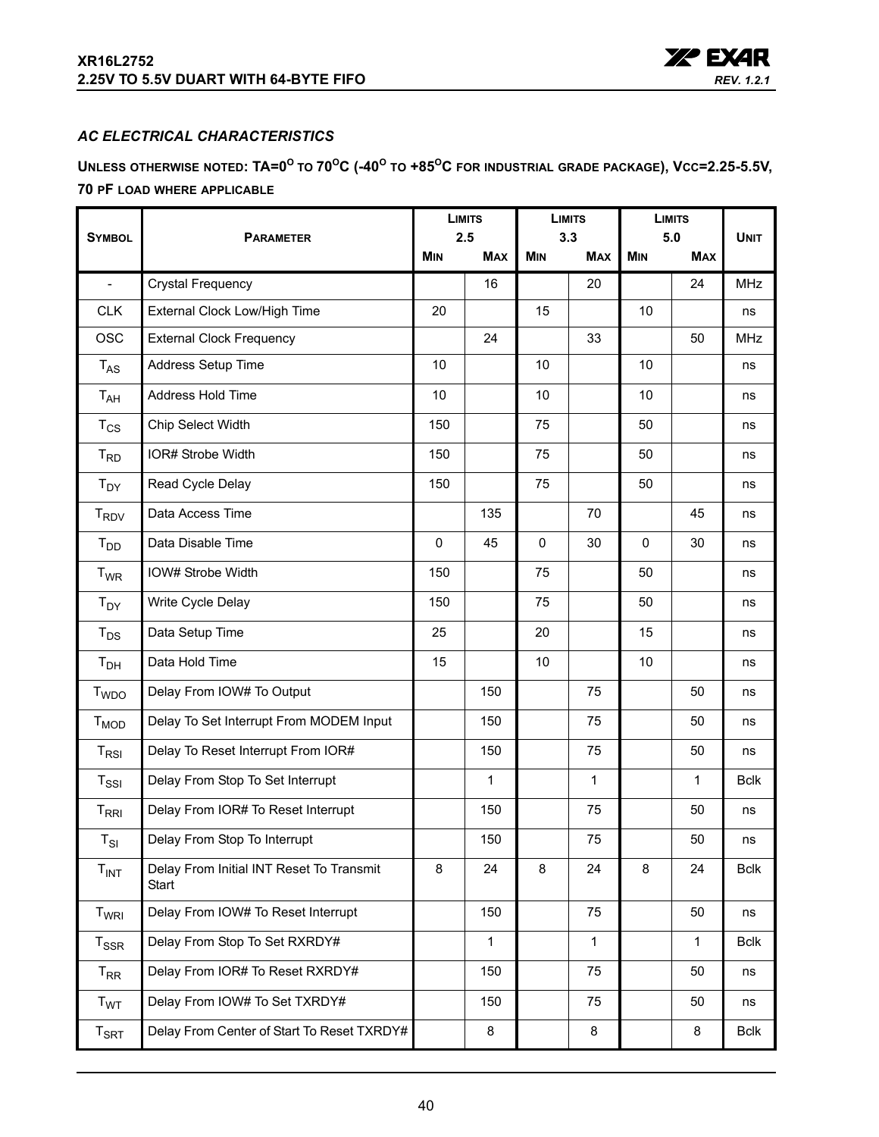

## <span id="page-39-0"></span>*AC ELECTRICAL CHARACTERISTICS*

<span id="page-39-2"></span><span id="page-39-1"></span>**UNLESS OTHERWISE NOTED: TA=0<sup>O</sup> TO 70OC (-40O TO +85OC FOR INDUSTRIAL GRADE PACKAGE), VCC=2.25-5.5V, 70 PF LOAD WHERE APPLICABLE**

|                            |                                                   |                   | <b>LIMITS</b> | <b>LIMITS</b><br>3.3 |              | <b>LIMITS</b> |                   |             |
|----------------------------|---------------------------------------------------|-------------------|---------------|----------------------|--------------|---------------|-------------------|-------------|
| <b>SYMBOL</b>              | <b>PARAMETER</b>                                  | 2.5<br><b>MIN</b> | <b>MAX</b>    | <b>MIN</b>           | <b>MAX</b>   | <b>MIN</b>    | 5.0<br><b>MAX</b> | <b>UNIT</b> |
| $\frac{1}{2}$              | <b>Crystal Frequency</b>                          |                   | 16            |                      | 20           |               | 24                | <b>MHz</b>  |
| <b>CLK</b>                 | External Clock Low/High Time                      | 20                |               | 15                   |              | 10            |                   | ns          |
| <b>OSC</b>                 | <b>External Clock Frequency</b>                   |                   | 24            |                      | 33           |               | 50                | <b>MHz</b>  |
| $T_{AS}$                   | Address Setup Time                                | 10                |               | 10                   |              | 10            |                   | ns          |
| $T_{AH}$                   | Address Hold Time                                 | 10                |               | 10                   |              | 10            |                   | ns          |
| $T_{CS}$                   | Chip Select Width                                 | 150               |               | 75                   |              | 50            |                   | ns          |
| $T_{RD}$                   | IOR# Strobe Width                                 | 150               |               | 75                   |              | 50            |                   | ns          |
| $T_{DY}$                   | Read Cycle Delay                                  | 150               |               | 75                   |              | 50            |                   | ns          |
| <b>T<sub>RDV</sub></b>     | Data Access Time                                  |                   | 135           |                      | 70           |               | 45                | ns          |
| $T_{DD}$                   | Data Disable Time                                 | $\mathbf{0}$      | 45            | $\mathbf{0}$         | 30           | $\Omega$      | 30                | ns          |
| $T_{WR}$                   | IOW# Strobe Width                                 | 150               |               | 75                   |              | 50            |                   | ns          |
| $T_{DY}$                   | Write Cycle Delay                                 | 150               |               | 75                   |              | 50            |                   | ns          |
| $T_{DS}$                   | Data Setup Time                                   | 25                |               | 20                   |              | 15            |                   | ns          |
| $T_{DH}$                   | Data Hold Time                                    | 15                |               | 10                   |              | 10            |                   | ns          |
| T <sub>WDO</sub>           | Delay From IOW# To Output                         |                   | 150           |                      | 75           |               | 50                | ns          |
| $T_{MOD}$                  | Delay To Set Interrupt From MODEM Input           |                   | 150           |                      | 75           |               | 50                | ns          |
| $T_{RSI}$                  | Delay To Reset Interrupt From IOR#                |                   | 150           |                      | 75           |               | 50                | ns          |
| $T_{\rm SSI}$              | Delay From Stop To Set Interrupt                  |                   | $\mathbf{1}$  |                      | $\mathbf{1}$ |               | $\mathbf{1}$      | <b>Bclk</b> |
| $T_{\rm RRI}$              | Delay From IOR# To Reset Interrupt                |                   | 150           |                      | 75           |               | 50                | ns          |
| $T_{SI}$                   | Delay From Stop To Interrupt                      |                   | 150           |                      | 75           |               | 50                | ns          |
| $T_{INT}$                  | Delay From Initial INT Reset To Transmit<br>Start | 8                 | 24            | 8                    | 24           | $\bf 8$       | 24                | <b>Bclk</b> |
| $T_{WRI}$                  | Delay From IOW# To Reset Interrupt                |                   | 150           |                      | 75           |               | 50                | ns          |
| $T_{\rm SSR}$              | Delay From Stop To Set RXRDY#                     |                   | $\mathbf{1}$  |                      | $\mathbf{1}$ |               | $\mathbf{1}$      | <b>Bclk</b> |
| $T_{RR}$                   | Delay From IOR# To Reset RXRDY#                   |                   | 150           |                      | 75           |               | 50                | ns          |
| <b>T<sub>WT</sub></b>      | Delay From IOW# To Set TXRDY#                     |                   | 150           |                      | 75           |               | 50                | ns          |
| $T_{\footnotesize\rm SRT}$ | Delay From Center of Start To Reset TXRDY#        |                   | 8             |                      | 8            |               | 8                 | <b>Bclk</b> |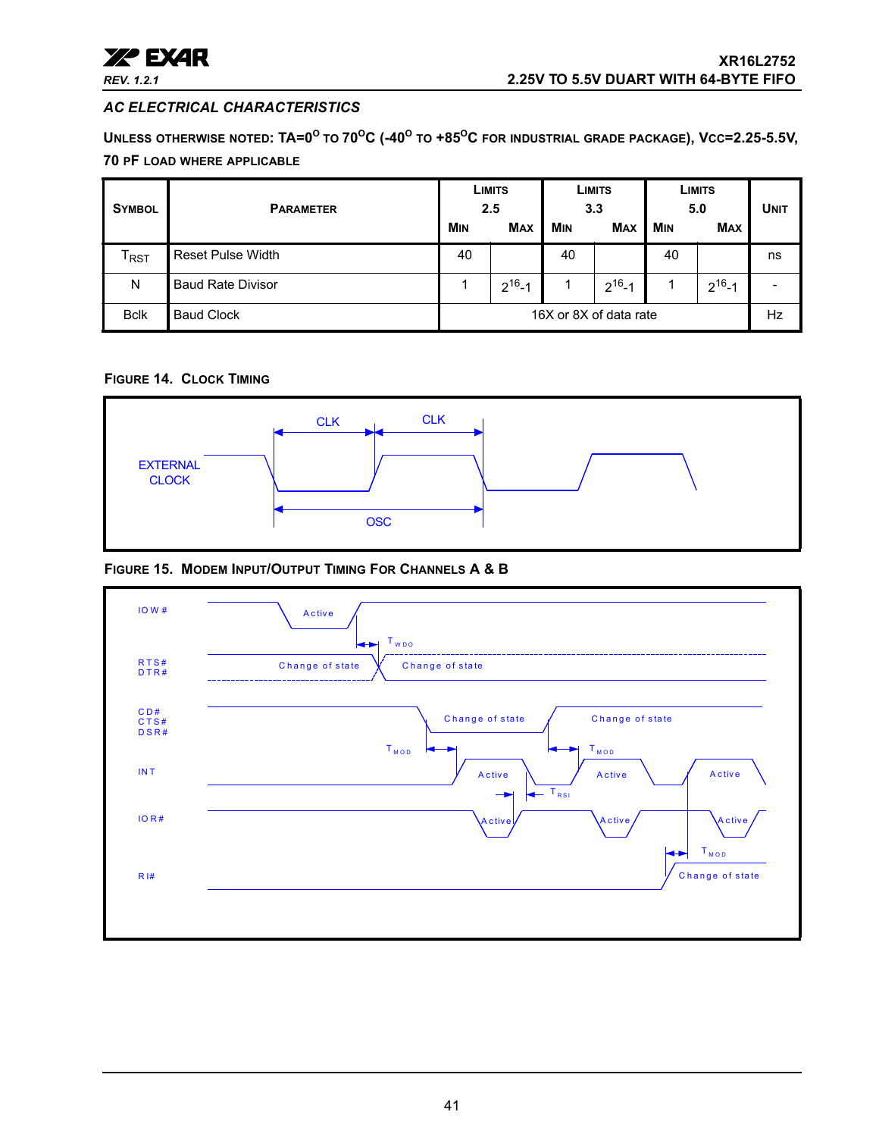

## *AC ELECTRICAL CHARACTERISTICS*

**UNLESS OTHERWISE NOTED: TA=0<sup>O</sup> TO 70OC (-40O TO +85OC FOR INDUSTRIAL GRADE PACKAGE), VCC=2.25-5.5V, 70 PF LOAD WHERE APPLICABLE**

| <b>SYMBOL</b>               | <b>PARAMETER</b>         |                        | LIMITS<br>2.5 |            | LIMITS<br>3.3 |     | LIMITS<br>5.0 |    |
|-----------------------------|--------------------------|------------------------|---------------|------------|---------------|-----|---------------|----|
|                             |                          | <b>M<sub>IN</sub></b>  | <b>MAX</b>    | <b>MIN</b> | <b>MAX</b>    | MIN | <b>MAX</b>    |    |
| $\mathsf{I}_{\mathsf{RST}}$ | <b>Reset Pulse Width</b> | 40                     |               | 40         |               | 40  |               | ns |
| N                           | <b>Baud Rate Divisor</b> |                        | $2^{16} - 1$  |            | $2^{16} - 1$  |     | $2^{16} - 1$  |    |
| <b>Bclk</b>                 | <b>Baud Clock</b>        | 16X or 8X of data rate |               |            |               |     |               | Hz |

## <span id="page-40-0"></span>**FIGURE 14. CLOCK TIMING**



<span id="page-40-1"></span>**FIGURE 15. MODEM INPUT/OUTPUT TIMING FOR CHANNELS A & B**

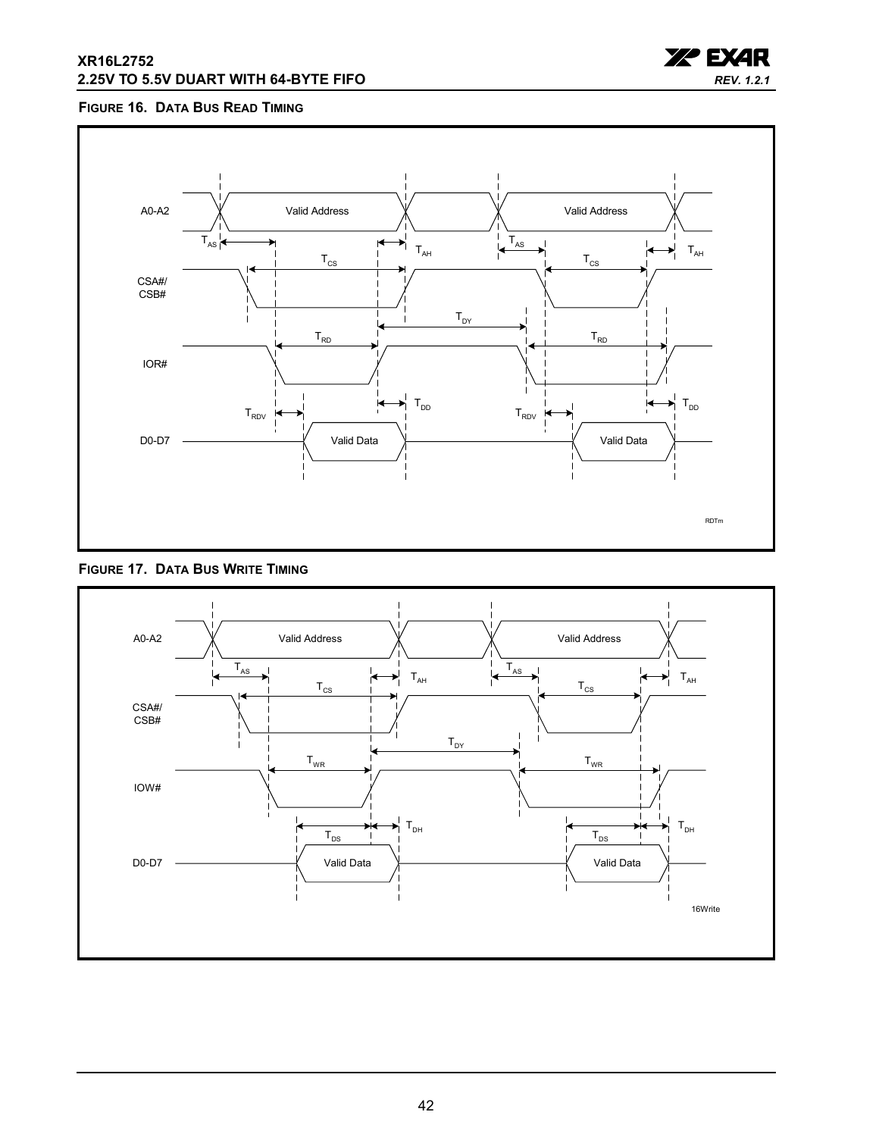### **XR16L2752 2.25V TO 5.5V DUART WITH 64-BYTE FIFO**



## <span id="page-41-0"></span>**FIGURE 16. DATA BUS READ TIMING**



<span id="page-41-1"></span>

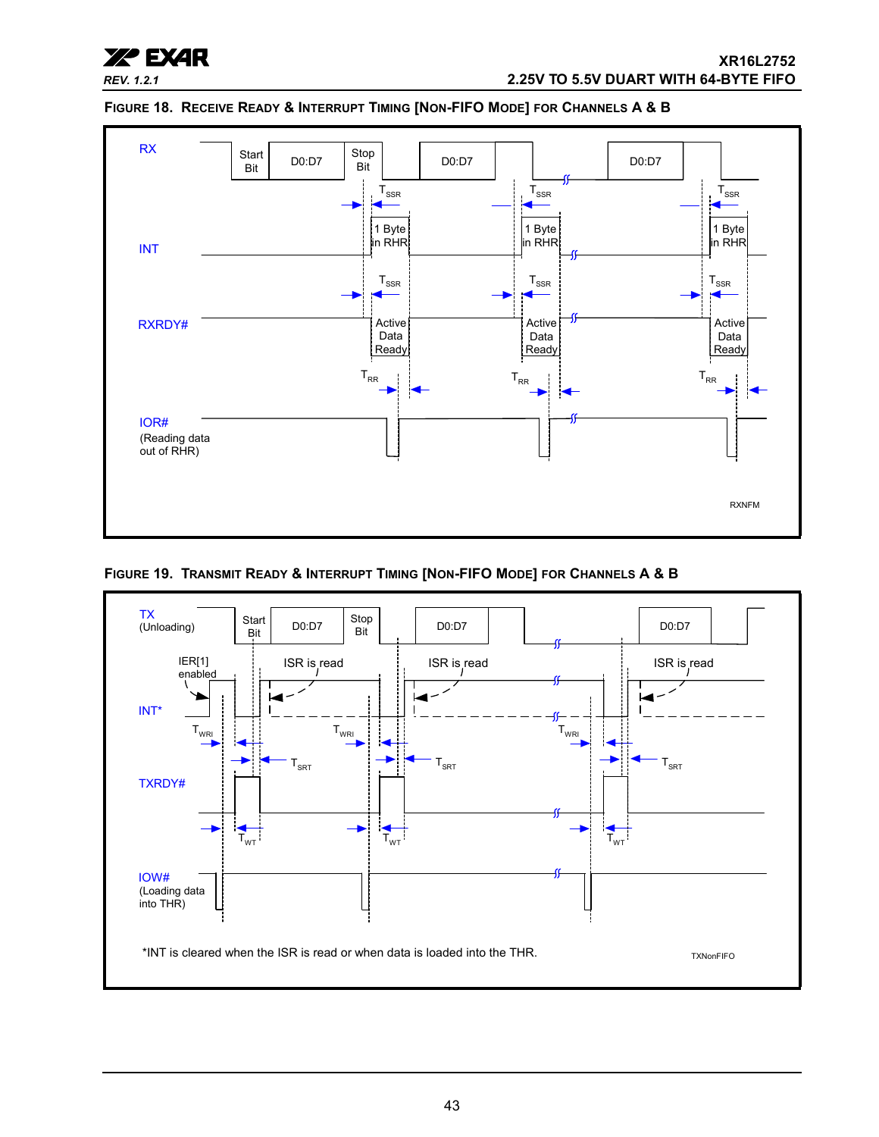



#### <span id="page-42-0"></span>**FIGURE 18. RECEIVE READY & INTERRUPT TIMING [NON-FIFO MODE] FOR CHANNELS A & B**

<span id="page-42-1"></span>**FIGURE 19. TRANSMIT READY & INTERRUPT TIMING [NON-FIFO MODE] FOR CHANNELS A & B**

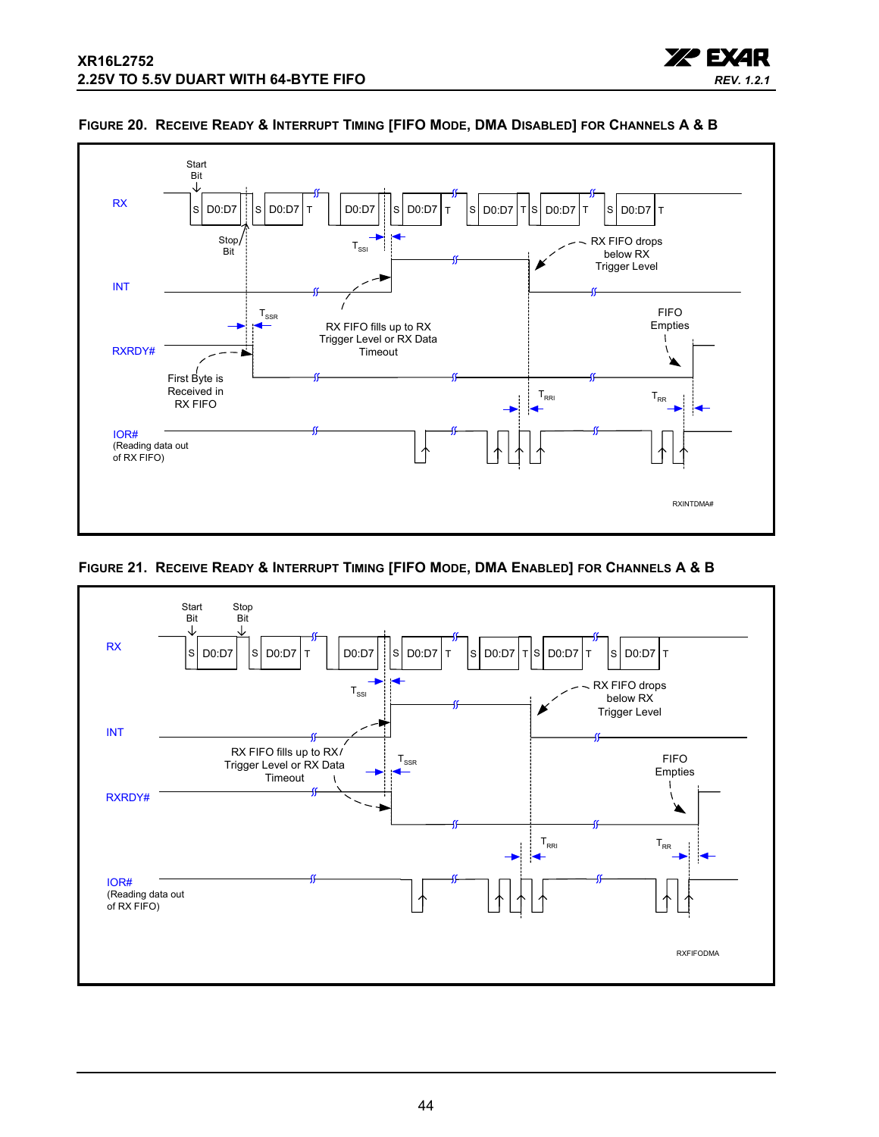



#### <span id="page-43-0"></span>**FIGURE 20. RECEIVE READY & INTERRUPT TIMING [FIFO MODE, DMA DISABLED] FOR CHANNELS A & B**

<span id="page-43-1"></span>

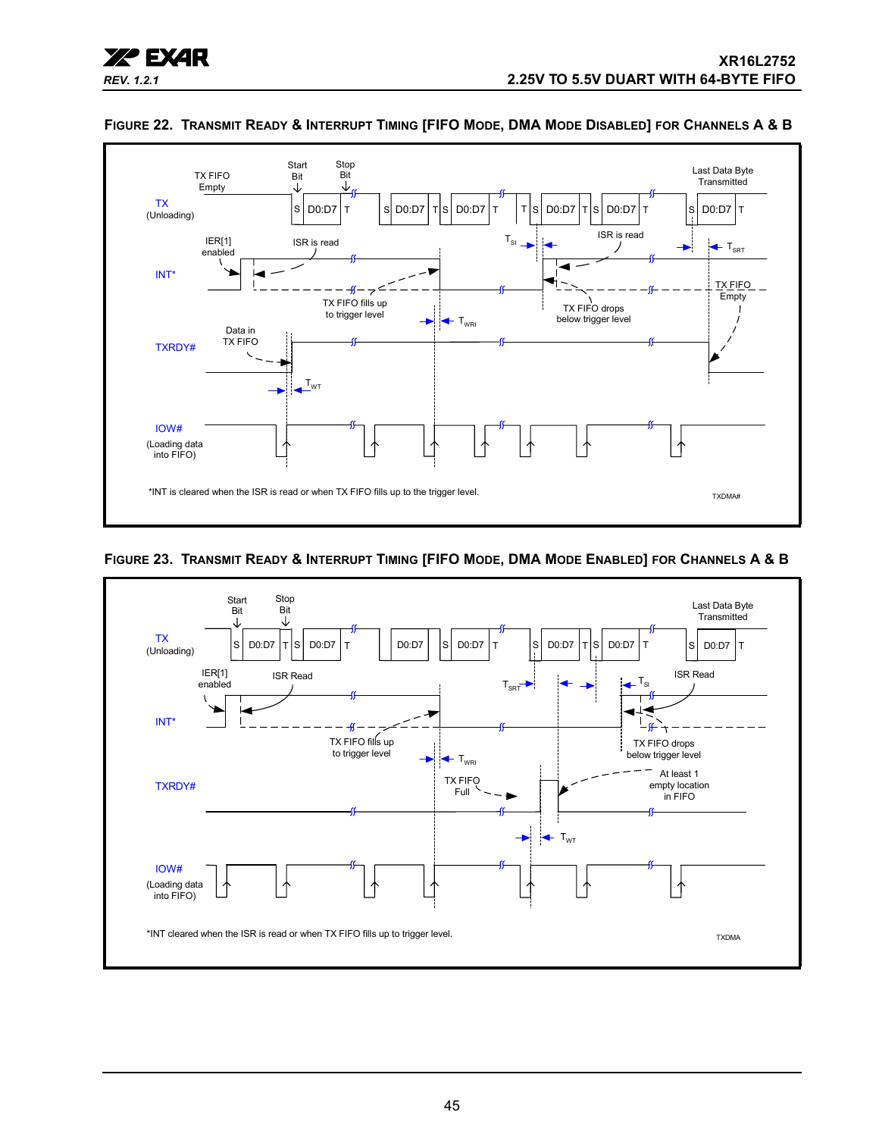



## <span id="page-44-1"></span>**FIGURE 22. TRANSMIT READY & INTERRUPT TIMING [FIFO MODE, DMA MODE DISABLED] FOR CHANNELS A & B**

## <span id="page-44-0"></span>**FIGURE 23. TRANSMIT READY & INTERRUPT TIMING [FIFO MODE, DMA MODE ENABLED] FOR CHANNELS A & B**

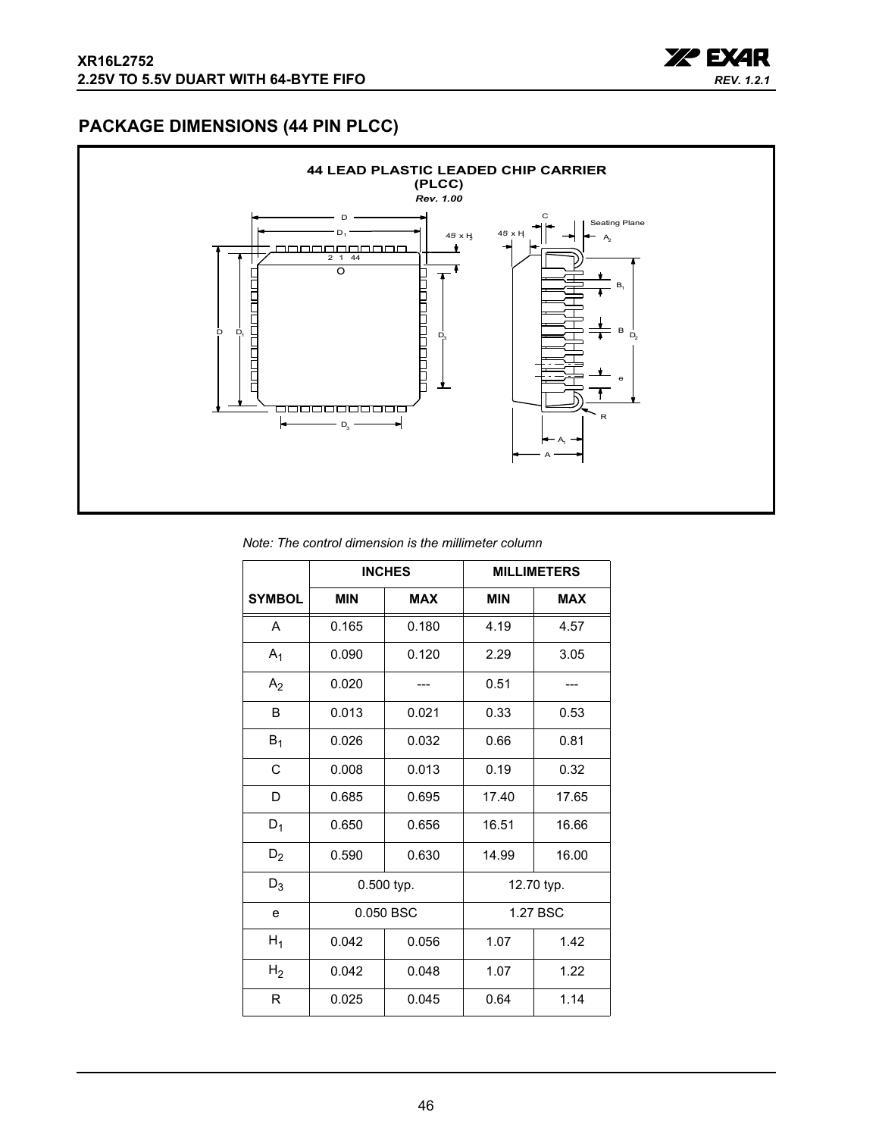

## <span id="page-45-0"></span>**PACKAGE DIMENSIONS (44 PIN PLCC)**



#### *Note: The control dimension is the millimeter column*

|                |            | <b>INCHES</b> | <b>MILLIMETERS</b> |            |  |  |
|----------------|------------|---------------|--------------------|------------|--|--|
| <b>SYMBOL</b>  | <b>MIN</b> | <b>MAX</b>    | <b>MIN</b>         | <b>MAX</b> |  |  |
| A              | 0.165      | 0.180         | 4.19               | 4.57       |  |  |
| $A_1$          | 0.090      | 0.120         | 2.29               | 3.05       |  |  |
| A <sub>2</sub> | 0.020      |               | 0.51               |            |  |  |
| B              | 0.013      | 0.021         | 0.33               | 0.53       |  |  |
| $B_1$          | 0.026      | 0.032         | 0.66               | 0.81       |  |  |
| C              | 0.008      | 0.013         | 0.19               | 0.32       |  |  |
| D              | 0.685      | 0.695         | 17.40              | 17.65      |  |  |
| $D_1$          | 0.650      | 0.656         | 16.51              | 16.66      |  |  |
| $D_2$          | 0.590      | 0.630         | 14.99              | 16.00      |  |  |
| $D_3$          |            | 0.500 typ.    |                    | 12.70 typ. |  |  |
| e              |            | 0.050 BSC     |                    | 1.27 BSC   |  |  |
| $H_1$          | 0.042      | 0.056         |                    | 1.42       |  |  |
| H <sub>2</sub> | 0.042      | 0.048         | 1.07               | 1.22       |  |  |
| R              | 0.025      | 0.045         | 0.64               | 1.14       |  |  |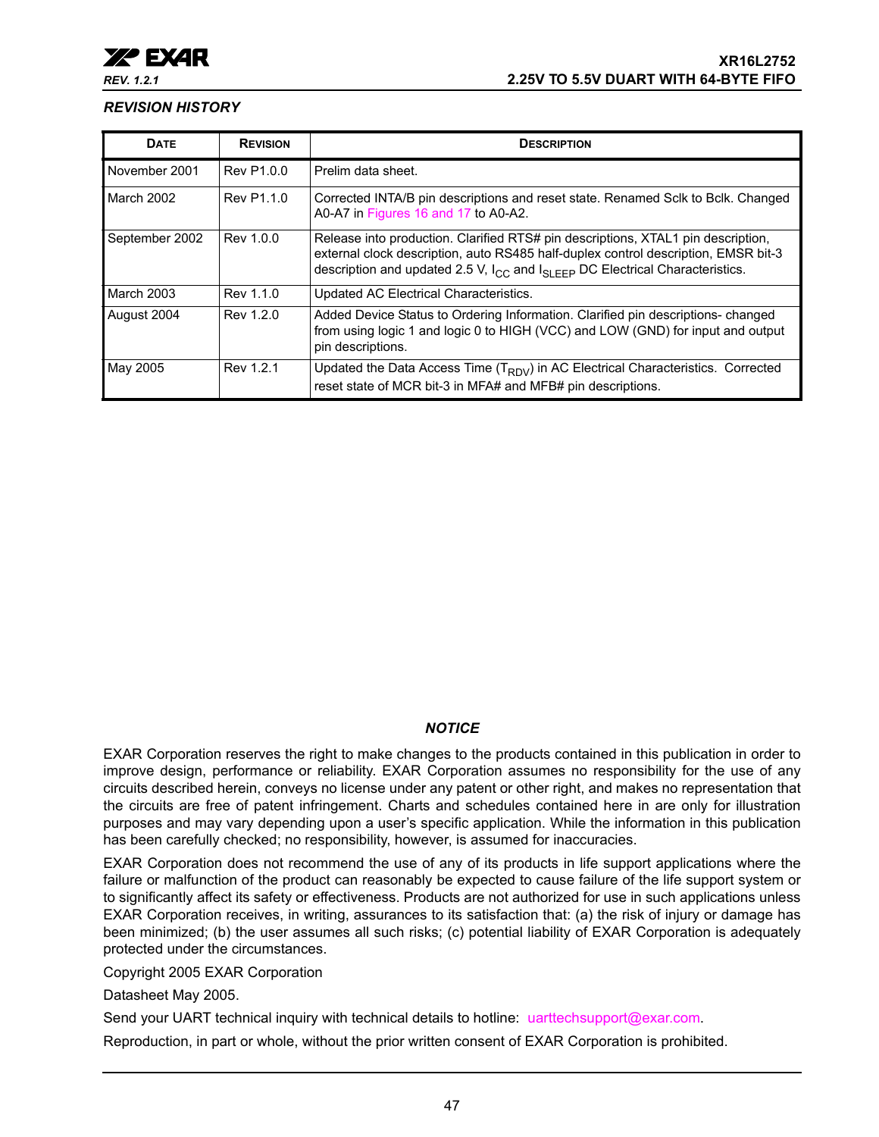### <span id="page-46-0"></span>*REVISION HISTORY*

| <b>DATE</b>    | <b>REVISION</b> | <b>DESCRIPTION</b>                                                                                                                                                                                                                                                     |
|----------------|-----------------|------------------------------------------------------------------------------------------------------------------------------------------------------------------------------------------------------------------------------------------------------------------------|
| November 2001  | Rev P1.0.0      | Prelim data sheet.                                                                                                                                                                                                                                                     |
| March 2002     | Rev P1.1.0      | Corrected INTA/B pin descriptions and reset state. Renamed Sclk to Bclk. Changed<br>A0-A7 in Figures 16 and 17 to A0-A2.                                                                                                                                               |
| September 2002 | Rev 1.0.0       | Release into production. Clarified RTS# pin descriptions, XTAL1 pin description,<br>external clock description, auto RS485 half-duplex control description, EMSR bit-3<br>description and updated 2.5 V, $I_{CC}$ and $I_{SI}$ $_{EFD}$ DC Electrical Characteristics. |
| March 2003     | Rev 1.1.0       | Updated AC Electrical Characteristics.                                                                                                                                                                                                                                 |
| August 2004    | Rev 1.2.0       | Added Device Status to Ordering Information. Clarified pin descriptions- changed<br>from using logic 1 and logic 0 to HIGH (VCC) and LOW (GND) for input and output<br>pin descriptions.                                                                               |
| May 2005       | Rev 1.2.1       | Updated the Data Access Time $(T_{RDV})$ in AC Electrical Characteristics. Corrected<br>reset state of MCR bit-3 in MFA# and MFB# pin descriptions.                                                                                                                    |

## *NOTICE*

EXAR Corporation reserves the right to make changes to the products contained in this publication in order to improve design, performance or reliability. EXAR Corporation assumes no responsibility for the use of any circuits described herein, conveys no license under any patent or other right, and makes no representation that the circuits are free of patent infringement. Charts and schedules contained here in are only for illustration purposes and may vary depending upon a user's specific application. While the information in this publication has been carefully checked; no responsibility, however, is assumed for inaccuracies.

EXAR Corporation does not recommend the use of any of its products in life support applications where the failure or malfunction of the product can reasonably be expected to cause failure of the life support system or to significantly affect its safety or effectiveness. Products are not authorized for use in such applications unless EXAR Corporation receives, in writing, assurances to its satisfaction that: (a) the risk of injury or damage has been minimized; (b) the user assumes all such risks; (c) potential liability of EXAR Corporation is adequately protected under the circumstances.

Copyright 2005 EXAR Corporation

Datasheet May 2005.

Send your UART technical inquiry with technical details to hotline: uarttechsupport@exar.com.

Reproduction, in part or whole, without the prior written consent of EXAR Corporation is prohibited.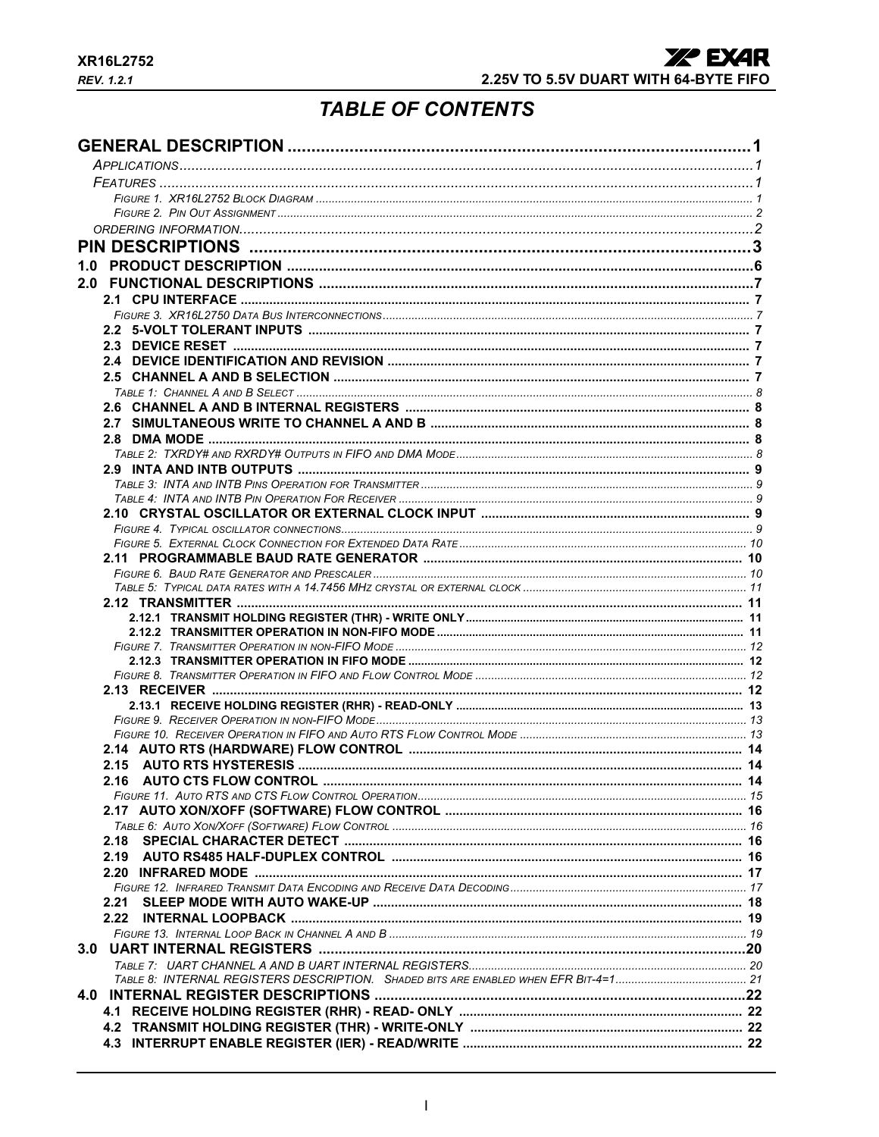# **TABLE OF CONTENTS**

<span id="page-47-0"></span>

| 1.0  |  |
|------|--|
|      |  |
|      |  |
|      |  |
|      |  |
|      |  |
|      |  |
|      |  |
|      |  |
|      |  |
|      |  |
|      |  |
|      |  |
|      |  |
|      |  |
|      |  |
|      |  |
|      |  |
|      |  |
|      |  |
|      |  |
|      |  |
|      |  |
|      |  |
|      |  |
|      |  |
|      |  |
|      |  |
|      |  |
|      |  |
|      |  |
|      |  |
|      |  |
|      |  |
|      |  |
|      |  |
| 2.18 |  |
|      |  |
|      |  |
|      |  |
| 2.21 |  |
| 2.22 |  |
|      |  |
|      |  |
|      |  |
|      |  |
|      |  |
|      |  |
|      |  |
|      |  |